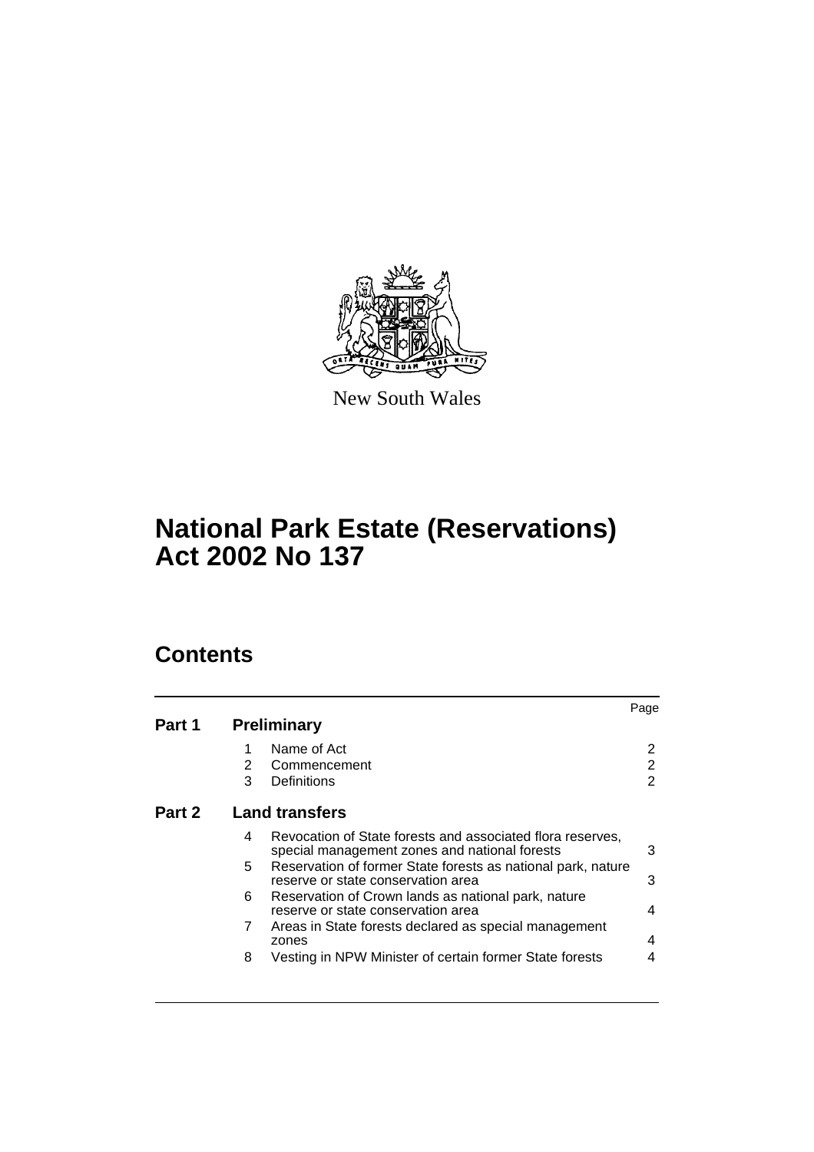

New South Wales

# **National Park Estate (Reservations) Act 2002 No 137**

# **Contents**

| Part 1 |                       |                                                                                                             | Page |
|--------|-----------------------|-------------------------------------------------------------------------------------------------------------|------|
|        | <b>Preliminary</b>    |                                                                                                             |      |
|        |                       | Name of Act                                                                                                 |      |
|        | 2                     | Commencement                                                                                                | 2    |
|        | 3                     | Definitions                                                                                                 | 2    |
| Part 2 | <b>Land transfers</b> |                                                                                                             |      |
|        | 4                     | Revocation of State forests and associated flora reserves,<br>special management zones and national forests | 3    |
|        | 5.                    | Reservation of former State forests as national park, nature<br>reserve or state conservation area          | 3    |
|        | 6                     | Reservation of Crown lands as national park, nature<br>reserve or state conservation area                   | 4    |
|        | 7                     | Areas in State forests declared as special management<br>zones                                              | 4    |
|        | 8                     | Vesting in NPW Minister of certain former State forests                                                     | 4    |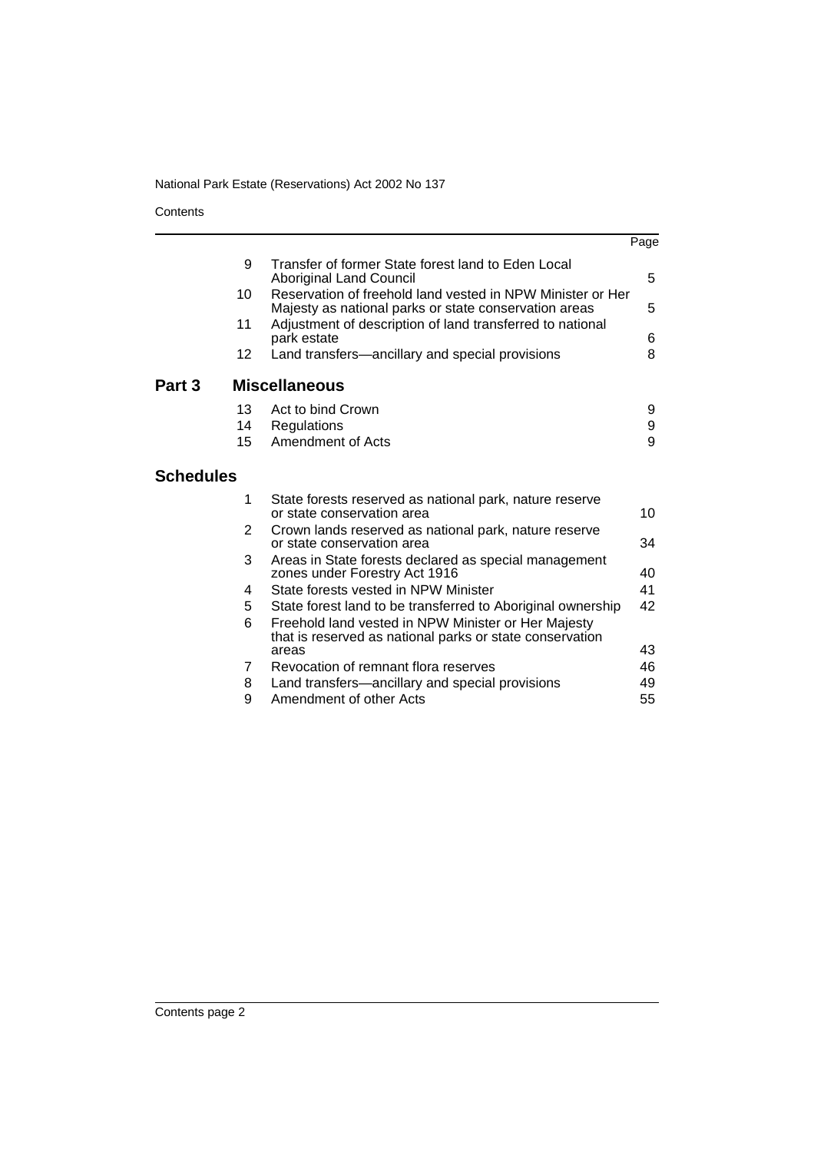**Contents** 

|                   |                                                                                                                     | Page |
|-------------------|---------------------------------------------------------------------------------------------------------------------|------|
| 9                 | Transfer of former State forest land to Eden Local<br><b>Aboriginal Land Council</b>                                | 5    |
| 10                | Reservation of freehold land vested in NPW Minister or Her<br>Majesty as national parks or state conservation areas | 5    |
| 11                | Adjustment of description of land transferred to national<br>park estate                                            | 6    |
| $12 \overline{ }$ | Land transfers-ancillary and special provisions                                                                     | 8    |
| Part 3            | <b>Miscellaneous</b>                                                                                                |      |
| 13                | Act to bind Crown                                                                                                   | 9    |
| 14                | Regulations                                                                                                         | 9    |
| 15                | Amendment of Acts                                                                                                   | 9    |
| <b>Schedules</b>  |                                                                                                                     |      |
| 1                 | State forests reserved as national park, nature reserve<br>or state conservation area                               | 10   |
| $\overline{2}$    | Crown lands reserved as national park, nature reserve<br>or state conservation area                                 | 34   |
| 3                 | Areas in State forests declared as special management<br>zones under Forestry Act 1916                              | 40   |
| 4                 | State forests vested in NPW Minister                                                                                | 41   |
| 5                 | State forest land to be transferred to Aboriginal ownership                                                         | 42   |
| 6                 | Freehold land vested in NPW Minister or Her Majesty<br>that is reserved as national parks or state conservation     |      |
|                   | areas                                                                                                               | 43   |
| 7                 | Revocation of remnant flora reserves                                                                                | 46   |
| 8                 | Land transfers—ancillary and special provisions                                                                     | 49   |
| 9                 | Amendment of other Acts                                                                                             | 55   |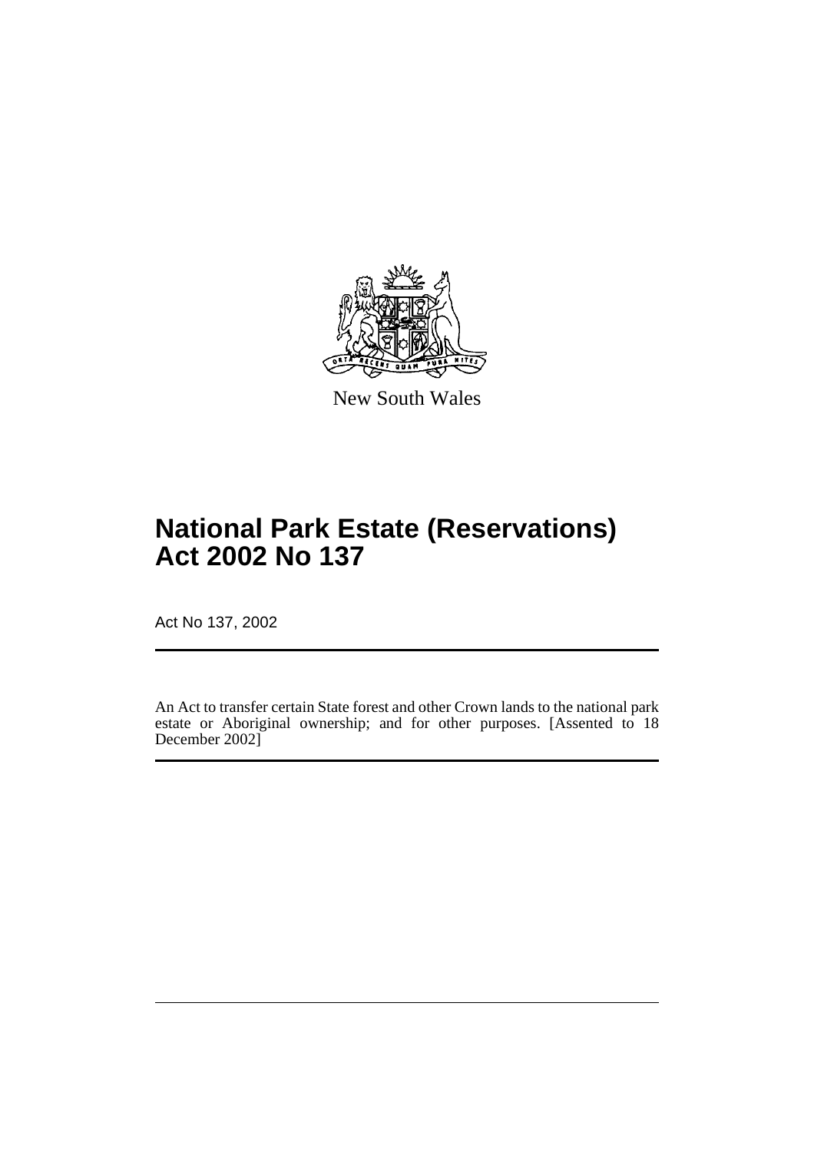

New South Wales

# **National Park Estate (Reservations) Act 2002 No 137**

Act No 137, 2002

An Act to transfer certain State forest and other Crown lands to the national park estate or Aboriginal ownership; and for other purposes. [Assented to 18 December 2002]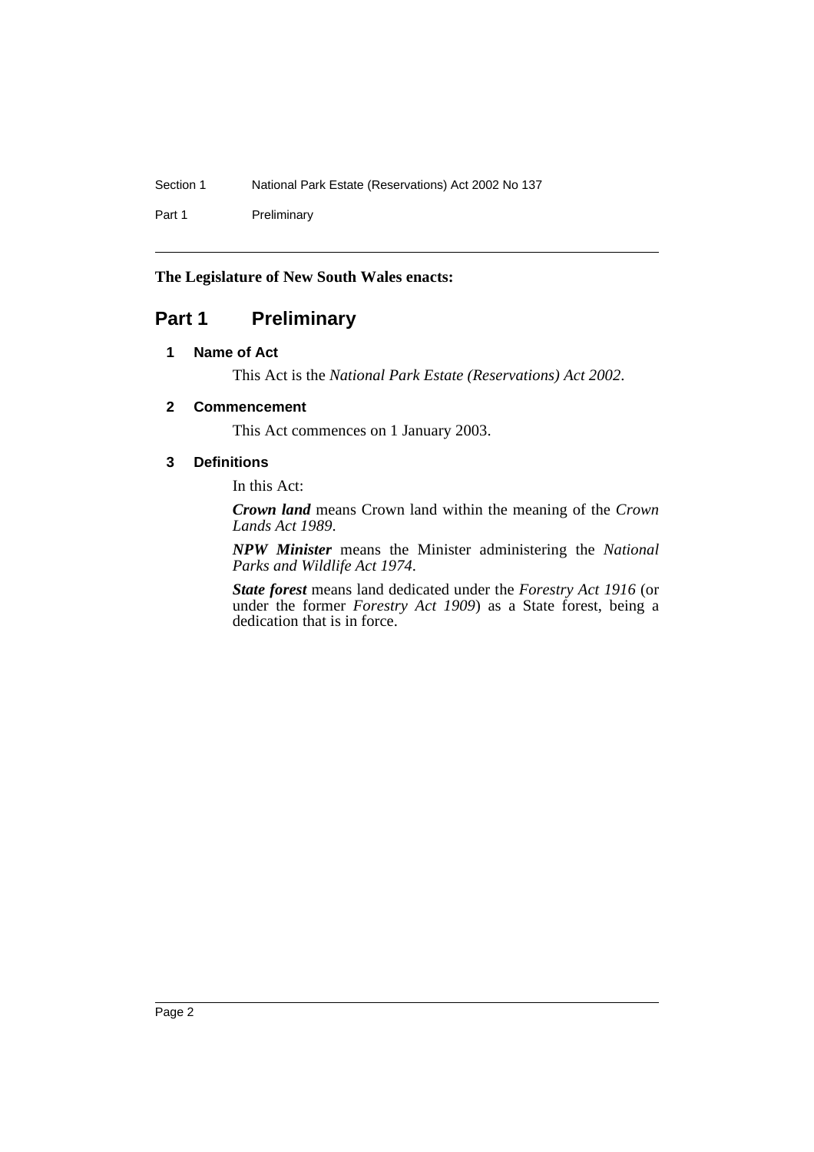Part 1 Preliminary

### **The Legislature of New South Wales enacts:**

# **Part 1 Preliminary**

### **1 Name of Act**

This Act is the *National Park Estate (Reservations) Act 2002*.

### **2 Commencement**

This Act commences on 1 January 2003.

### **3 Definitions**

In this Act:

*Crown land* means Crown land within the meaning of the *Crown Lands Act 1989*.

*NPW Minister* means the Minister administering the *National Parks and Wildlife Act 1974*.

*State forest* means land dedicated under the *Forestry Act 1916* (or under the former *Forestry Act 1909*) as a State forest, being a dedication that is in force.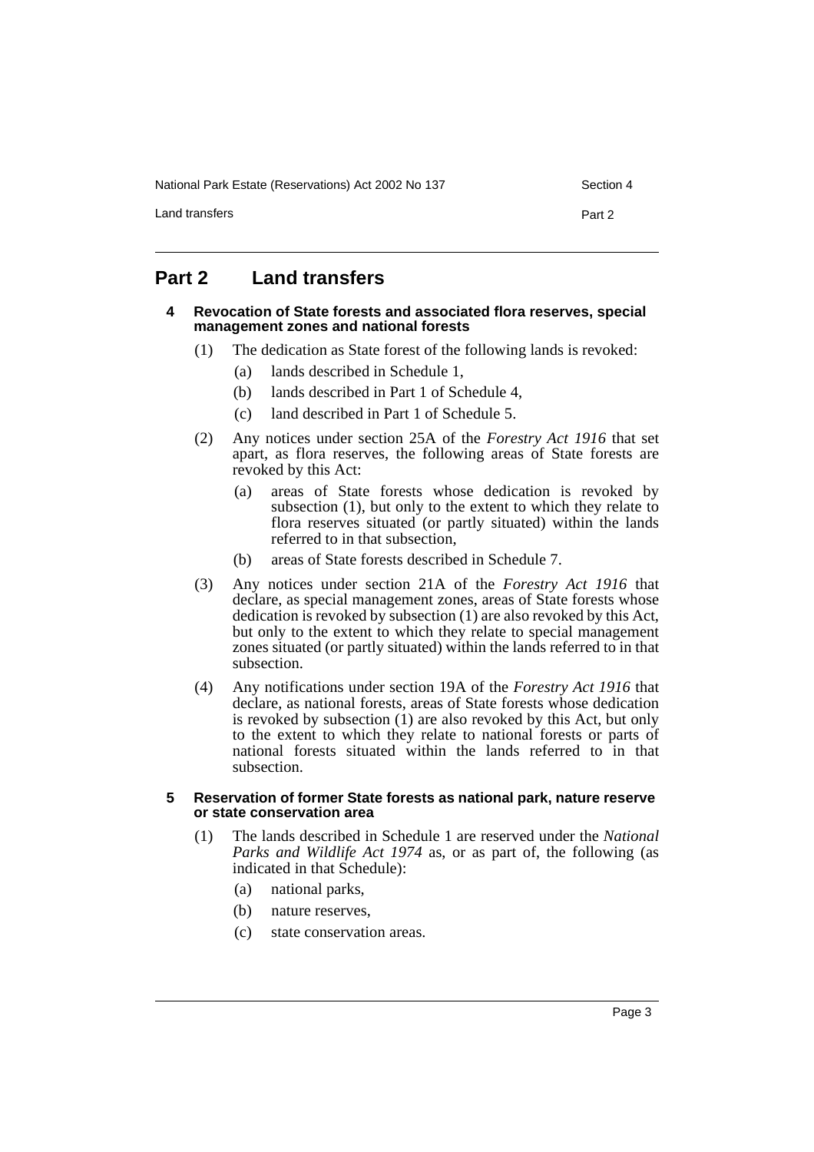National Park Estate (Reservations) Act 2002 No 137 Section 4

Land transfers **Part 2** 

# **Part 2 Land transfers**

### **4 Revocation of State forests and associated flora reserves, special management zones and national forests**

- (1) The dedication as State forest of the following lands is revoked:
	- (a) lands described in Schedule 1,
	- (b) lands described in Part 1 of Schedule 4,
	- (c) land described in Part 1 of Schedule 5.
- (2) Any notices under section 25A of the *Forestry Act 1916* that set apart, as flora reserves, the following areas of State forests are revoked by this Act:
	- (a) areas of State forests whose dedication is revoked by subsection (1), but only to the extent to which they relate to flora reserves situated (or partly situated) within the lands referred to in that subsection,
	- (b) areas of State forests described in Schedule 7.
- (3) Any notices under section 21A of the *Forestry Act 1916* that declare, as special management zones, areas of State forests whose dedication is revoked by subsection (1) are also revoked by this Act, but only to the extent to which they relate to special management zones situated (or partly situated) within the lands referred to in that subsection.
- (4) Any notifications under section 19A of the *Forestry Act 1916* that declare, as national forests, areas of State forests whose dedication is revoked by subsection (1) are also revoked by this Act, but only to the extent to which they relate to national forests or parts of national forests situated within the lands referred to in that subsection.

### **5 Reservation of former State forests as national park, nature reserve or state conservation area**

- (1) The lands described in Schedule 1 are reserved under the *National Parks and Wildlife Act 1974* as, or as part of, the following (as indicated in that Schedule):
	- (a) national parks,
	- (b) nature reserves,
	- (c) state conservation areas.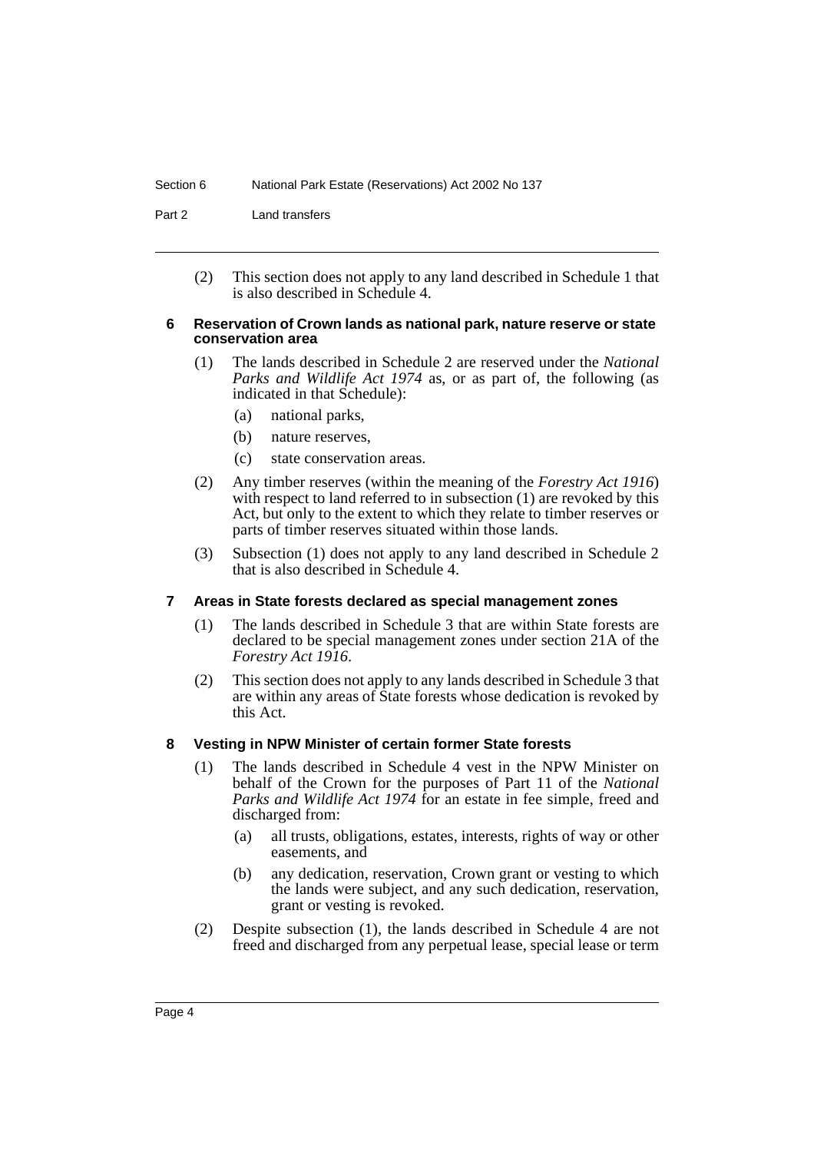Part 2 Land transfers

(2) This section does not apply to any land described in Schedule 1 that is also described in Schedule 4.

### **6 Reservation of Crown lands as national park, nature reserve or state conservation area**

- (1) The lands described in Schedule 2 are reserved under the *National Parks and Wildlife Act 1974* as, or as part of, the following (as indicated in that Schedule):
	- (a) national parks,
	- (b) nature reserves,
	- (c) state conservation areas.
- (2) Any timber reserves (within the meaning of the *Forestry Act 1916*) with respect to land referred to in subsection (1) are revoked by this Act, but only to the extent to which they relate to timber reserves or parts of timber reserves situated within those lands.
- (3) Subsection (1) does not apply to any land described in Schedule 2 that is also described in Schedule 4.

### **7 Areas in State forests declared as special management zones**

- (1) The lands described in Schedule 3 that are within State forests are declared to be special management zones under section 21A of the *Forestry Act 1916*.
- (2) This section does not apply to any lands described in Schedule 3 that are within any areas of State forests whose dedication is revoked by this Act.

### **8 Vesting in NPW Minister of certain former State forests**

- (1) The lands described in Schedule 4 vest in the NPW Minister on behalf of the Crown for the purposes of Part 11 of the *National Parks and Wildlife Act 1974* for an estate in fee simple, freed and discharged from:
	- (a) all trusts, obligations, estates, interests, rights of way or other easements, and
	- (b) any dedication, reservation, Crown grant or vesting to which the lands were subject, and any such dedication, reservation, grant or vesting is revoked.
- (2) Despite subsection (1), the lands described in Schedule 4 are not freed and discharged from any perpetual lease, special lease or term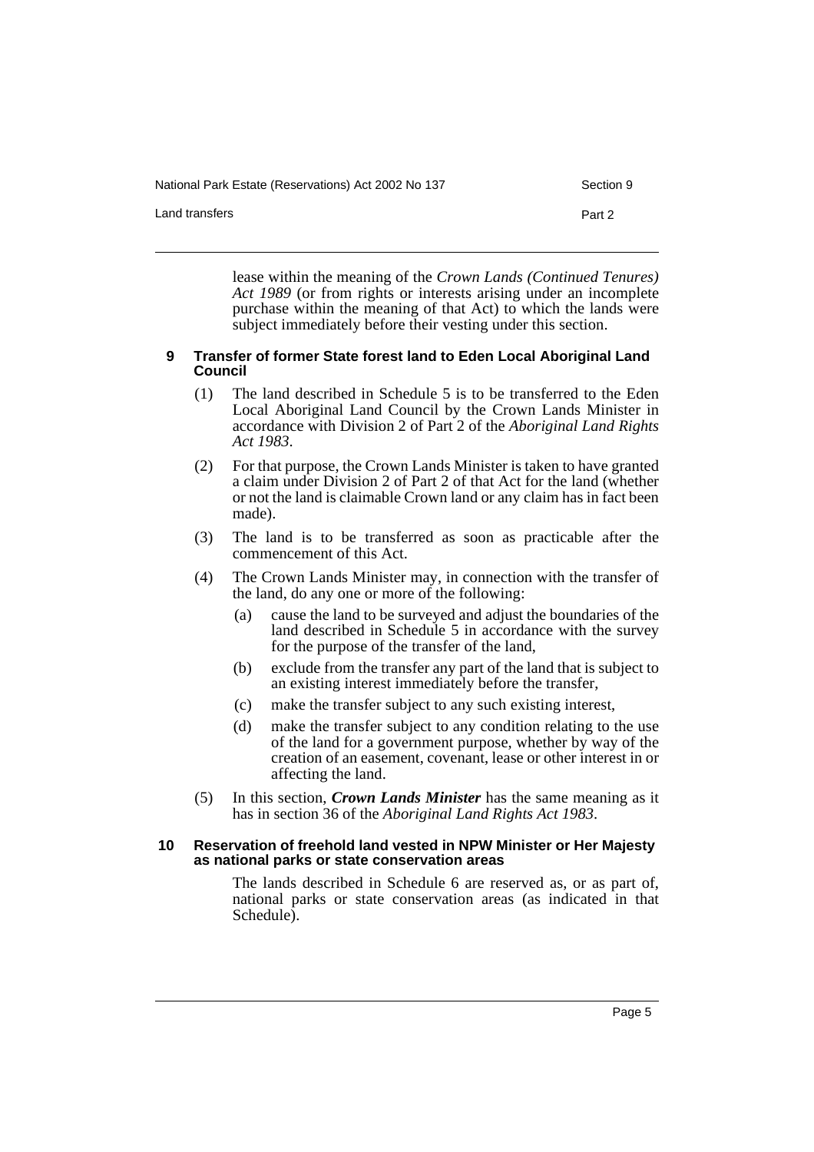National Park Estate (Reservations) Act 2002 No 137 Section 9

Land transfers **Part 2** 

lease within the meaning of the *Crown Lands (Continued Tenures) Act 1989* (or from rights or interests arising under an incomplete purchase within the meaning of that Act) to which the lands were subject immediately before their vesting under this section.

### **9 Transfer of former State forest land to Eden Local Aboriginal Land Council**

- (1) The land described in Schedule 5 is to be transferred to the Eden Local Aboriginal Land Council by the Crown Lands Minister in accordance with Division 2 of Part 2 of the *Aboriginal Land Rights Act 1983*.
- (2) For that purpose, the Crown Lands Minister is taken to have granted a claim under Division 2 of Part 2 of that Act for the land (whether or not the land is claimable Crown land or any claim has in fact been made).
- (3) The land is to be transferred as soon as practicable after the commencement of this Act.
- (4) The Crown Lands Minister may, in connection with the transfer of the land, do any one or more of the following:
	- (a) cause the land to be surveyed and adjust the boundaries of the land described in Schedule 5 in accordance with the survey for the purpose of the transfer of the land,
	- (b) exclude from the transfer any part of the land that is subject to an existing interest immediately before the transfer,
	- (c) make the transfer subject to any such existing interest,
	- (d) make the transfer subject to any condition relating to the use of the land for a government purpose, whether by way of the creation of an easement, covenant, lease or other interest in or affecting the land.
- (5) In this section, *Crown Lands Minister* has the same meaning as it has in section 36 of the *Aboriginal Land Rights Act 1983*.

### **10 Reservation of freehold land vested in NPW Minister or Her Majesty as national parks or state conservation areas**

The lands described in Schedule 6 are reserved as, or as part of, national parks or state conservation areas (as indicated in that Schedule).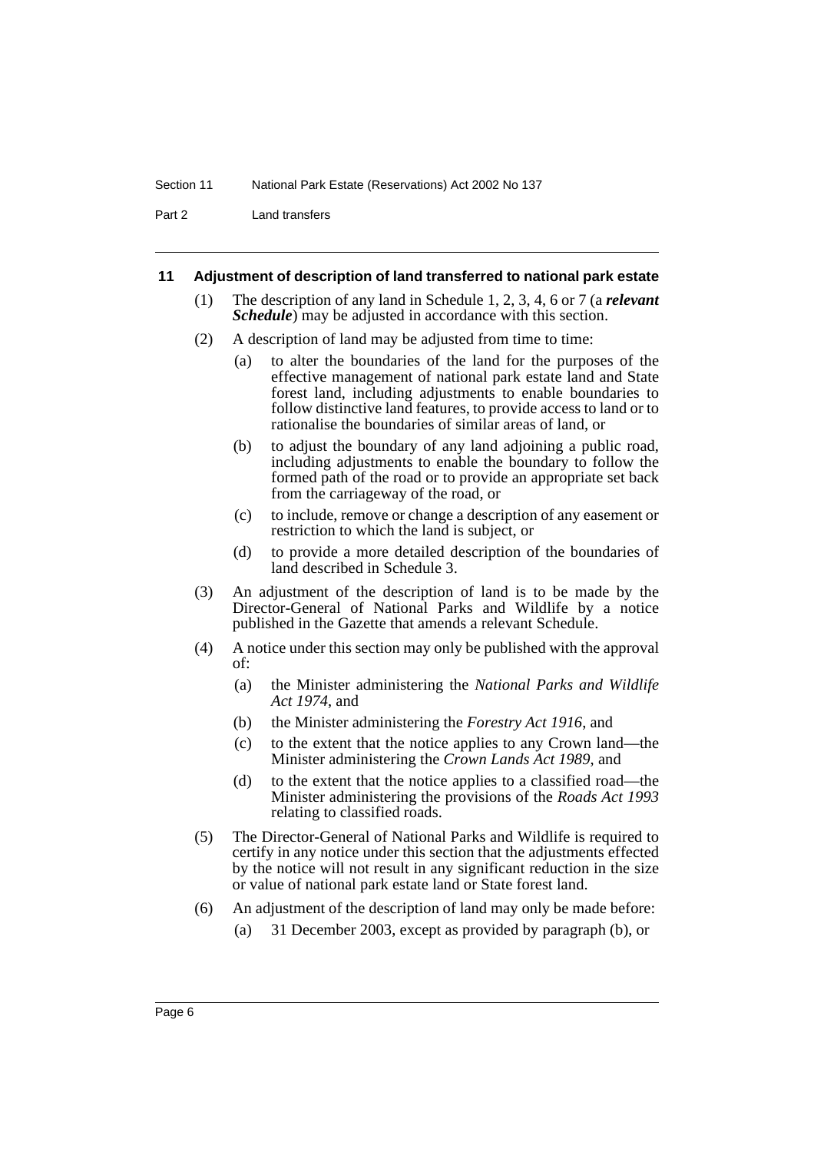Part 2 Land transfers

#### **11 Adjustment of description of land transferred to national park estate**

- (1) The description of any land in Schedule 1, 2, 3, 4, 6 or 7 (a *relevant Schedule*) may be adjusted in accordance with this section.
- (2) A description of land may be adjusted from time to time:
	- (a) to alter the boundaries of the land for the purposes of the effective management of national park estate land and State forest land, including adjustments to enable boundaries to follow distinctive land features, to provide access to land or to rationalise the boundaries of similar areas of land, or
	- (b) to adjust the boundary of any land adjoining a public road, including adjustments to enable the boundary to follow the formed path of the road or to provide an appropriate set back from the carriageway of the road, or
	- (c) to include, remove or change a description of any easement or restriction to which the land is subject, or
	- (d) to provide a more detailed description of the boundaries of land described in Schedule 3.
- (3) An adjustment of the description of land is to be made by the Director-General of National Parks and Wildlife by a notice published in the Gazette that amends a relevant Schedule.
- (4) A notice under this section may only be published with the approval of:
	- (a) the Minister administering the *National Parks and Wildlife Act 1974*, and
	- (b) the Minister administering the *Forestry Act 1916*, and
	- (c) to the extent that the notice applies to any Crown land—the Minister administering the *Crown Lands Act 1989*, and
	- (d) to the extent that the notice applies to a classified road—the Minister administering the provisions of the *Roads Act 1993* relating to classified roads.
- (5) The Director-General of National Parks and Wildlife is required to certify in any notice under this section that the adjustments effected by the notice will not result in any significant reduction in the size or value of national park estate land or State forest land.
- (6) An adjustment of the description of land may only be made before:
	- (a) 31 December 2003, except as provided by paragraph (b), or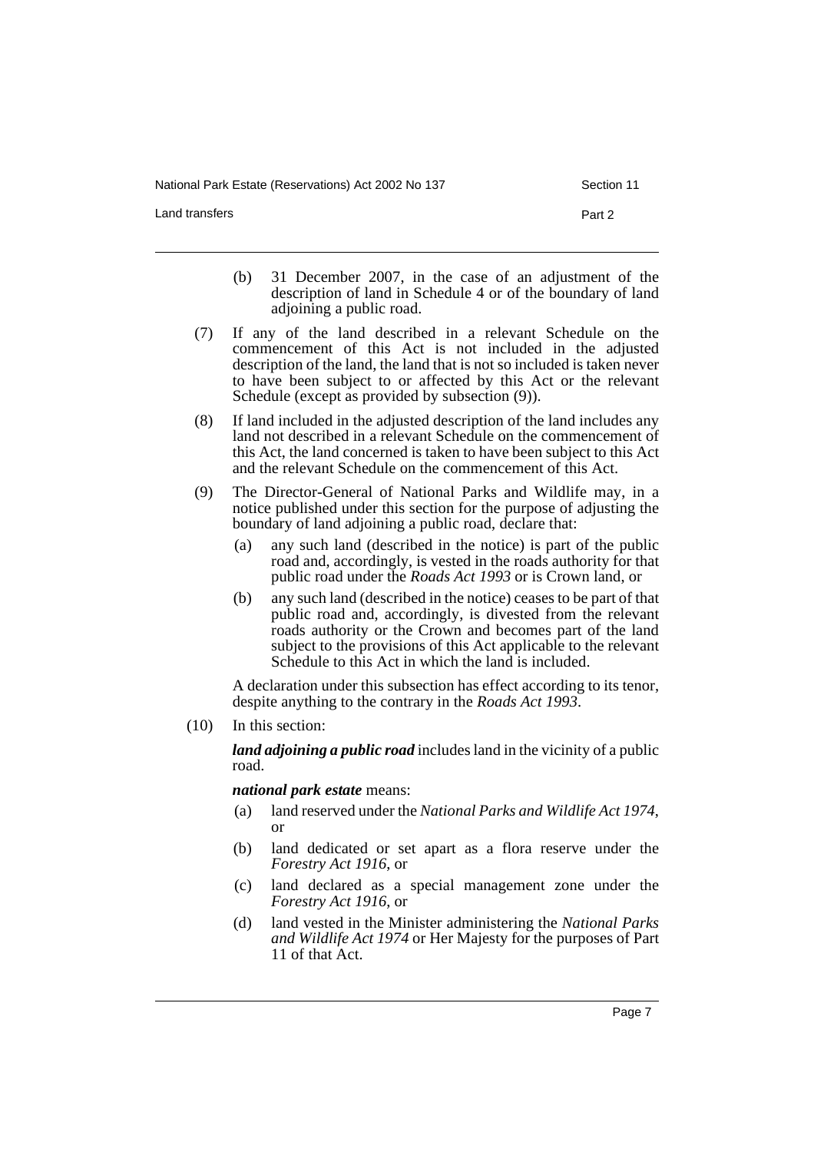National Park Estate (Reservations) Act 2002 No 137 Section 11

Land transfers **Part 2** 

- (b) 31 December 2007, in the case of an adjustment of the description of land in Schedule 4 or of the boundary of land adjoining a public road.
- (7) If any of the land described in a relevant Schedule on the commencement of this Act is not included in the adjusted description of the land, the land that is not so included is taken never to have been subject to or affected by this Act or the relevant Schedule (except as provided by subsection  $(9)$ ).
- (8) If land included in the adjusted description of the land includes any land not described in a relevant Schedule on the commencement of this Act, the land concerned is taken to have been subject to this Act and the relevant Schedule on the commencement of this Act.
- (9) The Director-General of National Parks and Wildlife may, in a notice published under this section for the purpose of adjusting the boundary of land adjoining a public road, declare that:
	- (a) any such land (described in the notice) is part of the public road and, accordingly, is vested in the roads authority for that public road under the *Roads Act 1993* or is Crown land, or
	- (b) any such land (described in the notice) ceases to be part of that public road and, accordingly, is divested from the relevant roads authority or the Crown and becomes part of the land subject to the provisions of this Act applicable to the relevant Schedule to this Act in which the land is included.

A declaration under this subsection has effect according to its tenor, despite anything to the contrary in the *Roads Act 1993*.

(10) In this section:

*land adjoining a public road* includes land in the vicinity of a public road.

*national park estate* means:

- (a) land reserved under the *National Parks and Wildlife Act 1974*, or
- (b) land dedicated or set apart as a flora reserve under the *Forestry Act 1916*, or
- (c) land declared as a special management zone under the *Forestry Act 1916*, or
- (d) land vested in the Minister administering the *National Parks and Wildlife Act 1974* or Her Majesty for the purposes of Part 11 of that Act.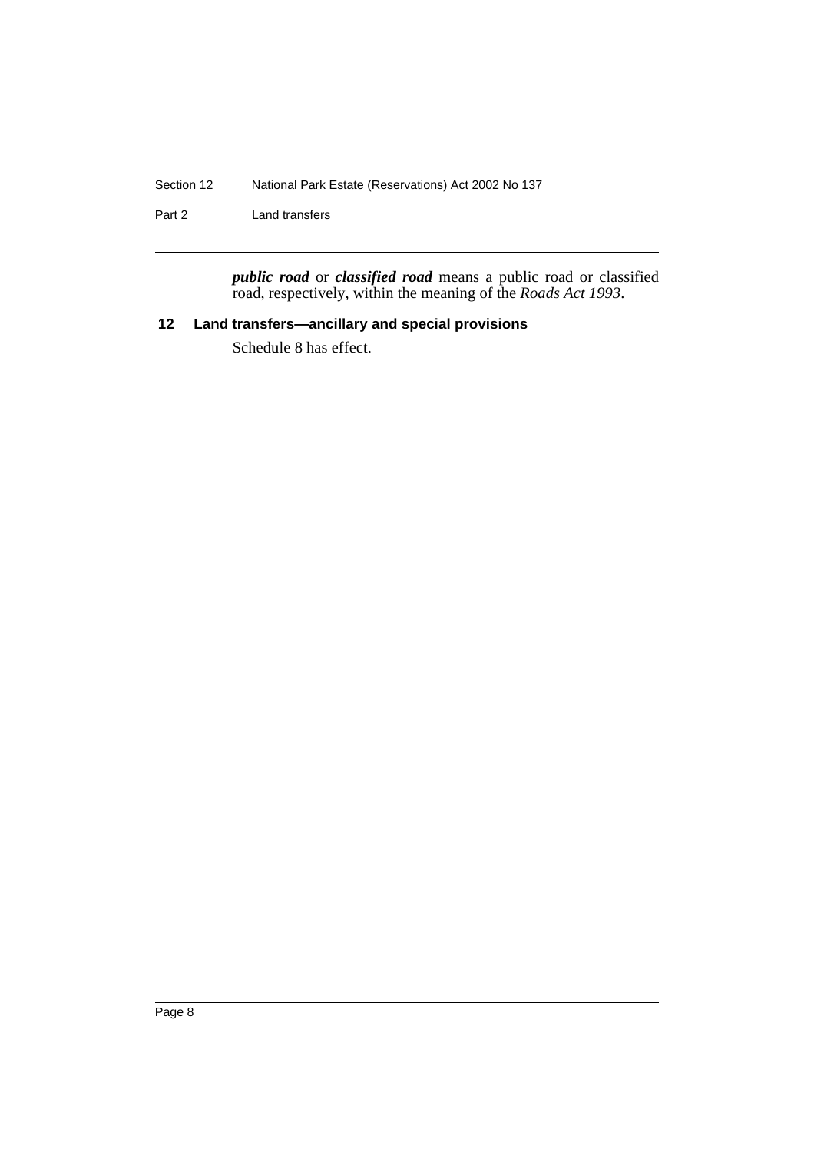Section 12 National Park Estate (Reservations) Act 2002 No 137

Part 2 Land transfers

*public road* or *classified road* means a public road or classified road, respectively, within the meaning of the *Roads Act 1993*.

# **12 Land transfers—ancillary and special provisions**

Schedule 8 has effect.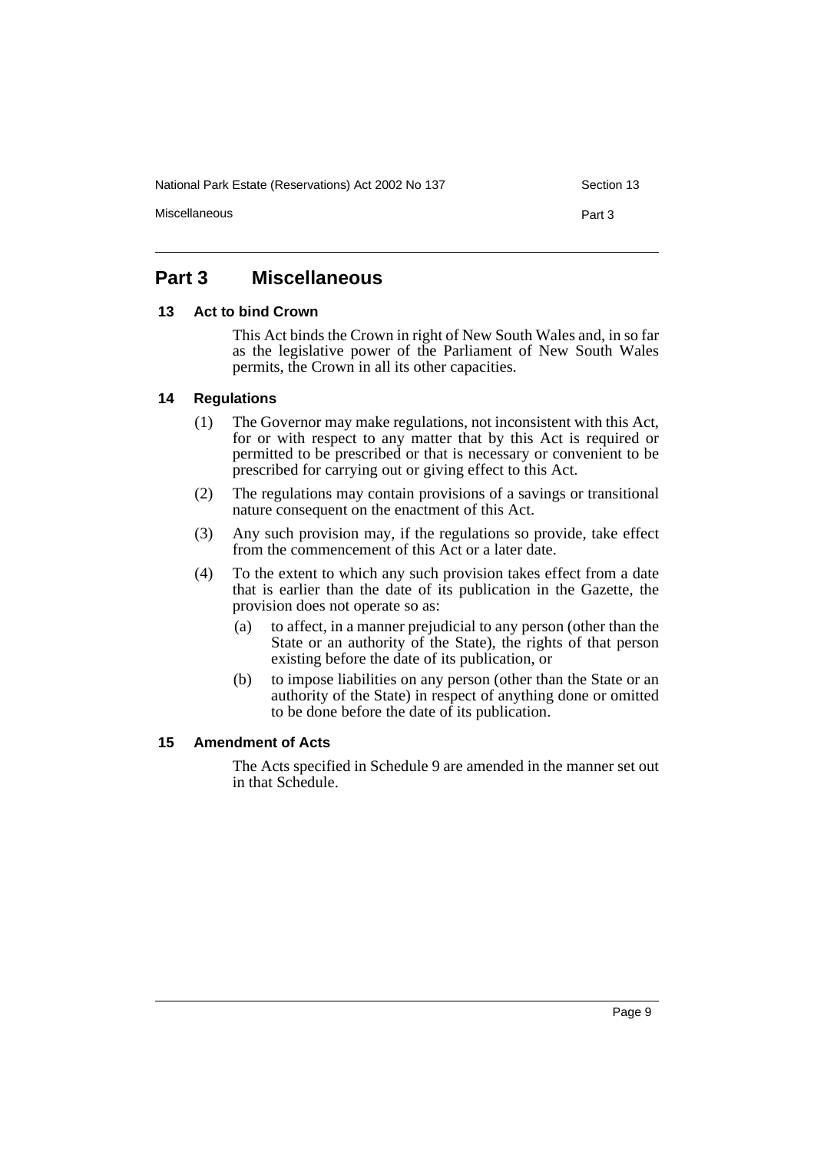National Park Estate (Reservations) Act 2002 No 137 Section 13

Miscellaneous **Part 3** 

# **Part 3 Miscellaneous**

### **13 Act to bind Crown**

This Act binds the Crown in right of New South Wales and, in so far as the legislative power of the Parliament of New South Wales permits, the Crown in all its other capacities.

### **14 Regulations**

- (1) The Governor may make regulations, not inconsistent with this Act, for or with respect to any matter that by this Act is required or permitted to be prescribed or that is necessary or convenient to be prescribed for carrying out or giving effect to this Act.
- (2) The regulations may contain provisions of a savings or transitional nature consequent on the enactment of this Act.
- (3) Any such provision may, if the regulations so provide, take effect from the commencement of this Act or a later date.
- (4) To the extent to which any such provision takes effect from a date that is earlier than the date of its publication in the Gazette, the provision does not operate so as:
	- (a) to affect, in a manner prejudicial to any person (other than the State or an authority of the State), the rights of that person existing before the date of its publication, or
	- (b) to impose liabilities on any person (other than the State or an authority of the State) in respect of anything done or omitted to be done before the date of its publication.

### **15 Amendment of Acts**

The Acts specified in Schedule 9 are amended in the manner set out in that Schedule.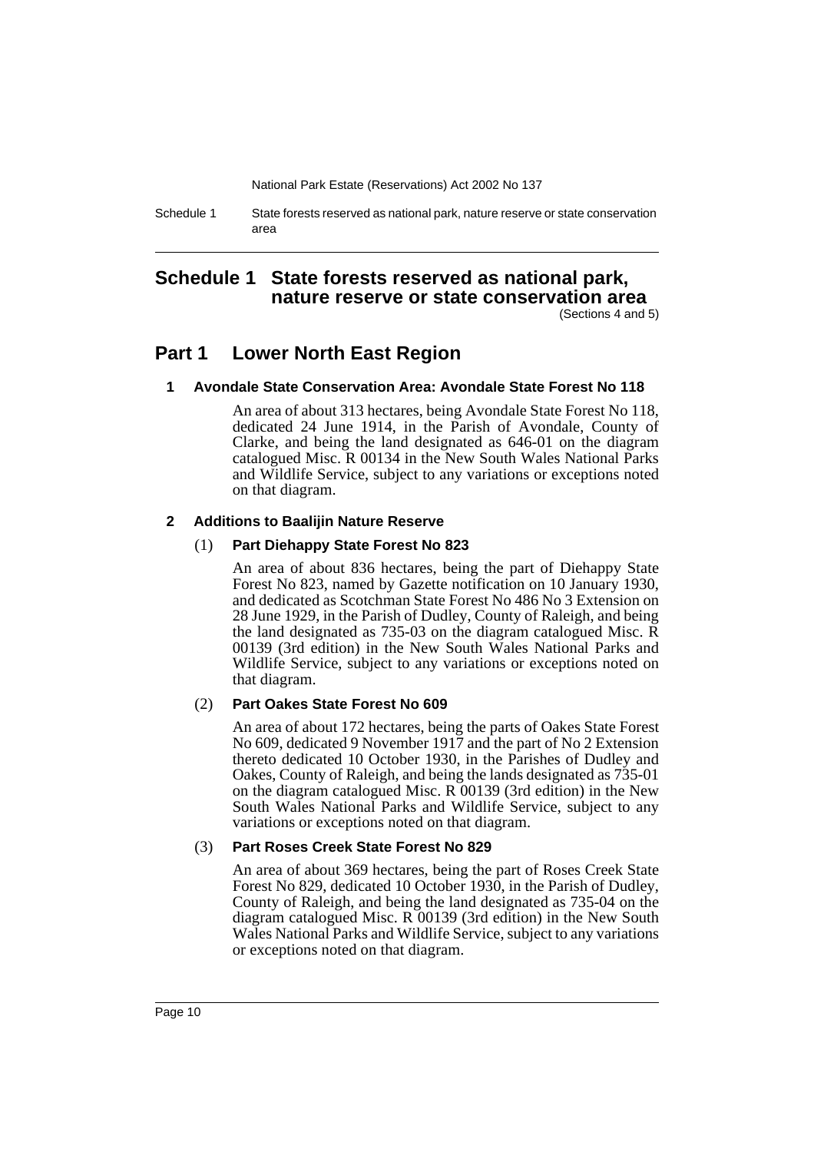Schedule 1 State forests reserved as national park, nature reserve or state conservation area

# **Schedule 1 State forests reserved as national park, nature reserve or state conservation area**

(Sections 4 and 5)

# **Part 1 Lower North East Region**

### **1 Avondale State Conservation Area: Avondale State Forest No 118**

An area of about 313 hectares, being Avondale State Forest No 118, dedicated 24 June 1914, in the Parish of Avondale, County of Clarke, and being the land designated as 646-01 on the diagram catalogued Misc. R 00134 in the New South Wales National Parks and Wildlife Service, subject to any variations or exceptions noted on that diagram.

### **2 Additions to Baalijin Nature Reserve**

### (1) **Part Diehappy State Forest No 823**

An area of about 836 hectares, being the part of Diehappy State Forest No 823, named by Gazette notification on 10 January 1930, and dedicated as Scotchman State Forest No 486 No 3 Extension on 28 June 1929, in the Parish of Dudley, County of Raleigh, and being the land designated as 735-03 on the diagram catalogued Misc. R 00139 (3rd edition) in the New South Wales National Parks and Wildlife Service, subject to any variations or exceptions noted on that diagram.

### (2) **Part Oakes State Forest No 609**

An area of about 172 hectares, being the parts of Oakes State Forest No 609, dedicated 9 November 1917 and the part of No 2 Extension thereto dedicated 10 October 1930, in the Parishes of Dudley and Oakes, County of Raleigh, and being the lands designated as 735-01 on the diagram catalogued Misc. R 00139 (3rd edition) in the New South Wales National Parks and Wildlife Service, subject to any variations or exceptions noted on that diagram.

### (3) **Part Roses Creek State Forest No 829**

An area of about 369 hectares, being the part of Roses Creek State Forest No 829, dedicated 10 October 1930, in the Parish of Dudley, County of Raleigh, and being the land designated as 735-04 on the diagram catalogued Misc. R 00139 (3rd edition) in the New South Wales National Parks and Wildlife Service, subject to any variations or exceptions noted on that diagram.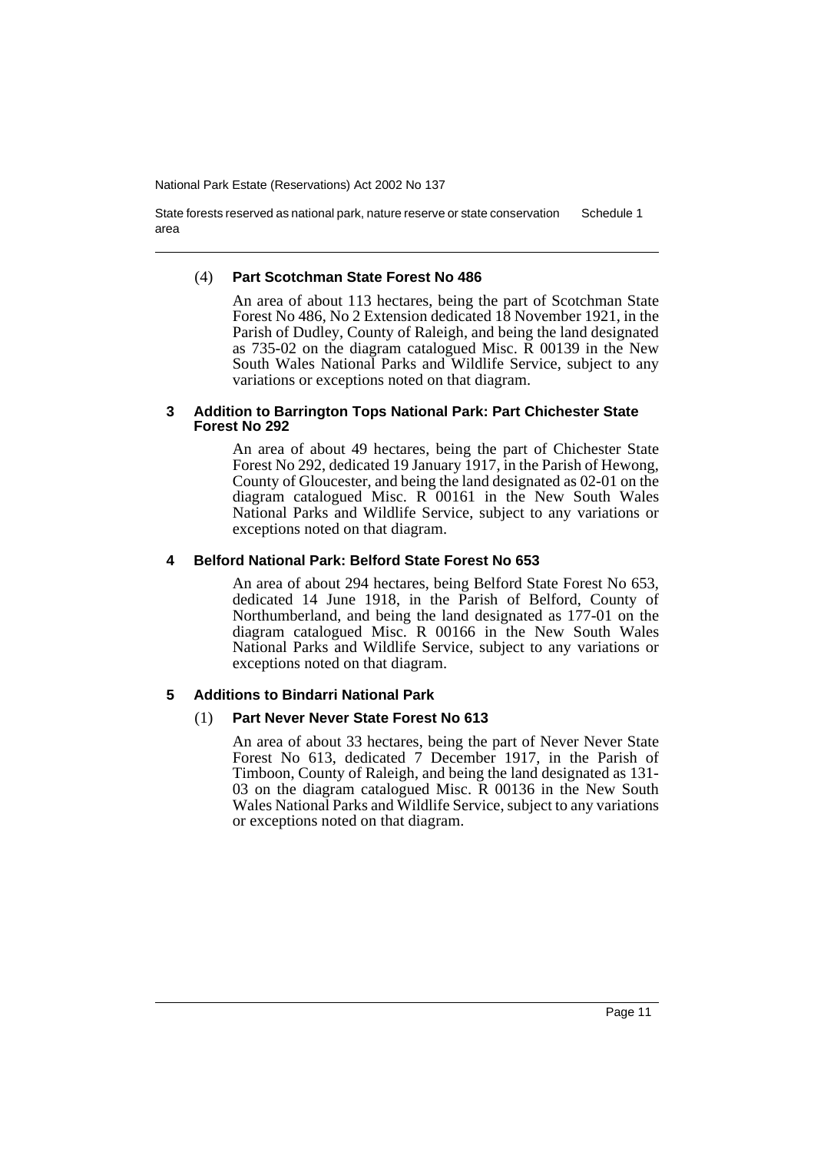State forests reserved as national park, nature reserve or state conservation area Schedule 1

### (4) **Part Scotchman State Forest No 486**

An area of about 113 hectares, being the part of Scotchman State Forest No 486, No 2 Extension dedicated 18 November 1921, in the Parish of Dudley, County of Raleigh, and being the land designated as 735-02 on the diagram catalogued Misc. R 00139 in the New South Wales National Parks and Wildlife Service, subject to any variations or exceptions noted on that diagram.

### **3 Addition to Barrington Tops National Park: Part Chichester State Forest No 292**

An area of about 49 hectares, being the part of Chichester State Forest No 292, dedicated 19 January 1917, in the Parish of Hewong, County of Gloucester, and being the land designated as 02-01 on the diagram catalogued Misc. R 00161 in the New South Wales National Parks and Wildlife Service, subject to any variations or exceptions noted on that diagram.

### **4 Belford National Park: Belford State Forest No 653**

An area of about 294 hectares, being Belford State Forest No 653, dedicated 14 June 1918, in the Parish of Belford, County of Northumberland, and being the land designated as 177-01 on the diagram catalogued Misc. R 00166 in the New South Wales National Parks and Wildlife Service, subject to any variations or exceptions noted on that diagram.

### **5 Additions to Bindarri National Park**

### (1) **Part Never Never State Forest No 613**

An area of about 33 hectares, being the part of Never Never State Forest No 613, dedicated 7 December 1917, in the Parish of Timboon, County of Raleigh, and being the land designated as 131- 03 on the diagram catalogued Misc. R 00136 in the New South Wales National Parks and Wildlife Service, subject to any variations or exceptions noted on that diagram.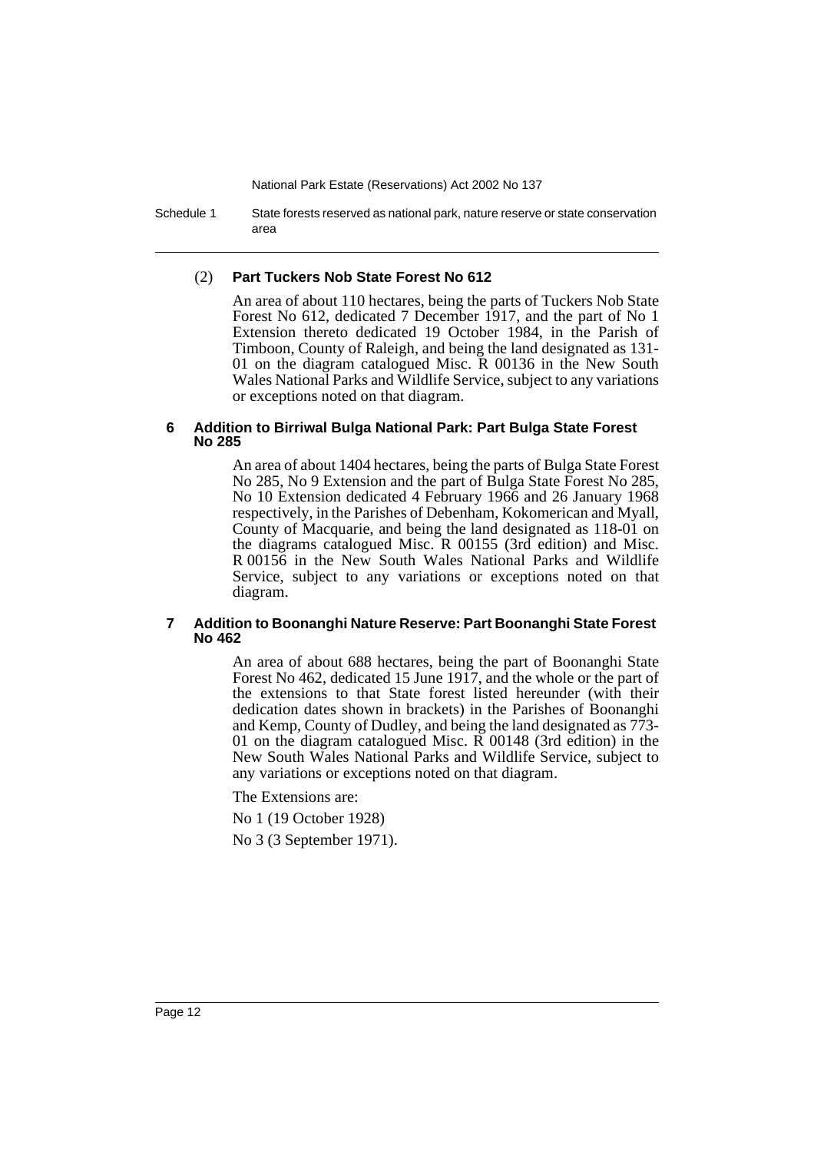Schedule 1 State forests reserved as national park, nature reserve or state conservation area

### (2) **Part Tuckers Nob State Forest No 612**

An area of about 110 hectares, being the parts of Tuckers Nob State Forest No 612, dedicated 7 December 1917, and the part of No 1 Extension thereto dedicated 19 October 1984, in the Parish of Timboon, County of Raleigh, and being the land designated as 131- 01 on the diagram catalogued Misc. R 00136 in the New South Wales National Parks and Wildlife Service, subject to any variations or exceptions noted on that diagram.

### **6 Addition to Birriwal Bulga National Park: Part Bulga State Forest No 285**

An area of about 1404 hectares, being the parts of Bulga State Forest No 285, No 9 Extension and the part of Bulga State Forest No 285, No 10 Extension dedicated 4 February 1966 and 26 January 1968 respectively, in the Parishes of Debenham, Kokomerican and Myall, County of Macquarie, and being the land designated as 118-01 on the diagrams catalogued Misc. R 00155 (3rd edition) and Misc. R 00156 in the New South Wales National Parks and Wildlife Service, subject to any variations or exceptions noted on that diagram.

### **7 Addition to Boonanghi Nature Reserve: Part Boonanghi State Forest No 462**

An area of about 688 hectares, being the part of Boonanghi State Forest No 462, dedicated 15 June 1917, and the whole or the part of the extensions to that State forest listed hereunder (with their dedication dates shown in brackets) in the Parishes of Boonanghi and Kemp, County of Dudley, and being the land designated as 773- 01 on the diagram catalogued Misc. R 00148 (3rd edition) in the New South Wales National Parks and Wildlife Service, subject to any variations or exceptions noted on that diagram.

The Extensions are:

No 1 (19 October 1928)

No 3 (3 September 1971).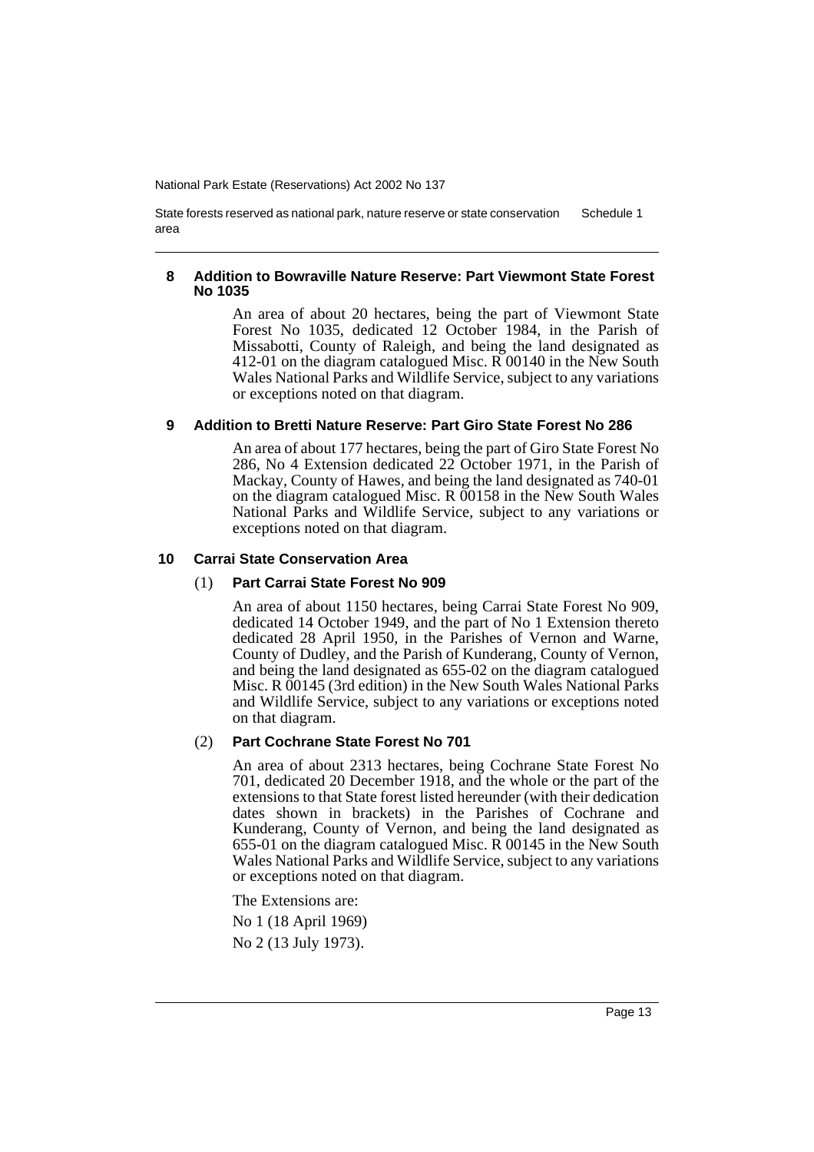State forests reserved as national park, nature reserve or state conservation area Schedule 1

### **8 Addition to Bowraville Nature Reserve: Part Viewmont State Forest No 1035**

An area of about 20 hectares, being the part of Viewmont State Forest No 1035, dedicated 12 October 1984, in the Parish of Missabotti, County of Raleigh, and being the land designated as 412-01 on the diagram catalogued Misc. R 00140 in the New South Wales National Parks and Wildlife Service, subject to any variations or exceptions noted on that diagram.

### **9 Addition to Bretti Nature Reserve: Part Giro State Forest No 286**

An area of about 177 hectares, being the part of Giro State Forest No 286, No 4 Extension dedicated 22 October 1971, in the Parish of Mackay, County of Hawes, and being the land designated as 740-01 on the diagram catalogued Misc. R 00158 in the New South Wales National Parks and Wildlife Service, subject to any variations or exceptions noted on that diagram.

### **10 Carrai State Conservation Area**

### (1) **Part Carrai State Forest No 909**

An area of about 1150 hectares, being Carrai State Forest No 909, dedicated 14 October 1949, and the part of No 1 Extension thereto dedicated 28 April 1950, in the Parishes of Vernon and Warne, County of Dudley, and the Parish of Kunderang, County of Vernon, and being the land designated as 655-02 on the diagram catalogued Misc. R 00145 (3rd edition) in the New South Wales National Parks and Wildlife Service, subject to any variations or exceptions noted on that diagram.

### (2) **Part Cochrane State Forest No 701**

An area of about 2313 hectares, being Cochrane State Forest No 701, dedicated 20 December 1918, and the whole or the part of the extensions to that State forest listed hereunder (with their dedication dates shown in brackets) in the Parishes of Cochrane and Kunderang, County of Vernon, and being the land designated as 655-01 on the diagram catalogued Misc. R 00145 in the New South Wales National Parks and Wildlife Service, subject to any variations or exceptions noted on that diagram.

The Extensions are:

No 1 (18 April 1969) No 2 (13 July 1973).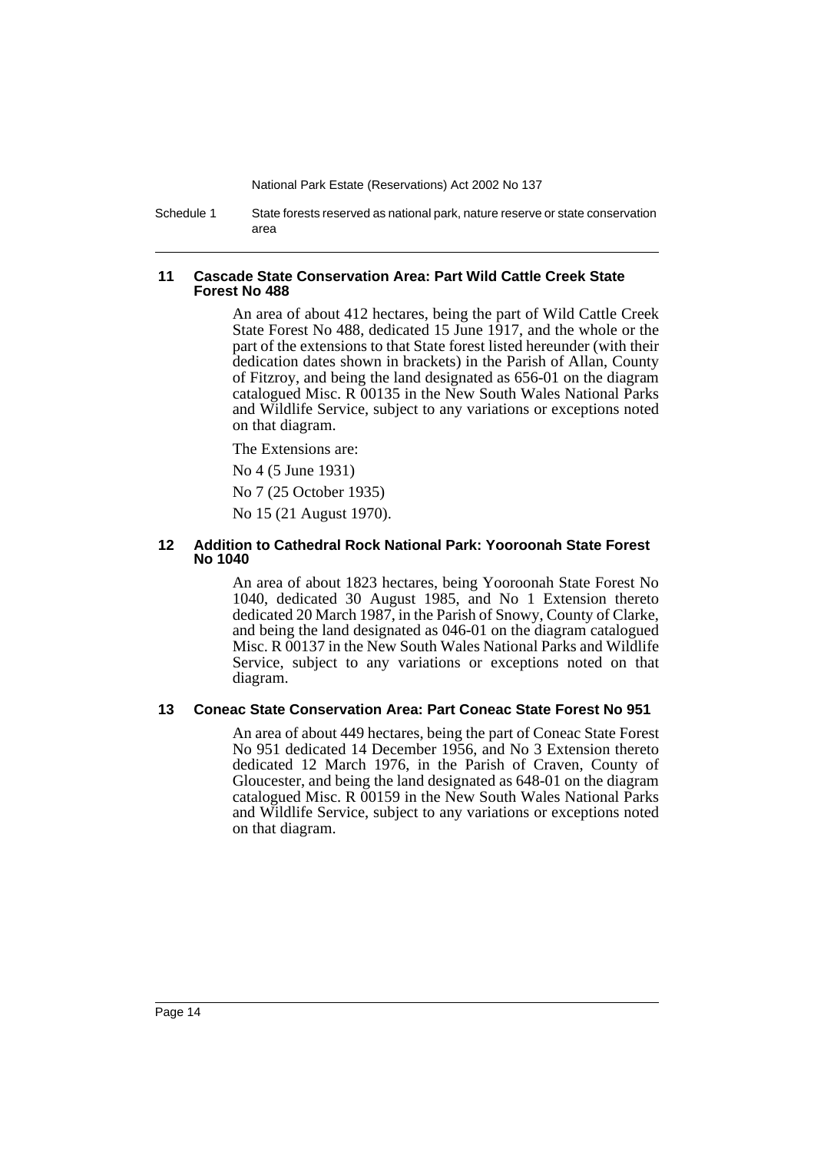Schedule 1 State forests reserved as national park, nature reserve or state conservation area

### **11 Cascade State Conservation Area: Part Wild Cattle Creek State Forest No 488**

An area of about 412 hectares, being the part of Wild Cattle Creek State Forest No 488, dedicated 15 June 1917, and the whole or the part of the extensions to that State forest listed hereunder (with their dedication dates shown in brackets) in the Parish of Allan, County of Fitzroy, and being the land designated as 656-01 on the diagram catalogued Misc. R 00135 in the New South Wales National Parks and Wildlife Service, subject to any variations or exceptions noted on that diagram.

The Extensions are:

No 4 (5 June 1931)

No 7 (25 October 1935)

No 15 (21 August 1970).

### **12 Addition to Cathedral Rock National Park: Yooroonah State Forest No 1040**

An area of about 1823 hectares, being Yooroonah State Forest No 1040, dedicated 30 August 1985, and No 1 Extension thereto dedicated 20 March 1987, in the Parish of Snowy, County of Clarke, and being the land designated as 046-01 on the diagram catalogued Misc. R 00137 in the New South Wales National Parks and Wildlife Service, subject to any variations or exceptions noted on that diagram.

### **13 Coneac State Conservation Area: Part Coneac State Forest No 951**

An area of about 449 hectares, being the part of Coneac State Forest No 951 dedicated 14 December 1956, and No 3 Extension thereto dedicated 12 March 1976, in the Parish of Craven, County of Gloucester, and being the land designated as 648-01 on the diagram catalogued Misc. R 00159 in the New South Wales National Parks and Wildlife Service, subject to any variations or exceptions noted on that diagram.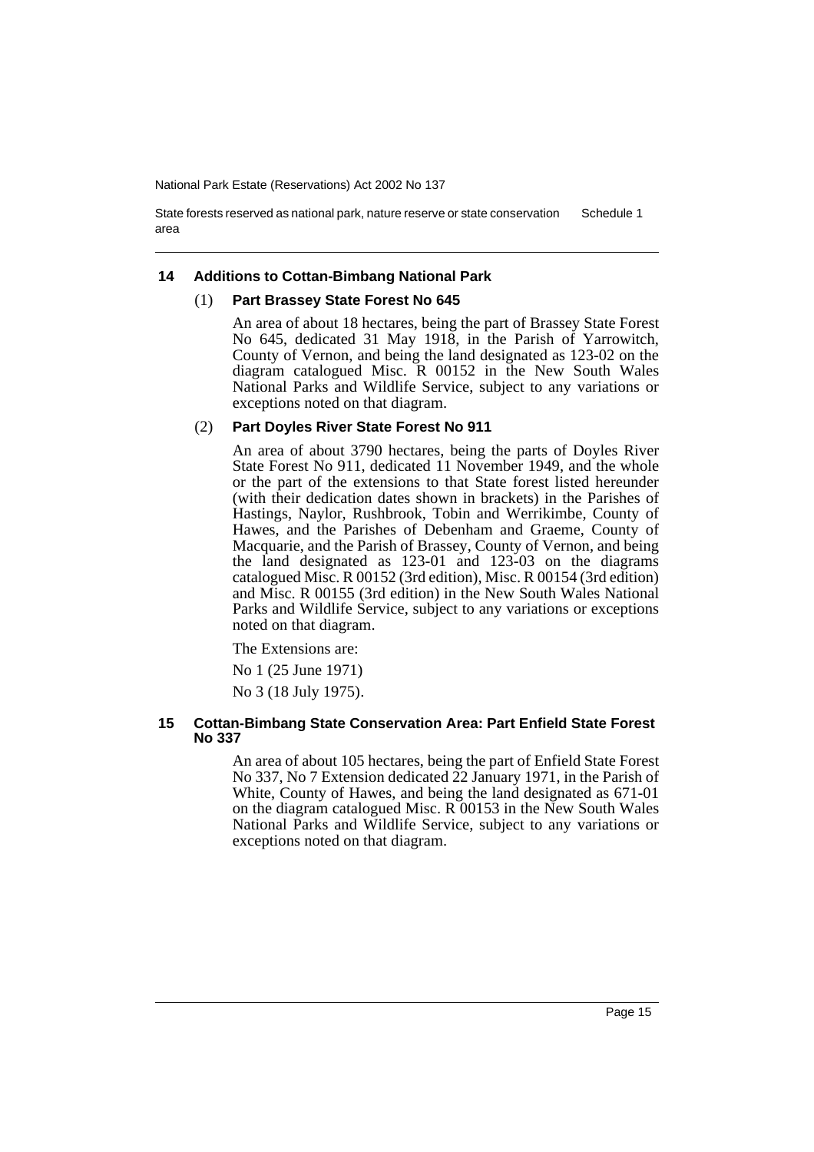State forests reserved as national park, nature reserve or state conservation area Schedule 1

### **14 Additions to Cottan-Bimbang National Park**

#### (1) **Part Brassey State Forest No 645**

An area of about 18 hectares, being the part of Brassey State Forest No 645, dedicated 31 May 1918, in the Parish of Yarrowitch, County of Vernon, and being the land designated as 123-02 on the diagram catalogued Misc. R 00152 in the New South Wales National Parks and Wildlife Service, subject to any variations or exceptions noted on that diagram.

#### (2) **Part Doyles River State Forest No 911**

An area of about 3790 hectares, being the parts of Doyles River State Forest No 911, dedicated 11 November 1949, and the whole or the part of the extensions to that State forest listed hereunder (with their dedication dates shown in brackets) in the Parishes of Hastings, Naylor, Rushbrook, Tobin and Werrikimbe, County of Hawes, and the Parishes of Debenham and Graeme, County of Macquarie, and the Parish of Brassey, County of Vernon, and being the land designated as 123-01 and 123-03 on the diagrams catalogued Misc. R 00152 (3rd edition), Misc. R 00154 (3rd edition) and Misc. R 00155 (3rd edition) in the New South Wales National Parks and Wildlife Service, subject to any variations or exceptions noted on that diagram.

The Extensions are:

No 1 (25 June 1971)

No 3 (18 July 1975).

### **15 Cottan-Bimbang State Conservation Area: Part Enfield State Forest No 337**

An area of about 105 hectares, being the part of Enfield State Forest No 337, No 7 Extension dedicated  $\tilde{2}2$  January 1971, in the Parish of White, County of Hawes, and being the land designated as 671-01 on the diagram catalogued Misc. R 00153 in the New South Wales National Parks and Wildlife Service, subject to any variations or exceptions noted on that diagram.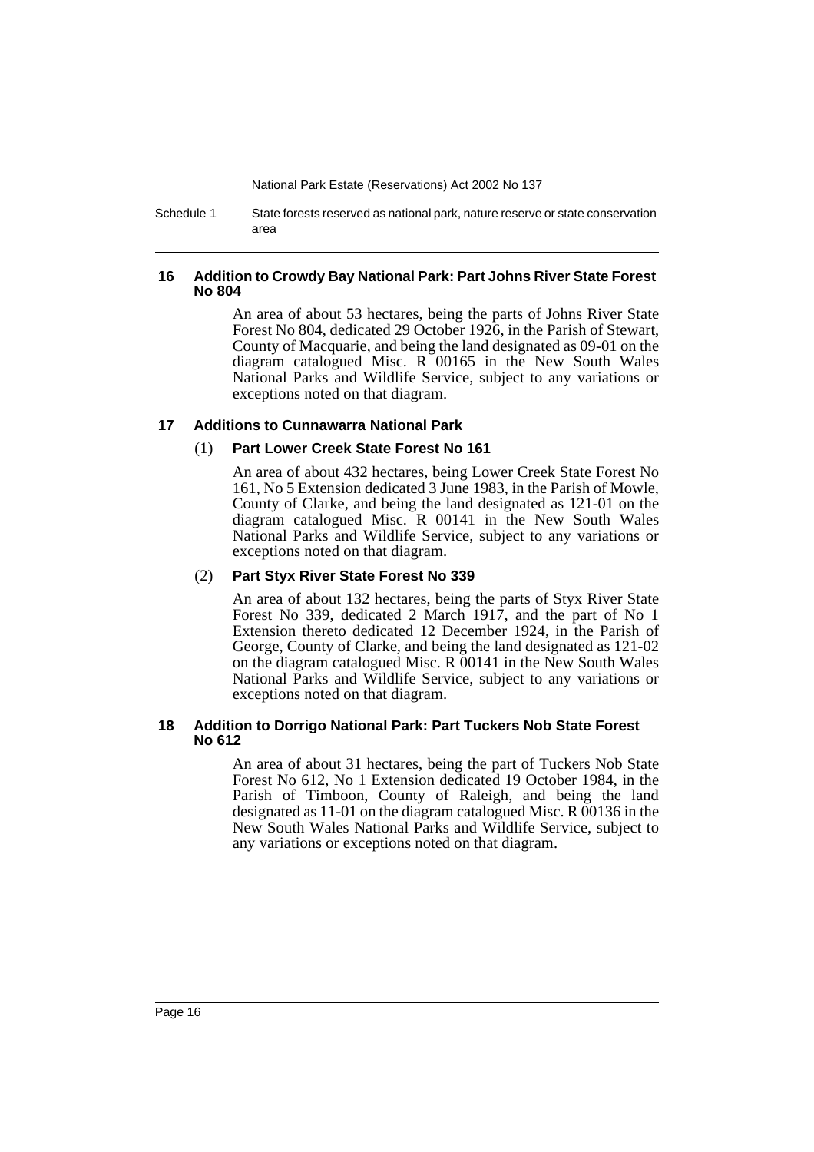Schedule 1 State forests reserved as national park, nature reserve or state conservation area

### **16 Addition to Crowdy Bay National Park: Part Johns River State Forest No 804**

An area of about 53 hectares, being the parts of Johns River State Forest No 804, dedicated 29 October 1926, in the Parish of Stewart, County of Macquarie, and being the land designated as 09-01 on the diagram catalogued Misc. R 00165 in the New South Wales National Parks and Wildlife Service, subject to any variations or exceptions noted on that diagram.

### **17 Additions to Cunnawarra National Park**

### (1) **Part Lower Creek State Forest No 161**

An area of about 432 hectares, being Lower Creek State Forest No 161, No 5 Extension dedicated 3 June 1983, in the Parish of Mowle, County of Clarke, and being the land designated as 121-01 on the diagram catalogued Misc. R 00141 in the New South Wales National Parks and Wildlife Service, subject to any variations or exceptions noted on that diagram.

### (2) **Part Styx River State Forest No 339**

An area of about 132 hectares, being the parts of Styx River State Forest No 339, dedicated 2 March 1917, and the part of No 1 Extension thereto dedicated 12 December 1924, in the Parish of George, County of Clarke, and being the land designated as 121-02 on the diagram catalogued Misc. R 00141 in the New South Wales National Parks and Wildlife Service, subject to any variations or exceptions noted on that diagram.

### **18 Addition to Dorrigo National Park: Part Tuckers Nob State Forest No 612**

An area of about 31 hectares, being the part of Tuckers Nob State Forest No 612, No 1 Extension dedicated 19 October 1984, in the Parish of Timboon, County of Raleigh, and being the land designated as 11-01 on the diagram catalogued Misc. R 00136 in the New South Wales National Parks and Wildlife Service, subject to any variations or exceptions noted on that diagram.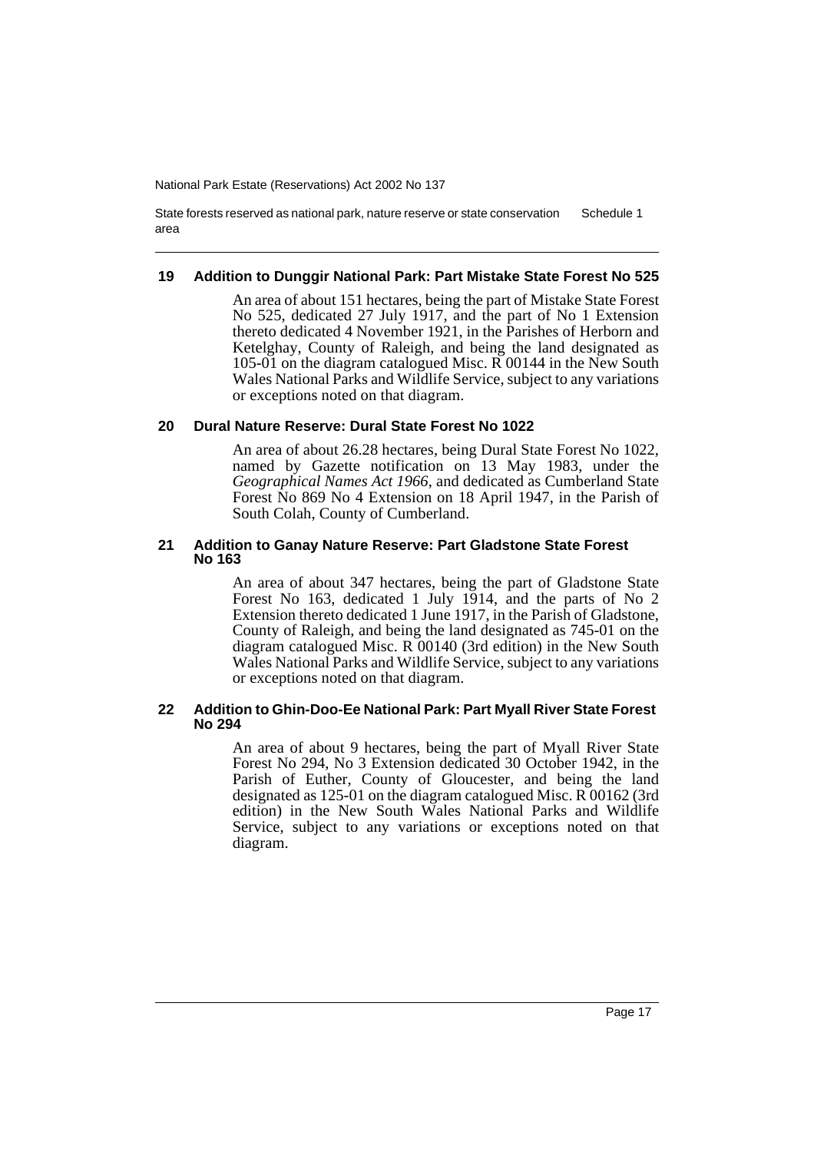State forests reserved as national park, nature reserve or state conservation area Schedule 1

### **19 Addition to Dunggir National Park: Part Mistake State Forest No 525**

An area of about 151 hectares, being the part of Mistake State Forest No 525, dedicated 27 July 1917, and the part of No 1 Extension thereto dedicated 4 November 1921, in the Parishes of Herborn and Ketelghay, County of Raleigh, and being the land designated as 105-01 on the diagram catalogued Misc. R 00144 in the New South Wales National Parks and Wildlife Service, subject to any variations or exceptions noted on that diagram.

### **20 Dural Nature Reserve: Dural State Forest No 1022**

An area of about 26.28 hectares, being Dural State Forest No 1022, named by Gazette notification on 13 May 1983, under the *Geographical Names Act 1966*, and dedicated as Cumberland State Forest No 869 No 4 Extension on 18 April 1947, in the Parish of South Colah, County of Cumberland.

### **21 Addition to Ganay Nature Reserve: Part Gladstone State Forest No 163**

An area of about 347 hectares, being the part of Gladstone State Forest No 163, dedicated 1 July 1914, and the parts of No 2 Extension thereto dedicated 1 June 1917, in the Parish of Gladstone, County of Raleigh, and being the land designated as 745-01 on the diagram catalogued Misc. R 00140 (3rd edition) in the New South Wales National Parks and Wildlife Service, subject to any variations or exceptions noted on that diagram.

### **22 Addition to Ghin-Doo-Ee National Park: Part Myall River State Forest No 294**

An area of about 9 hectares, being the part of Myall River State Forest No 294, No 3 Extension dedicated 30 October 1942, in the Parish of Euther, County of Gloucester, and being the land designated as 125-01 on the diagram catalogued Misc. R 00162 (3rd edition) in the New South Wales National Parks and Wildlife Service, subject to any variations or exceptions noted on that diagram.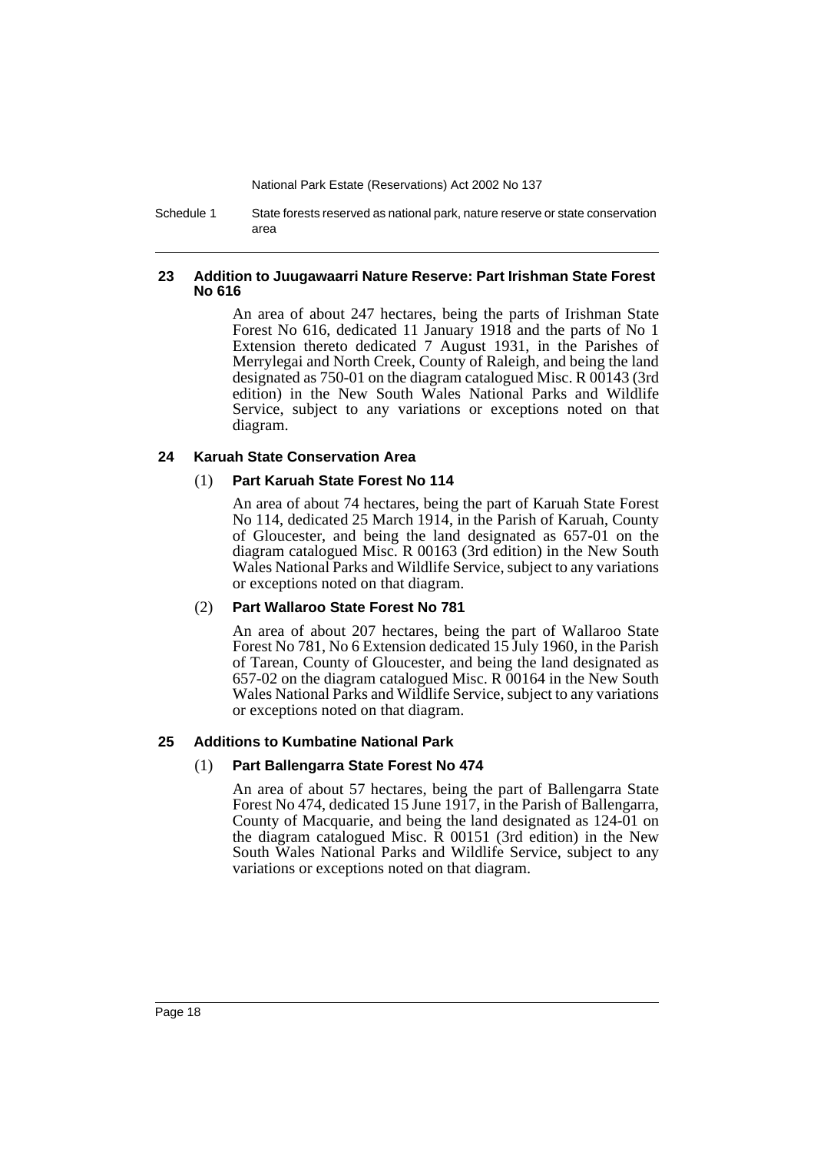Schedule 1 State forests reserved as national park, nature reserve or state conservation area

### **23 Addition to Juugawaarri Nature Reserve: Part Irishman State Forest No 616**

An area of about 247 hectares, being the parts of Irishman State Forest No 616, dedicated 11 January 1918 and the parts of No 1 Extension thereto dedicated 7 August 1931, in the Parishes of Merrylegai and North Creek, County of Raleigh, and being the land designated as 750-01 on the diagram catalogued Misc. R 00143 (3rd edition) in the New South Wales National Parks and Wildlife Service, subject to any variations or exceptions noted on that diagram.

### **24 Karuah State Conservation Area**

### (1) **Part Karuah State Forest No 114**

An area of about 74 hectares, being the part of Karuah State Forest No 114, dedicated 25 March 1914, in the Parish of Karuah, County of Gloucester, and being the land designated as 657-01 on the diagram catalogued Misc. R 00163 (3rd edition) in the New South Wales National Parks and Wildlife Service, subject to any variations or exceptions noted on that diagram.

### (2) **Part Wallaroo State Forest No 781**

An area of about 207 hectares, being the part of Wallaroo State Forest No 781, No 6 Extension dedicated 15 July 1960, in the Parish of Tarean, County of Gloucester, and being the land designated as 657-02 on the diagram catalogued Misc. R 00164 in the New South Wales National Parks and Wildlife Service, subject to any variations or exceptions noted on that diagram.

### **25 Additions to Kumbatine National Park**

### (1) **Part Ballengarra State Forest No 474**

An area of about 57 hectares, being the part of Ballengarra State Forest No 474, dedicated 15 June 1917, in the Parish of Ballengarra, County of Macquarie, and being the land designated as 124-01 on the diagram catalogued Misc. R 00151 (3rd edition) in the New South Wales National Parks and Wildlife Service, subject to any variations or exceptions noted on that diagram.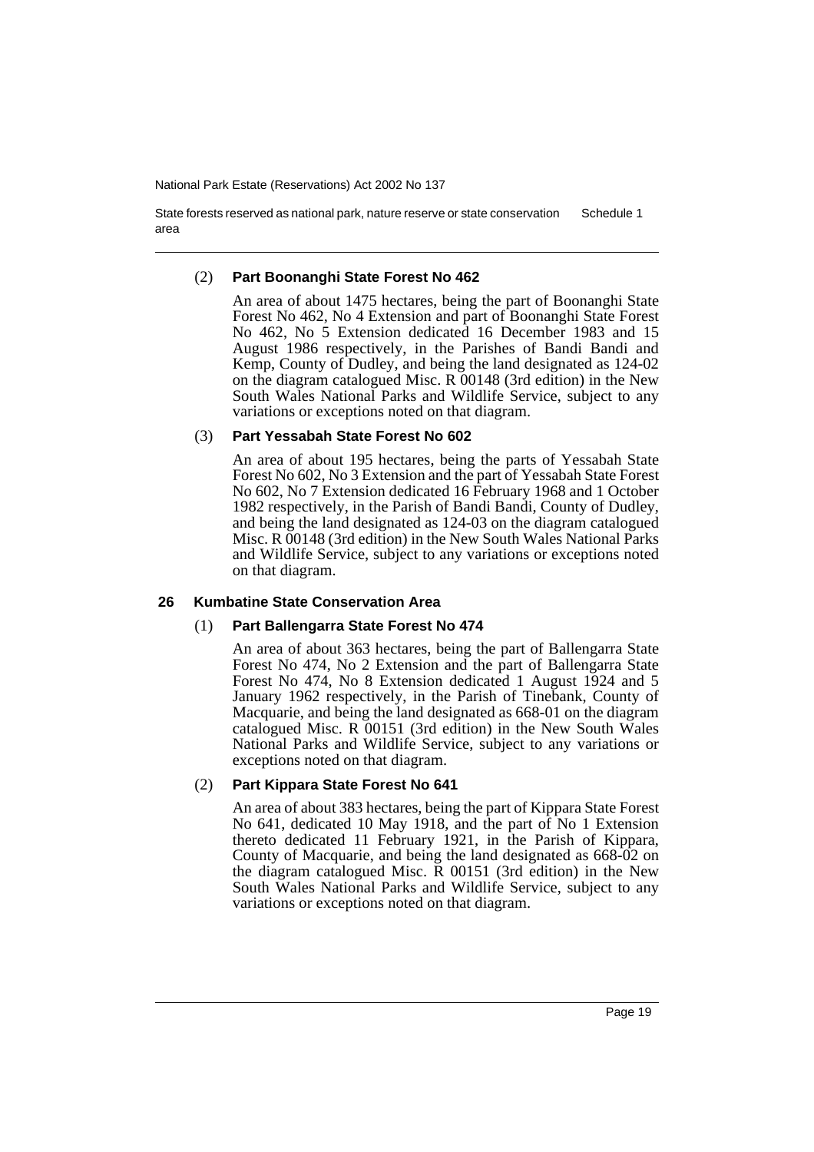State forests reserved as national park, nature reserve or state conservation area Schedule 1

### (2) **Part Boonanghi State Forest No 462**

An area of about 1475 hectares, being the part of Boonanghi State Forest No 462, No 4 Extension and part of Boonanghi State Forest No 462, No 5 Extension dedicated 16 December 1983 and 15 August 1986 respectively, in the Parishes of Bandi Bandi and Kemp, County of Dudley, and being the land designated as 124-02 on the diagram catalogued Misc. R 00148 (3rd edition) in the New South Wales National Parks and Wildlife Service, subject to any variations or exceptions noted on that diagram.

### (3) **Part Yessabah State Forest No 602**

An area of about 195 hectares, being the parts of Yessabah State Forest No 602, No 3 Extension and the part of Yessabah State Forest No 602, No 7 Extension dedicated 16 February 1968 and 1 October 1982 respectively, in the Parish of Bandi Bandi, County of Dudley, and being the land designated as 124-03 on the diagram catalogued Misc. R 00148 (3rd edition) in the New South Wales National Parks and Wildlife Service, subject to any variations or exceptions noted on that diagram.

### **26 Kumbatine State Conservation Area**

### (1) **Part Ballengarra State Forest No 474**

An area of about 363 hectares, being the part of Ballengarra State Forest No 474, No 2 Extension and the part of Ballengarra State Forest No 474, No 8 Extension dedicated 1 August 1924 and 5 January 1962 respectively, in the Parish of Tinebank, County of Macquarie, and being the land designated as 668-01 on the diagram catalogued Misc. R 00151 (3rd edition) in the New South Wales National Parks and Wildlife Service, subject to any variations or exceptions noted on that diagram.

### (2) **Part Kippara State Forest No 641**

An area of about 383 hectares, being the part of Kippara State Forest No 641, dedicated 10 May 1918, and the part of No 1 Extension thereto dedicated 11 February 1921, in the Parish of Kippara, County of Macquarie, and being the land designated as 668-02 on the diagram catalogued Misc. R 00151 (3rd edition) in the New South Wales National Parks and Wildlife Service, subject to any variations or exceptions noted on that diagram.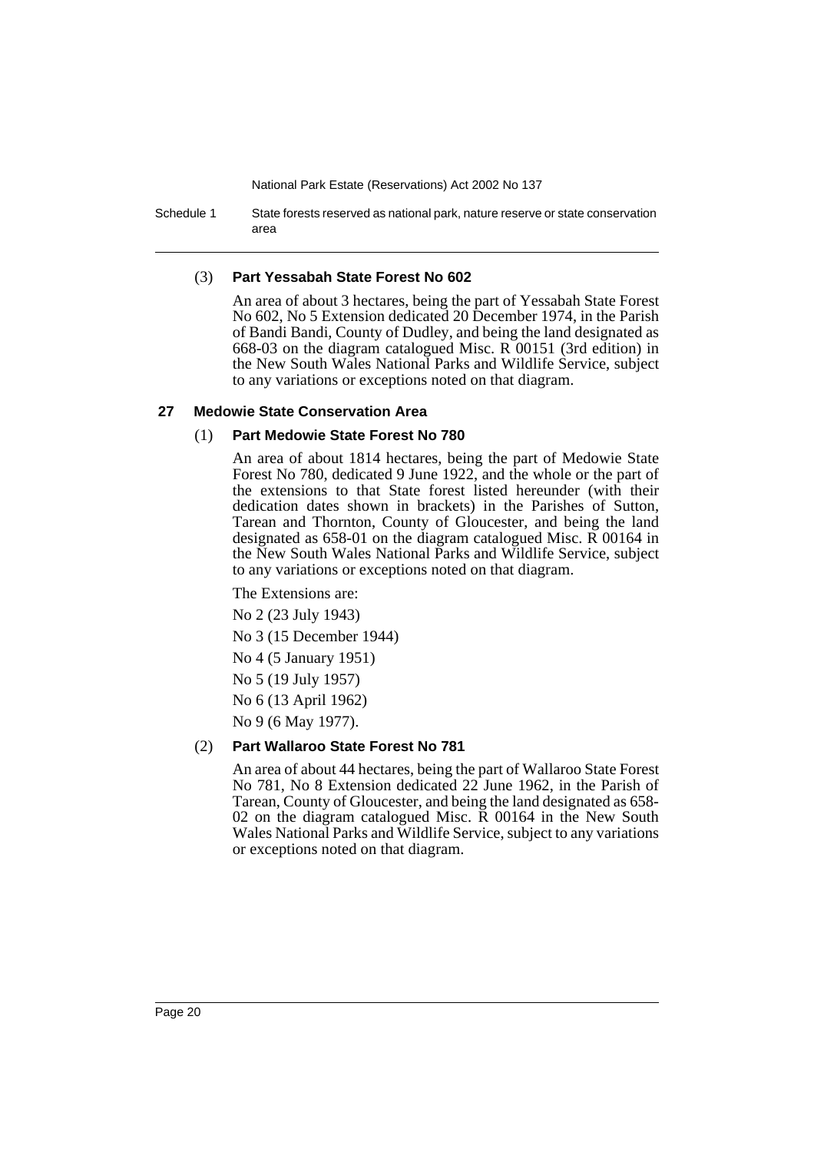Schedule 1 State forests reserved as national park, nature reserve or state conservation area

### (3) **Part Yessabah State Forest No 602**

An area of about 3 hectares, being the part of Yessabah State Forest No 602, No 5 Extension dedicated 20 December 1974, in the Parish of Bandi Bandi, County of Dudley, and being the land designated as 668-03 on the diagram catalogued Misc. R 00151 (3rd edition) in the New South Wales National Parks and Wildlife Service, subject to any variations or exceptions noted on that diagram.

### **27 Medowie State Conservation Area**

### (1) **Part Medowie State Forest No 780**

An area of about 1814 hectares, being the part of Medowie State Forest No 780, dedicated 9 June 1922, and the whole or the part of the extensions to that State forest listed hereunder (with their dedication dates shown in brackets) in the Parishes of Sutton, Tarean and Thornton, County of Gloucester, and being the land designated as 658-01 on the diagram catalogued Misc. R 00164 in the New South Wales National Parks and Wildlife Service, subject to any variations or exceptions noted on that diagram.

The Extensions are: No 2 (23 July 1943)

No 3 (15 December 1944)

No 4 (5 January 1951)

No 5 (19 July 1957)

No 6 (13 April 1962)

No 9 (6 May 1977).

### (2) **Part Wallaroo State Forest No 781**

An area of about 44 hectares, being the part of Wallaroo State Forest No 781, No 8 Extension dedicated 22 June 1962, in the Parish of Tarean, County of Gloucester, and being the land designated as 658- 02 on the diagram catalogued Misc. R 00164 in the New South Wales National Parks and Wildlife Service, subject to any variations or exceptions noted on that diagram.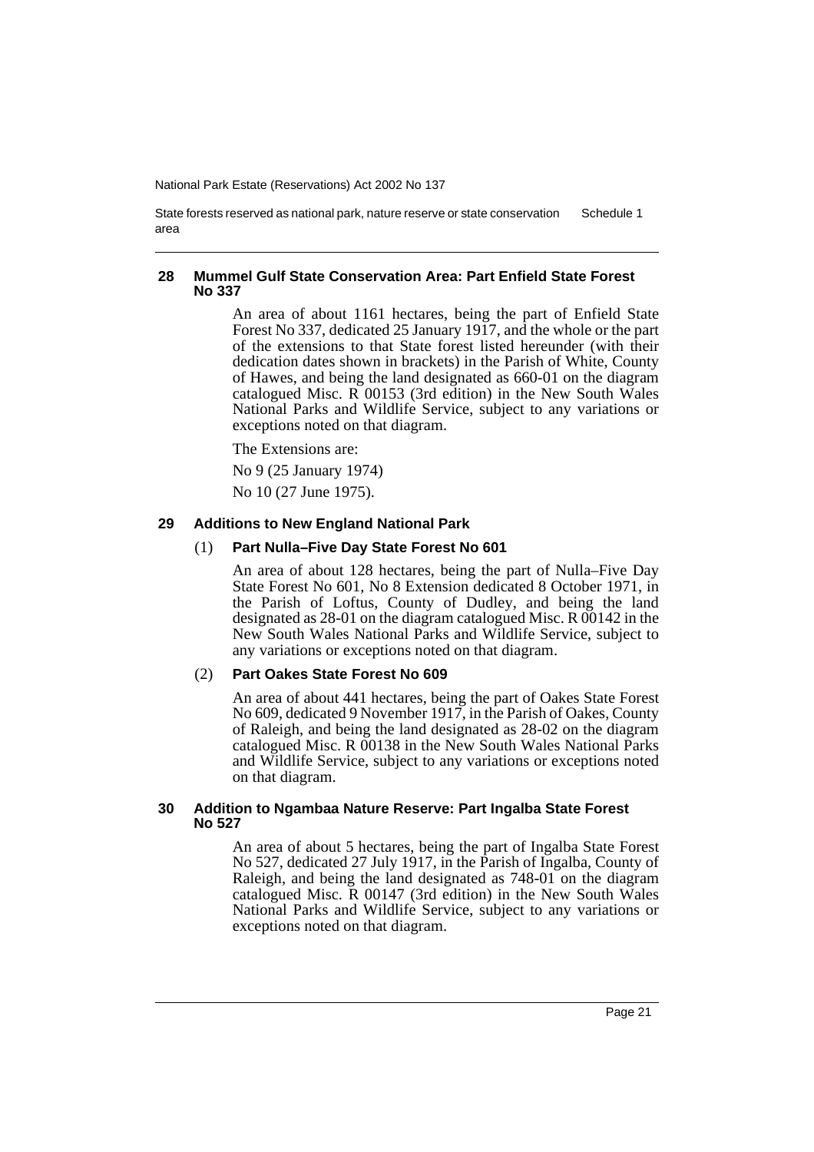State forests reserved as national park, nature reserve or state conservation area Schedule 1

### **28 Mummel Gulf State Conservation Area: Part Enfield State Forest No 337**

An area of about 1161 hectares, being the part of Enfield State Forest No 337, dedicated 25 January 1917, and the whole or the part of the extensions to that State forest listed hereunder (with their dedication dates shown in brackets) in the Parish of White, County of Hawes, and being the land designated as 660-01 on the diagram catalogued Misc. R 00153 (3rd edition) in the New South Wales National Parks and Wildlife Service, subject to any variations or exceptions noted on that diagram.

The Extensions are:

No 9 (25 January 1974)

No 10 (27 June 1975).

### **29 Additions to New England National Park**

### (1) **Part Nulla–Five Day State Forest No 601**

An area of about 128 hectares, being the part of Nulla–Five Day State Forest No 601, No 8 Extension dedicated 8 October 1971, in the Parish of Loftus, County of Dudley, and being the land designated as 28-01 on the diagram catalogued Misc. R 00142 in the New South Wales National Parks and Wildlife Service, subject to any variations or exceptions noted on that diagram.

### (2) **Part Oakes State Forest No 609**

An area of about 441 hectares, being the part of Oakes State Forest No 609, dedicated 9 November 1917, in the Parish of Oakes, County of Raleigh, and being the land designated as 28-02 on the diagram catalogued Misc. R 00138 in the New South Wales National Parks and Wildlife Service, subject to any variations or exceptions noted on that diagram.

### **30 Addition to Ngambaa Nature Reserve: Part Ingalba State Forest No 527**

An area of about 5 hectares, being the part of Ingalba State Forest No 527, dedicated 27 July 1917, in the Parish of Ingalba, County of Raleigh, and being the land designated as 748-01 on the diagram catalogued Misc. R 00147 (3rd edition) in the New South Wales National Parks and Wildlife Service, subject to any variations or exceptions noted on that diagram.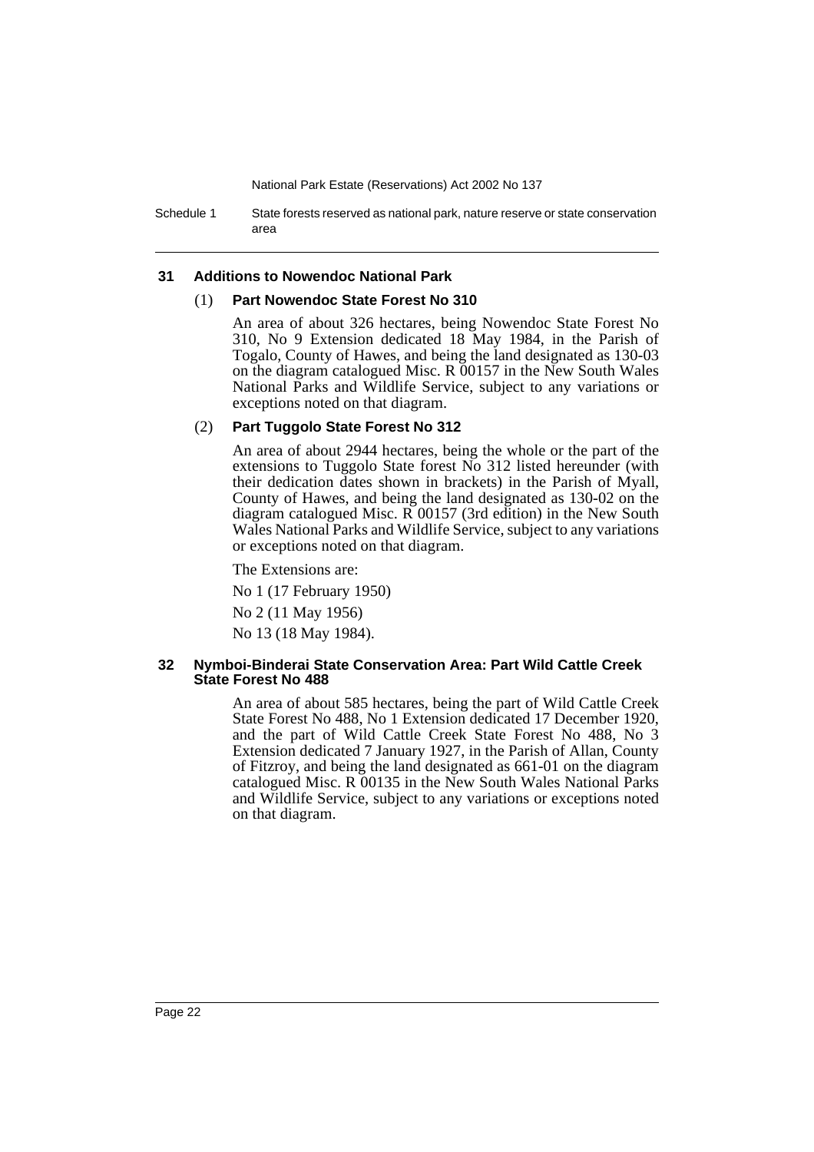Schedule 1 State forests reserved as national park, nature reserve or state conservation area

#### **31 Additions to Nowendoc National Park**

#### (1) **Part Nowendoc State Forest No 310**

An area of about 326 hectares, being Nowendoc State Forest No 310, No 9 Extension dedicated 18 May 1984, in the Parish of Togalo, County of Hawes, and being the land designated as 130-03 on the diagram catalogued Misc. R 00157 in the New South Wales National Parks and Wildlife Service, subject to any variations or exceptions noted on that diagram.

#### (2) **Part Tuggolo State Forest No 312**

An area of about 2944 hectares, being the whole or the part of the extensions to Tuggolo State forest No 312 listed hereunder (with their dedication dates shown in brackets) in the Parish of Myall, County of Hawes, and being the land designated as 130-02 on the diagram catalogued Misc. R 00157 (3rd edition) in the New South Wales National Parks and Wildlife Service, subject to any variations or exceptions noted on that diagram.

The Extensions are:

No 1 (17 February 1950)

No 2 (11 May 1956)

No 13 (18 May 1984).

#### **32 Nymboi-Binderai State Conservation Area: Part Wild Cattle Creek State Forest No 488**

An area of about 585 hectares, being the part of Wild Cattle Creek State Forest No 488, No 1 Extension dedicated 17 December 1920, and the part of Wild Cattle Creek State Forest No 488, No 3 Extension dedicated 7 January 1927, in the Parish of Allan, County of Fitzroy, and being the land designated as 661-01 on the diagram catalogued Misc. R 00135 in the New South Wales National Parks and Wildlife Service, subject to any variations or exceptions noted on that diagram.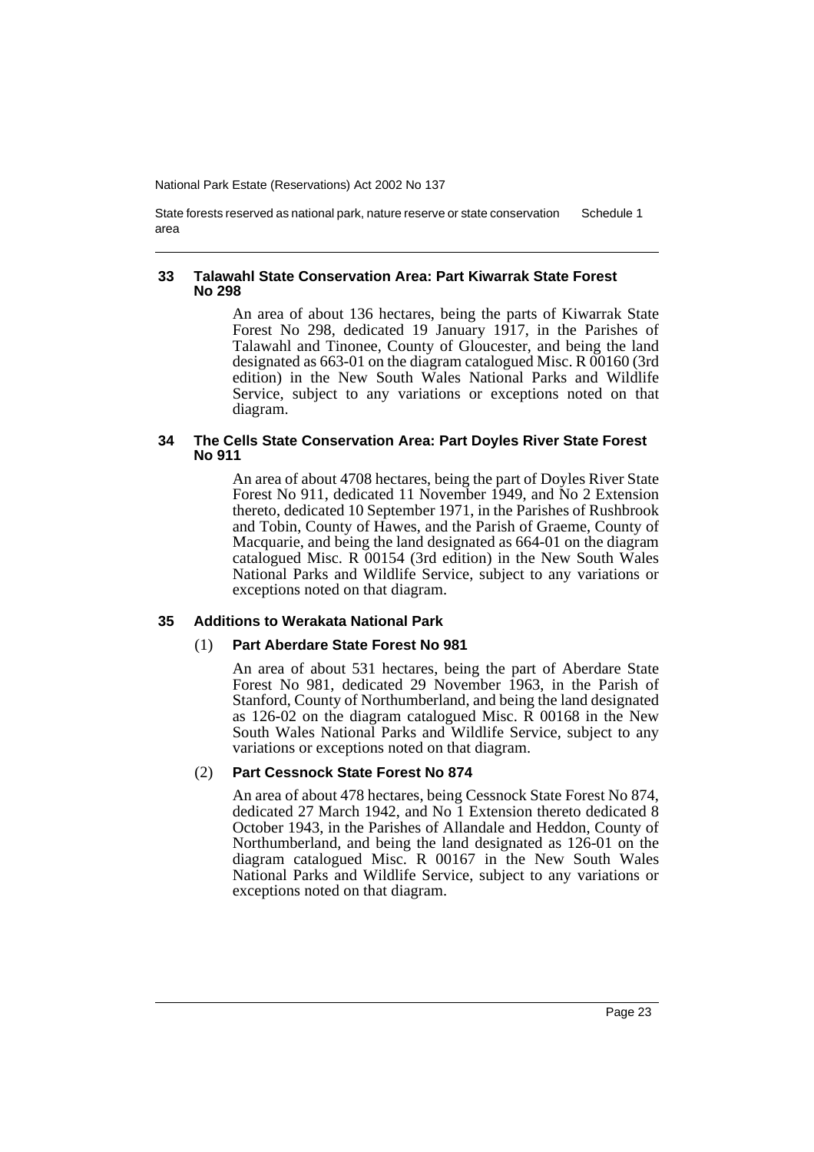State forests reserved as national park, nature reserve or state conservation area Schedule 1

### **33 Talawahl State Conservation Area: Part Kiwarrak State Forest No 298**

An area of about 136 hectares, being the parts of Kiwarrak State Forest No 298, dedicated 19 January 1917, in the Parishes of Talawahl and Tinonee, County of Gloucester, and being the land designated as 663-01 on the diagram catalogued Misc. R 00160 (3rd edition) in the New South Wales National Parks and Wildlife Service, subject to any variations or exceptions noted on that diagram.

### **34 The Cells State Conservation Area: Part Doyles River State Forest No 911**

An area of about 4708 hectares, being the part of Doyles River State Forest No 911, dedicated 11 November 1949, and No 2 Extension thereto, dedicated 10 September 1971, in the Parishes of Rushbrook and Tobin, County of Hawes, and the Parish of Graeme, County of Macquarie, and being the land designated as 664-01 on the diagram catalogued Misc. R 00154 (3rd edition) in the New South Wales National Parks and Wildlife Service, subject to any variations or exceptions noted on that diagram.

### **35 Additions to Werakata National Park**

### (1) **Part Aberdare State Forest No 981**

An area of about 531 hectares, being the part of Aberdare State Forest No 981, dedicated 29 November 1963, in the Parish of Stanford, County of Northumberland, and being the land designated as 126-02 on the diagram catalogued Misc. R 00168 in the New South Wales National Parks and Wildlife Service, subject to any variations or exceptions noted on that diagram.

### (2) **Part Cessnock State Forest No 874**

An area of about 478 hectares, being Cessnock State Forest No 874, dedicated 27 March 1942, and No 1 Extension thereto dedicated 8 October 1943, in the Parishes of Allandale and Heddon, County of Northumberland, and being the land designated as 126-01 on the diagram catalogued Misc. R 00167 in the New South Wales National Parks and Wildlife Service, subject to any variations or exceptions noted on that diagram.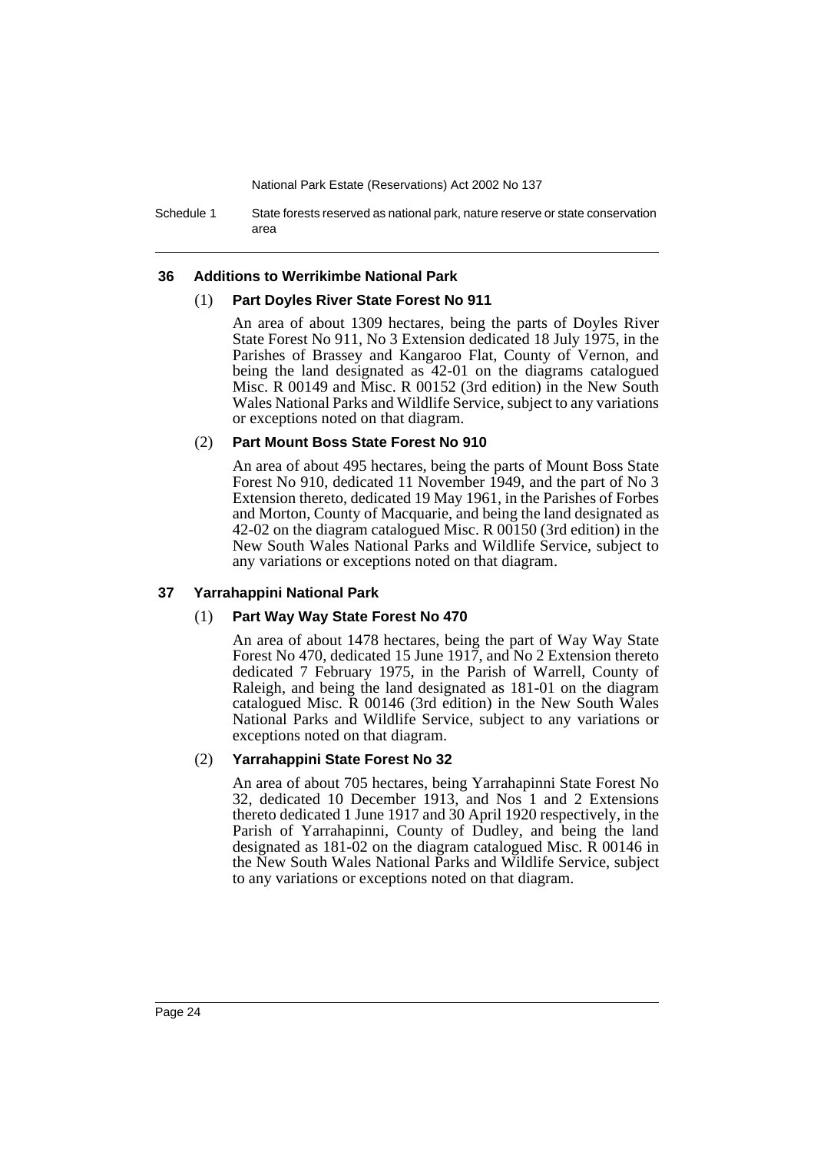Schedule 1 State forests reserved as national park, nature reserve or state conservation area

#### **36 Additions to Werrikimbe National Park**

#### (1) **Part Doyles River State Forest No 911**

An area of about 1309 hectares, being the parts of Doyles River State Forest No 911, No 3 Extension dedicated 18 July 1975, in the Parishes of Brassey and Kangaroo Flat, County of Vernon, and being the land designated as 42-01 on the diagrams catalogued Misc. R 00149 and Misc. R 00152 (3rd edition) in the New South Wales National Parks and Wildlife Service, subject to any variations or exceptions noted on that diagram.

### (2) **Part Mount Boss State Forest No 910**

An area of about 495 hectares, being the parts of Mount Boss State Forest No 910, dedicated 11 November 1949, and the part of No 3 Extension thereto, dedicated 19 May 1961, in the Parishes of Forbes and Morton, County of Macquarie, and being the land designated as 42-02 on the diagram catalogued Misc. R 00150 (3rd edition) in the New South Wales National Parks and Wildlife Service, subject to any variations or exceptions noted on that diagram.

### **37 Yarrahappini National Park**

### (1) **Part Way Way State Forest No 470**

An area of about 1478 hectares, being the part of Way Way State Forest No 470, dedicated 15 June 1917, and No 2 Extension thereto dedicated 7 February 1975, in the Parish of Warrell, County of Raleigh, and being the land designated as 181-01 on the diagram catalogued Misc. R 00146 (3rd edition) in the New South Wales National Parks and Wildlife Service, subject to any variations or exceptions noted on that diagram.

### (2) **Yarrahappini State Forest No 32**

An area of about 705 hectares, being Yarrahapinni State Forest No 32, dedicated 10 December 1913, and Nos 1 and 2 Extensions thereto dedicated 1 June 1917 and 30 April 1920 respectively, in the Parish of Yarrahapinni, County of Dudley, and being the land designated as 181-02 on the diagram catalogued Misc. R 00146 in the New South Wales National Parks and Wildlife Service, subject to any variations or exceptions noted on that diagram.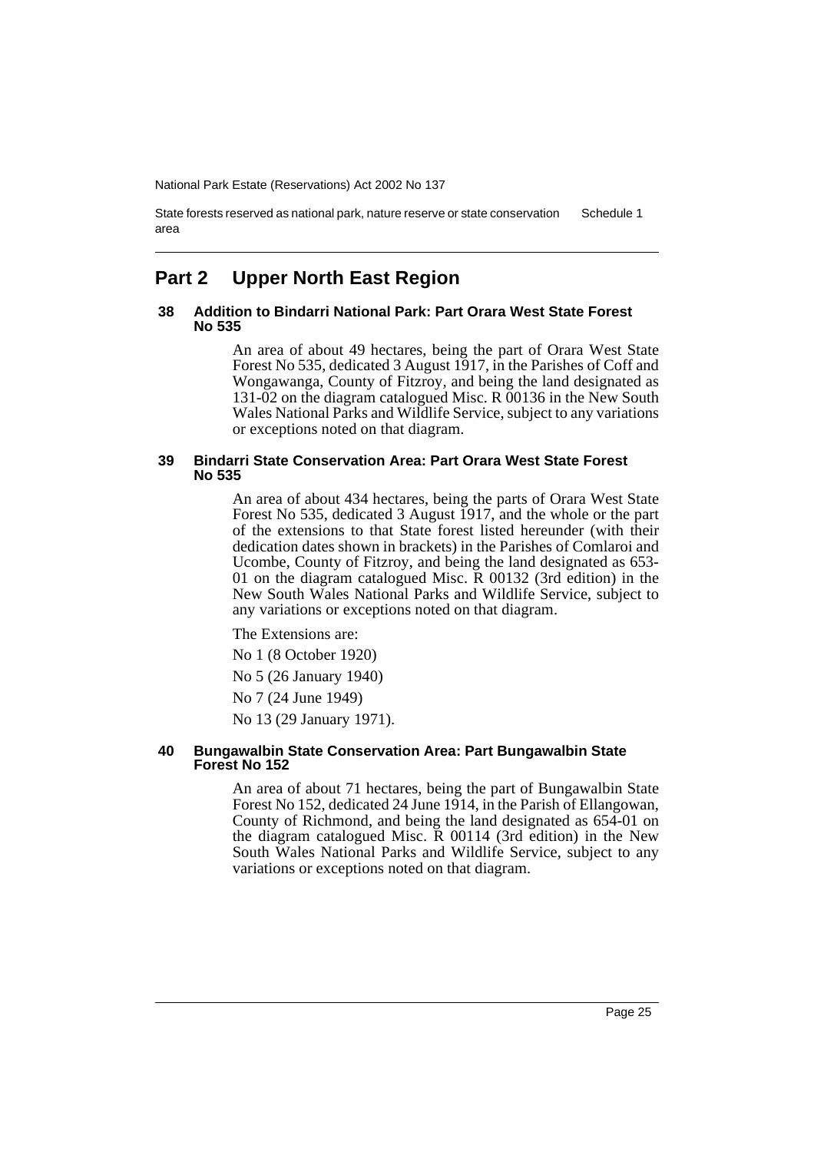State forests reserved as national park, nature reserve or state conservation area Schedule 1

# **Part 2 Upper North East Region**

### **38 Addition to Bindarri National Park: Part Orara West State Forest No 535**

An area of about 49 hectares, being the part of Orara West State Forest No 535, dedicated 3 August 1917, in the Parishes of Coff and Wongawanga, County of Fitzroy, and being the land designated as 131-02 on the diagram catalogued Misc. R 00136 in the New South Wales National Parks and Wildlife Service, subject to any variations or exceptions noted on that diagram.

#### **39 Bindarri State Conservation Area: Part Orara West State Forest No 535**

An area of about 434 hectares, being the parts of Orara West State Forest No 535, dedicated 3 August 1917, and the whole or the part of the extensions to that State forest listed hereunder (with their dedication dates shown in brackets) in the Parishes of Comlaroi and Ucombe, County of Fitzroy, and being the land designated as 653- 01 on the diagram catalogued Misc. R 00132 (3rd edition) in the New South Wales National Parks and Wildlife Service, subject to any variations or exceptions noted on that diagram.

The Extensions are:

No 1 (8 October 1920)

No 5 (26 January 1940)

No 7 (24 June 1949)

No 13 (29 January 1971).

### **40 Bungawalbin State Conservation Area: Part Bungawalbin State Forest No 152**

An area of about 71 hectares, being the part of Bungawalbin State Forest No 152, dedicated 24 June 1914, in the Parish of Ellangowan, County of Richmond, and being the land designated as 654-01 on the diagram catalogued Misc. R 00114 (3rd edition) in the New South Wales National Parks and Wildlife Service, subject to any variations or exceptions noted on that diagram.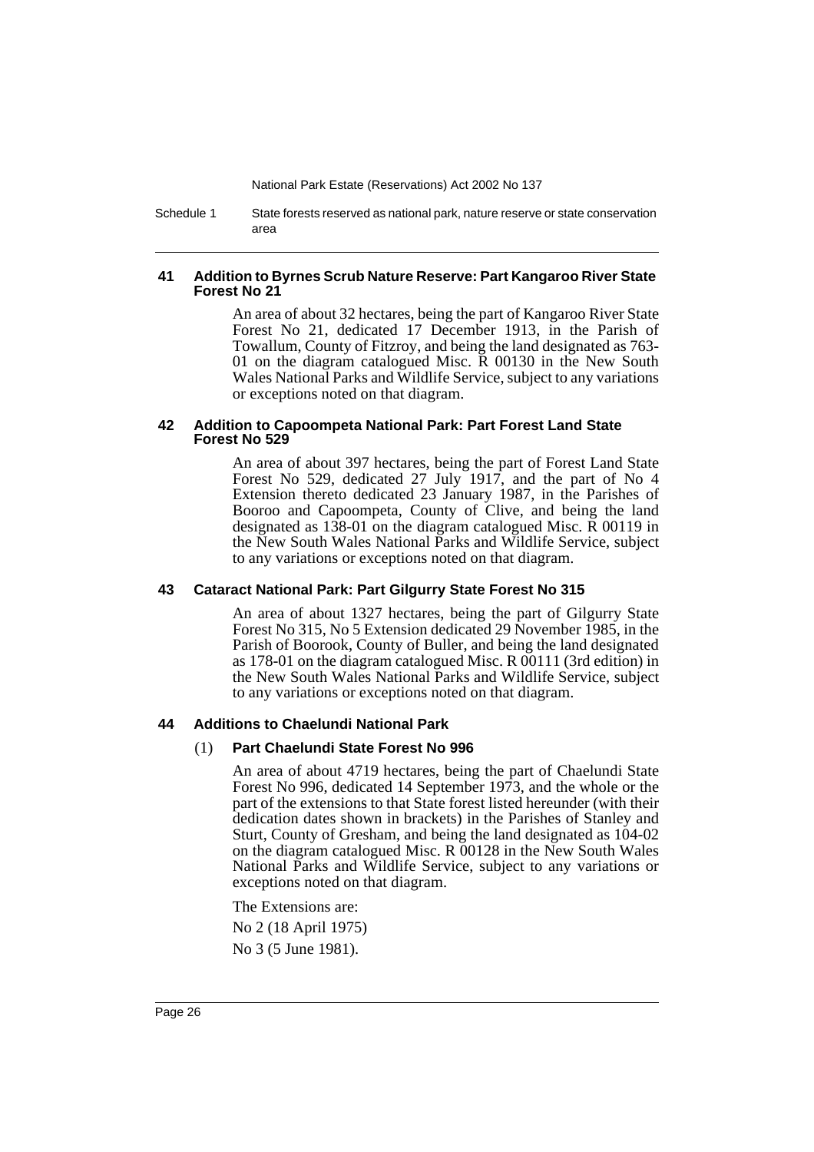Schedule 1 State forests reserved as national park, nature reserve or state conservation area

### **41 Addition to Byrnes Scrub Nature Reserve: Part Kangaroo River State Forest No 21**

An area of about 32 hectares, being the part of Kangaroo River State Forest No 21, dedicated 17 December 1913, in the Parish of Towallum, County of Fitzroy, and being the land designated as 763- 01 on the diagram catalogued Misc. R 00130 in the New South Wales National Parks and Wildlife Service, subject to any variations or exceptions noted on that diagram.

### **42 Addition to Capoompeta National Park: Part Forest Land State Forest No 529**

An area of about 397 hectares, being the part of Forest Land State Forest No 529, dedicated 27 July 1917, and the part of No 4 Extension thereto dedicated 23 January 1987, in the Parishes of Booroo and Capoompeta, County of Clive, and being the land designated as 138-01 on the diagram catalogued Misc. R 00119 in the New South Wales National Parks and Wildlife Service, subject to any variations or exceptions noted on that diagram.

### **43 Cataract National Park: Part Gilgurry State Forest No 315**

An area of about 1327 hectares, being the part of Gilgurry State Forest No 315, No 5 Extension dedicated 29 November 1985, in the Parish of Boorook, County of Buller, and being the land designated as 178-01 on the diagram catalogued Misc. R 00111 (3rd edition) in the New South Wales National Parks and Wildlife Service, subject to any variations or exceptions noted on that diagram.

### **44 Additions to Chaelundi National Park**

### (1) **Part Chaelundi State Forest No 996**

An area of about 4719 hectares, being the part of Chaelundi State Forest No 996, dedicated 14 September 1973, and the whole or the part of the extensions to that State forest listed hereunder (with their dedication dates shown in brackets) in the Parishes of Stanley and Sturt, County of Gresham, and being the land designated as 104-02 on the diagram catalogued Misc. R 00128 in the New South Wales National Parks and Wildlife Service, subject to any variations or exceptions noted on that diagram.

The Extensions are: No 2 (18 April 1975) No 3 (5 June 1981).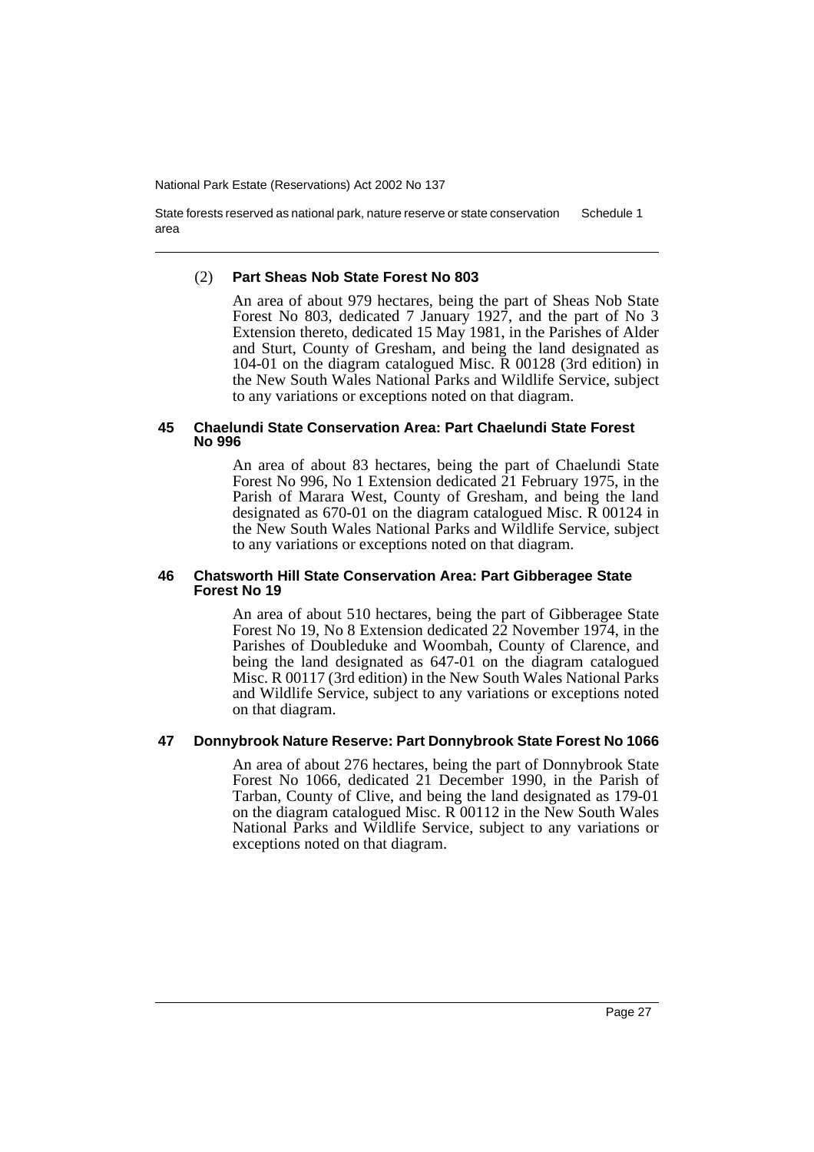State forests reserved as national park, nature reserve or state conservation area Schedule 1

#### (2) **Part Sheas Nob State Forest No 803**

An area of about 979 hectares, being the part of Sheas Nob State Forest No 803, dedicated 7 January 1927, and the part of No 3 Extension thereto, dedicated 15 May 1981, in the Parishes of Alder and Sturt, County of Gresham, and being the land designated as 104-01 on the diagram catalogued Misc. R 00128 (3rd edition) in the New South Wales National Parks and Wildlife Service, subject to any variations or exceptions noted on that diagram.

#### **45 Chaelundi State Conservation Area: Part Chaelundi State Forest No 996**

An area of about 83 hectares, being the part of Chaelundi State Forest No 996, No 1 Extension dedicated 21 February 1975, in the Parish of Marara West, County of Gresham, and being the land designated as 670-01 on the diagram catalogued Misc. R 00124 in the New South Wales National Parks and Wildlife Service, subject to any variations or exceptions noted on that diagram.

### **46 Chatsworth Hill State Conservation Area: Part Gibberagee State Forest No 19**

An area of about 510 hectares, being the part of Gibberagee State Forest No 19, No 8 Extension dedicated 22 November 1974, in the Parishes of Doubleduke and Woombah, County of Clarence, and being the land designated as 647-01 on the diagram catalogued Misc. R 00117 (3rd edition) in the New South Wales National Parks and Wildlife Service, subject to any variations or exceptions noted on that diagram.

### **47 Donnybrook Nature Reserve: Part Donnybrook State Forest No 1066**

An area of about 276 hectares, being the part of Donnybrook State Forest No 1066, dedicated 21 December 1990, in the Parish of Tarban, County of Clive, and being the land designated as 179-01 on the diagram catalogued Misc. R 00112 in the New South Wales National Parks and Wildlife Service, subject to any variations or exceptions noted on that diagram.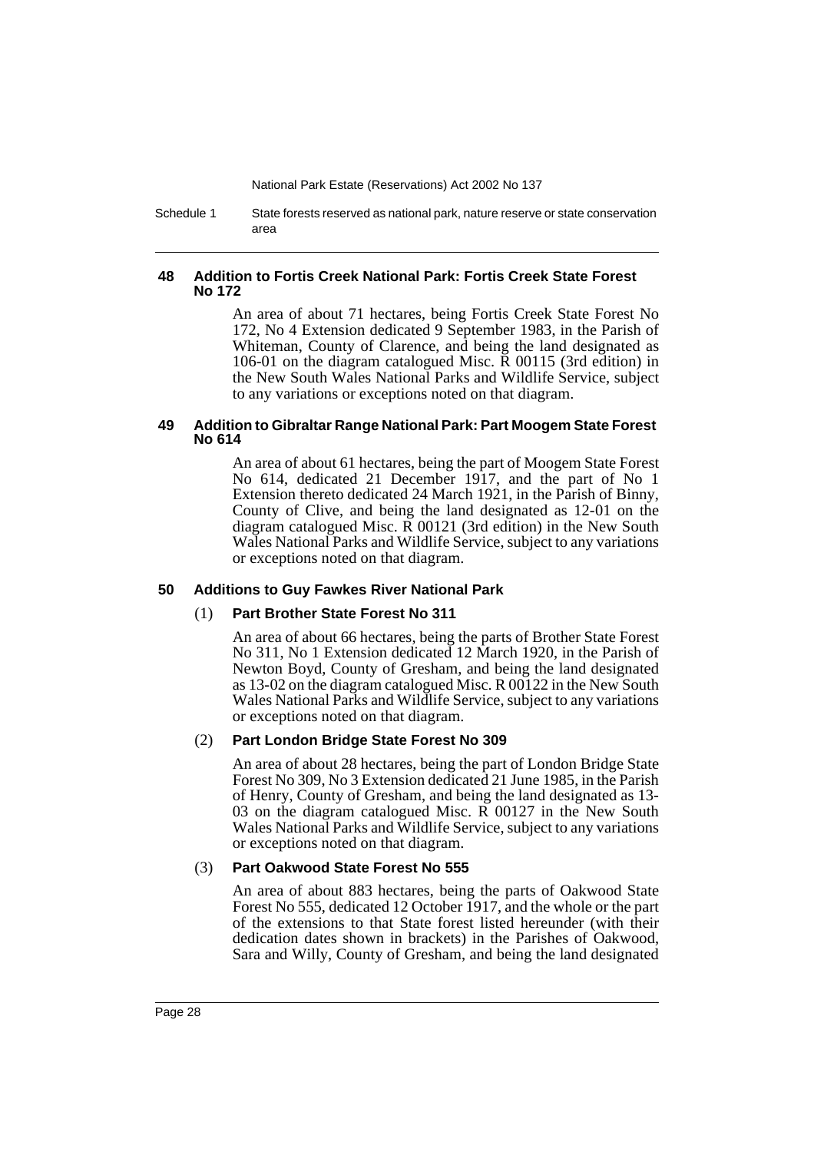Schedule 1 State forests reserved as national park, nature reserve or state conservation area

### **48 Addition to Fortis Creek National Park: Fortis Creek State Forest No 172**

An area of about 71 hectares, being Fortis Creek State Forest No 172, No 4 Extension dedicated 9 September 1983, in the Parish of Whiteman, County of Clarence, and being the land designated as 106-01 on the diagram catalogued Misc. R 00115 (3rd edition) in the New South Wales National Parks and Wildlife Service, subject to any variations or exceptions noted on that diagram.

### **49 Addition to Gibraltar Range National Park: Part Moogem State Forest No 614**

An area of about 61 hectares, being the part of Moogem State Forest No 614, dedicated 21 December 1917, and the part of No 1 Extension thereto dedicated 24 March 1921, in the Parish of Binny, County of Clive, and being the land designated as 12-01 on the diagram catalogued Misc. R 00121 (3rd edition) in the New South Wales National Parks and Wildlife Service, subject to any variations or exceptions noted on that diagram.

### **50 Additions to Guy Fawkes River National Park**

### (1) **Part Brother State Forest No 311**

An area of about 66 hectares, being the parts of Brother State Forest No 311, No 1 Extension dedicated 12 March 1920, in the Parish of Newton Boyd, County of Gresham, and being the land designated as 13-02 on the diagram catalogued Misc. R 00122 in the New South Wales National Parks and Wildlife Service, subject to any variations or exceptions noted on that diagram.

### (2) **Part London Bridge State Forest No 309**

An area of about 28 hectares, being the part of London Bridge State Forest No 309, No 3 Extension dedicated 21 June 1985, in the Parish of Henry, County of Gresham, and being the land designated as 13- 03 on the diagram catalogued Misc. R 00127 in the New South Wales National Parks and Wildlife Service, subject to any variations or exceptions noted on that diagram.

### (3) **Part Oakwood State Forest No 555**

An area of about 883 hectares, being the parts of Oakwood State Forest No 555, dedicated 12 October 1917, and the whole or the part of the extensions to that State forest listed hereunder (with their dedication dates shown in brackets) in the Parishes of Oakwood, Sara and Willy, County of Gresham, and being the land designated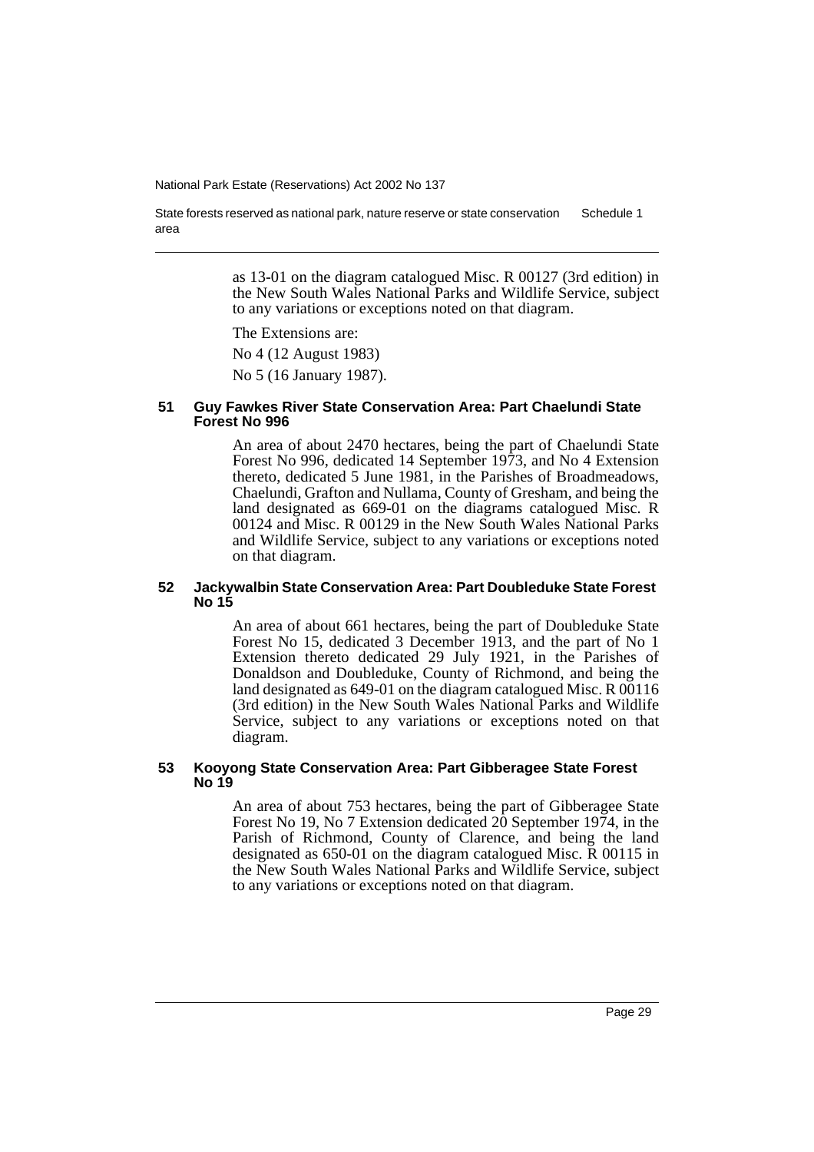State forests reserved as national park, nature reserve or state conservation area Schedule 1

> as 13-01 on the diagram catalogued Misc. R 00127 (3rd edition) in the New South Wales National Parks and Wildlife Service, subject to any variations or exceptions noted on that diagram.

The Extensions are:

No 4 (12 August 1983)

No 5 (16 January 1987).

#### **51 Guy Fawkes River State Conservation Area: Part Chaelundi State Forest No 996**

An area of about 2470 hectares, being the part of Chaelundi State Forest No 996, dedicated 14 September 1973, and No 4 Extension thereto, dedicated 5 June 1981, in the Parishes of Broadmeadows, Chaelundi, Grafton and Nullama, County of Gresham, and being the land designated as 669-01 on the diagrams catalogued Misc. R 00124 and Misc. R 00129 in the New South Wales National Parks and Wildlife Service, subject to any variations or exceptions noted on that diagram.

### **52 Jackywalbin State Conservation Area: Part Doubleduke State Forest No 15**

An area of about 661 hectares, being the part of Doubleduke State Forest No 15, dedicated 3 December 1913, and the part of No 1 Extension thereto dedicated 29 July 1921, in the Parishes of Donaldson and Doubleduke, County of Richmond, and being the land designated as 649-01 on the diagram catalogued Misc. R 00116 (3rd edition) in the New South Wales National Parks and Wildlife Service, subject to any variations or exceptions noted on that diagram.

### **53 Kooyong State Conservation Area: Part Gibberagee State Forest No 19**

An area of about 753 hectares, being the part of Gibberagee State Forest No 19, No 7 Extension dedicated 20 September 1974, in the Parish of Richmond, County of Clarence, and being the land designated as 650-01 on the diagram catalogued Misc. R 00115 in the New South Wales National Parks and Wildlife Service, subject to any variations or exceptions noted on that diagram.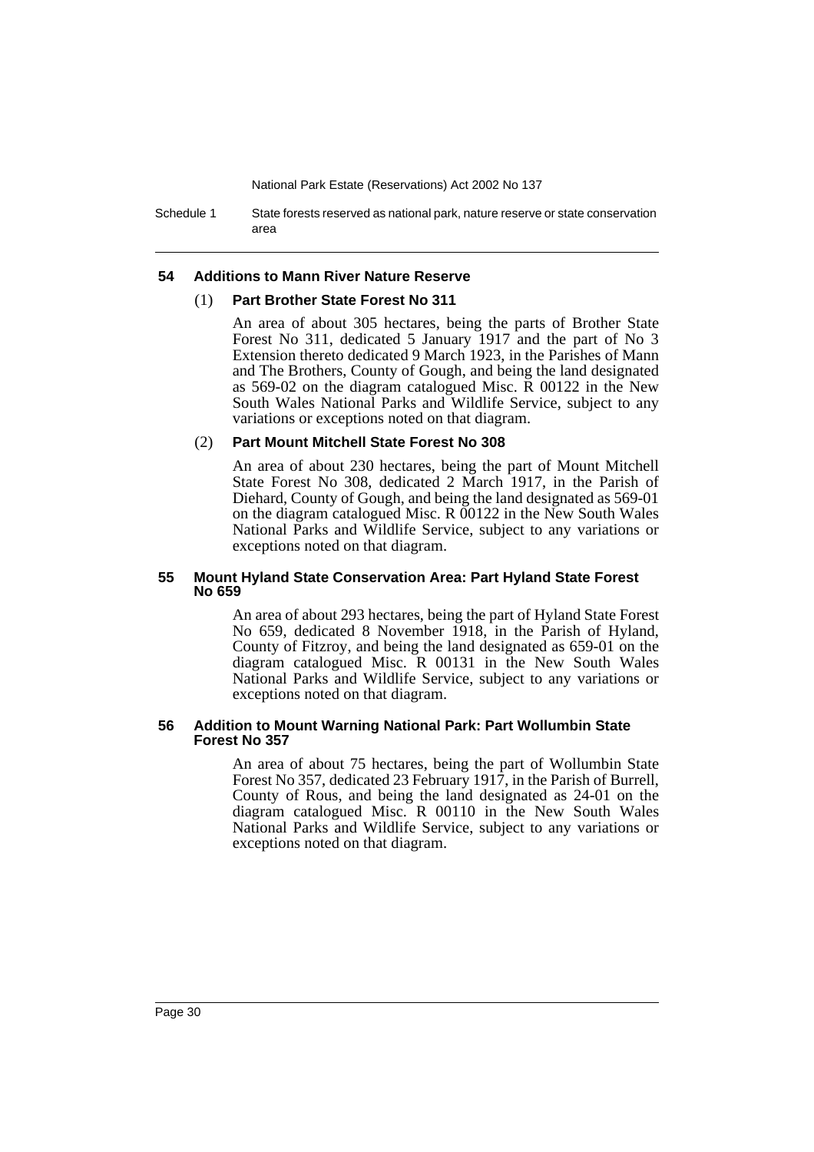Schedule 1 State forests reserved as national park, nature reserve or state conservation area

### **54 Additions to Mann River Nature Reserve**

#### (1) **Part Brother State Forest No 311**

An area of about 305 hectares, being the parts of Brother State Forest No 311, dedicated 5 January 1917 and the part of No 3 Extension thereto dedicated 9 March 1923, in the Parishes of Mann and The Brothers, County of Gough, and being the land designated as 569-02 on the diagram catalogued Misc. R 00122 in the New South Wales National Parks and Wildlife Service, subject to any variations or exceptions noted on that diagram.

### (2) **Part Mount Mitchell State Forest No 308**

An area of about 230 hectares, being the part of Mount Mitchell State Forest No 308, dedicated 2 March 1917, in the Parish of Diehard, County of Gough, and being the land designated as 569-01 on the diagram catalogued Misc. R 00122 in the New South Wales National Parks and Wildlife Service, subject to any variations or exceptions noted on that diagram.

### **55 Mount Hyland State Conservation Area: Part Hyland State Forest No 659**

An area of about 293 hectares, being the part of Hyland State Forest No 659, dedicated 8 November 1918, in the Parish of Hyland, County of Fitzroy, and being the land designated as 659-01 on the diagram catalogued Misc. R 00131 in the New South Wales National Parks and Wildlife Service, subject to any variations or exceptions noted on that diagram.

#### **56 Addition to Mount Warning National Park: Part Wollumbin State Forest No 357**

An area of about 75 hectares, being the part of Wollumbin State Forest No 357, dedicated 23 February 1917, in the Parish of Burrell, County of Rous, and being the land designated as 24-01 on the diagram catalogued Misc. R 00110 in the New South Wales National Parks and Wildlife Service, subject to any variations or exceptions noted on that diagram.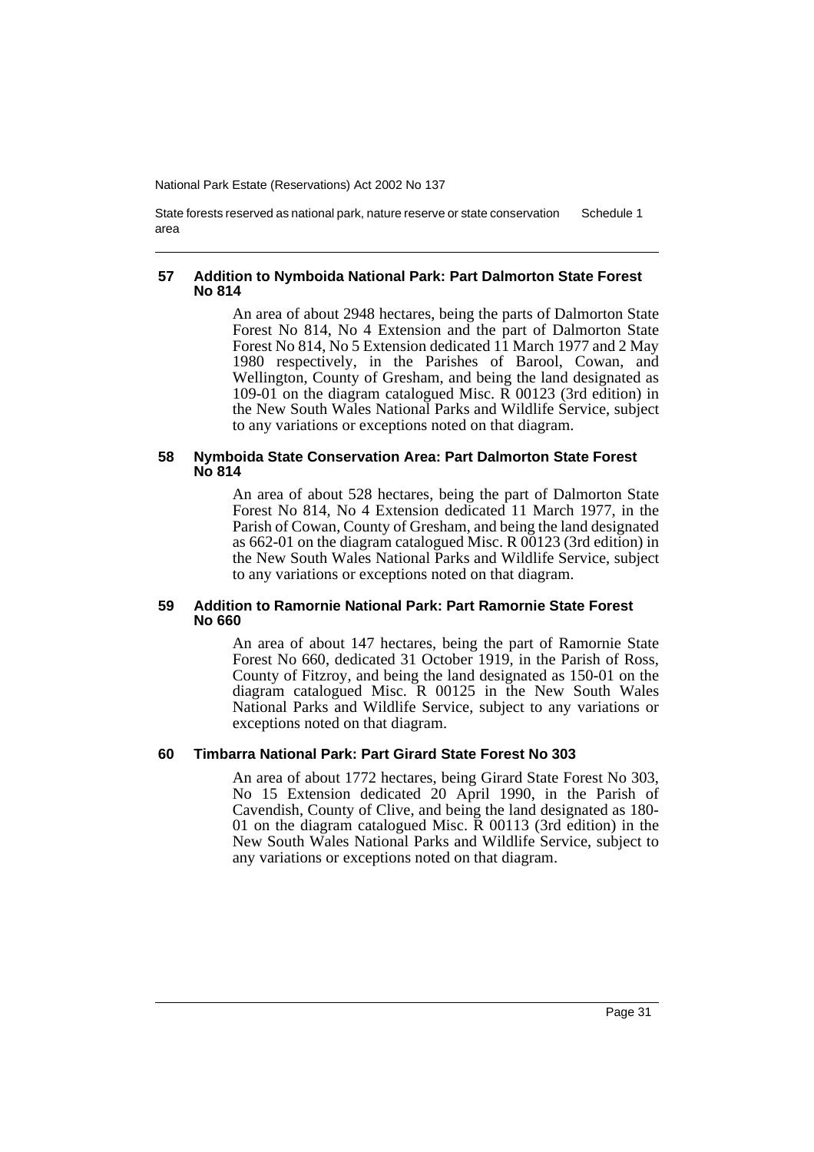State forests reserved as national park, nature reserve or state conservation area Schedule 1

#### **57 Addition to Nymboida National Park: Part Dalmorton State Forest No 814**

An area of about 2948 hectares, being the parts of Dalmorton State Forest No 814, No 4 Extension and the part of Dalmorton State Forest No 814, No 5 Extension dedicated 11 March 1977 and 2 May 1980 respectively, in the Parishes of Barool, Cowan, and Wellington, County of Gresham, and being the land designated as 109-01 on the diagram catalogued Misc. R 00123 (3rd edition) in the New South Wales National Parks and Wildlife Service, subject to any variations or exceptions noted on that diagram.

#### **58 Nymboida State Conservation Area: Part Dalmorton State Forest No 814**

An area of about 528 hectares, being the part of Dalmorton State Forest No 814, No 4 Extension dedicated 11 March 1977, in the Parish of Cowan, County of Gresham, and being the land designated as 662-01 on the diagram catalogued Misc. R 00123 (3rd edition) in the New South Wales National Parks and Wildlife Service, subject to any variations or exceptions noted on that diagram.

### **59 Addition to Ramornie National Park: Part Ramornie State Forest No 660**

An area of about 147 hectares, being the part of Ramornie State Forest No 660, dedicated 31 October 1919, in the Parish of Ross, County of Fitzroy, and being the land designated as 150-01 on the diagram catalogued Misc. R 00125 in the New South Wales National Parks and Wildlife Service, subject to any variations or exceptions noted on that diagram.

### **60 Timbarra National Park: Part Girard State Forest No 303**

An area of about 1772 hectares, being Girard State Forest No 303, No 15 Extension dedicated 20 April 1990, in the Parish of Cavendish, County of Clive, and being the land designated as 180- 01 on the diagram catalogued Misc. R 00113 (3rd edition) in the New South Wales National Parks and Wildlife Service, subject to any variations or exceptions noted on that diagram.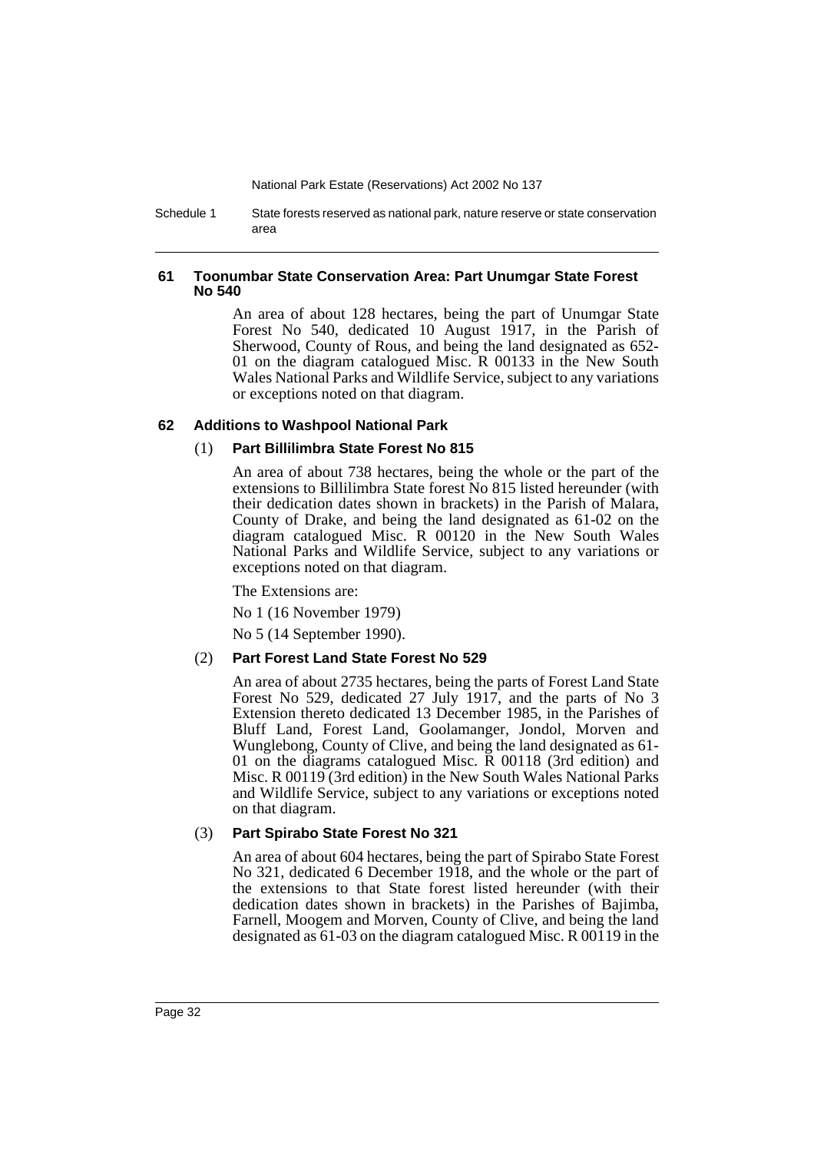Schedule 1 State forests reserved as national park, nature reserve or state conservation area

### **61 Toonumbar State Conservation Area: Part Unumgar State Forest No 540**

An area of about 128 hectares, being the part of Unumgar State Forest No 540, dedicated 10 August 1917, in the Parish of Sherwood, County of Rous, and being the land designated as 652- 01 on the diagram catalogued Misc. R 00133 in the New South Wales National Parks and Wildlife Service, subject to any variations or exceptions noted on that diagram.

### **62 Additions to Washpool National Park**

### (1) **Part Billilimbra State Forest No 815**

An area of about 738 hectares, being the whole or the part of the extensions to Billilimbra State forest No 815 listed hereunder (with their dedication dates shown in brackets) in the Parish of Malara, County of Drake, and being the land designated as 61-02 on the diagram catalogued Misc. R 00120 in the New South Wales National Parks and Wildlife Service, subject to any variations or exceptions noted on that diagram.

The Extensions are:

No 1 (16 November 1979)

No 5 (14 September 1990).

### (2) **Part Forest Land State Forest No 529**

An area of about 2735 hectares, being the parts of Forest Land State Forest No 529, dedicated 27 July 1917, and the parts of No 3 Extension thereto dedicated 13 December 1985, in the Parishes of Bluff Land, Forest Land, Goolamanger, Jondol, Morven and Wunglebong, County of Clive, and being the land designated as 61- 01 on the diagrams catalogued Misc. R 00118 (3rd edition) and Misc. R 00119 (3rd edition) in the New South Wales National Parks and Wildlife Service, subject to any variations or exceptions noted on that diagram.

### (3) **Part Spirabo State Forest No 321**

An area of about 604 hectares, being the part of Spirabo State Forest No 321, dedicated 6 December 1918, and the whole or the part of the extensions to that State forest listed hereunder (with their dedication dates shown in brackets) in the Parishes of Bajimba, Farnell, Moogem and Morven, County of Clive, and being the land designated as 61-03 on the diagram catalogued Misc. R 00119 in the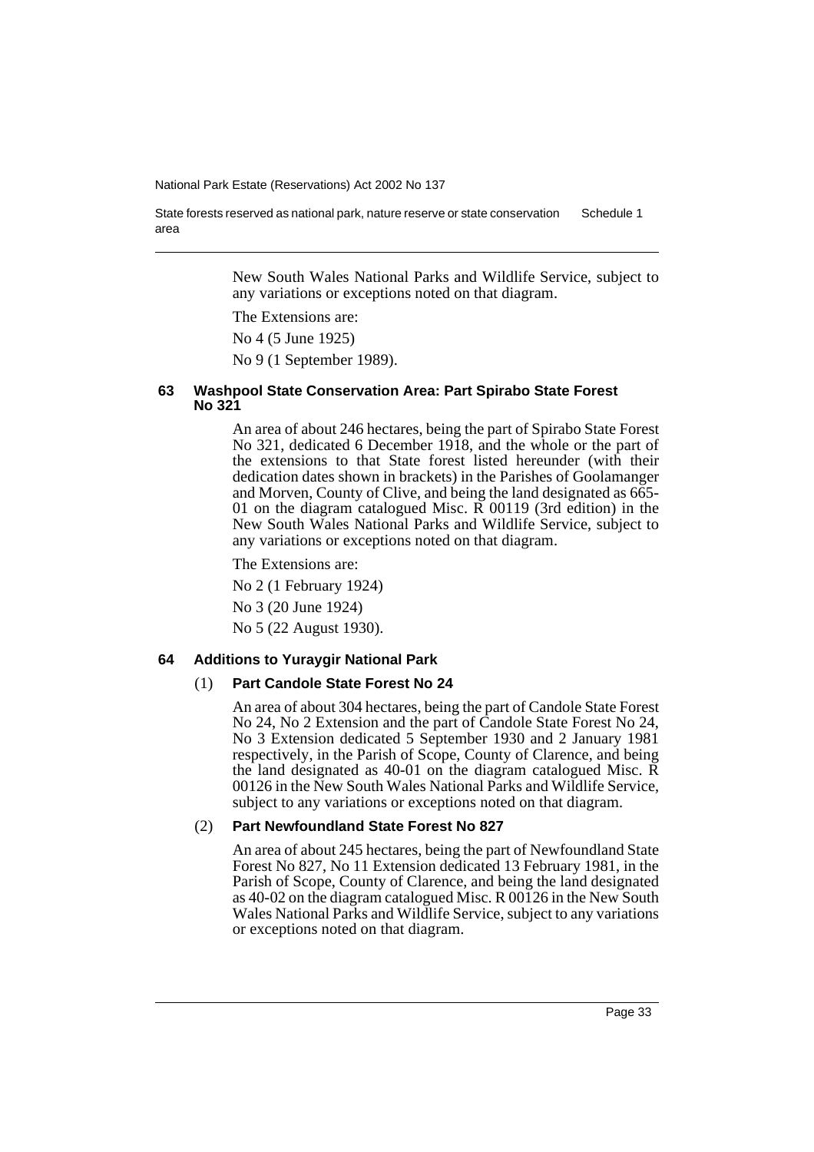State forests reserved as national park, nature reserve or state conservation area Schedule 1

> New South Wales National Parks and Wildlife Service, subject to any variations or exceptions noted on that diagram.

The Extensions are:

No 4 (5 June 1925)

No 9 (1 September 1989).

### **63 Washpool State Conservation Area: Part Spirabo State Forest No 321**

An area of about 246 hectares, being the part of Spirabo State Forest No 321, dedicated 6 December 1918, and the whole or the part of the extensions to that State forest listed hereunder (with their dedication dates shown in brackets) in the Parishes of Goolamanger and Morven, County of Clive, and being the land designated as 665- 01 on the diagram catalogued Misc. R 00119 (3rd edition) in the New South Wales National Parks and Wildlife Service, subject to any variations or exceptions noted on that diagram.

The Extensions are:

No 2 (1 February 1924)

No 3 (20 June 1924)

No 5 (22 August 1930).

### **64 Additions to Yuraygir National Park**

### (1) **Part Candole State Forest No 24**

An area of about 304 hectares, being the part of Candole State Forest No 24, No 2 Extension and the part of Candole State Forest No 24, No 3 Extension dedicated 5 September 1930 and 2 January 1981 respectively, in the Parish of Scope, County of Clarence, and being the land designated as 40-01 on the diagram catalogued Misc. R 00126 in the New South Wales National Parks and Wildlife Service, subject to any variations or exceptions noted on that diagram.

### (2) **Part Newfoundland State Forest No 827**

An area of about 245 hectares, being the part of Newfoundland State Forest No 827, No 11 Extension dedicated 13 February 1981, in the Parish of Scope, County of Clarence, and being the land designated as 40-02 on the diagram catalogued Misc. R 00126 in the New South Wales National Parks and Wildlife Service, subject to any variations or exceptions noted on that diagram.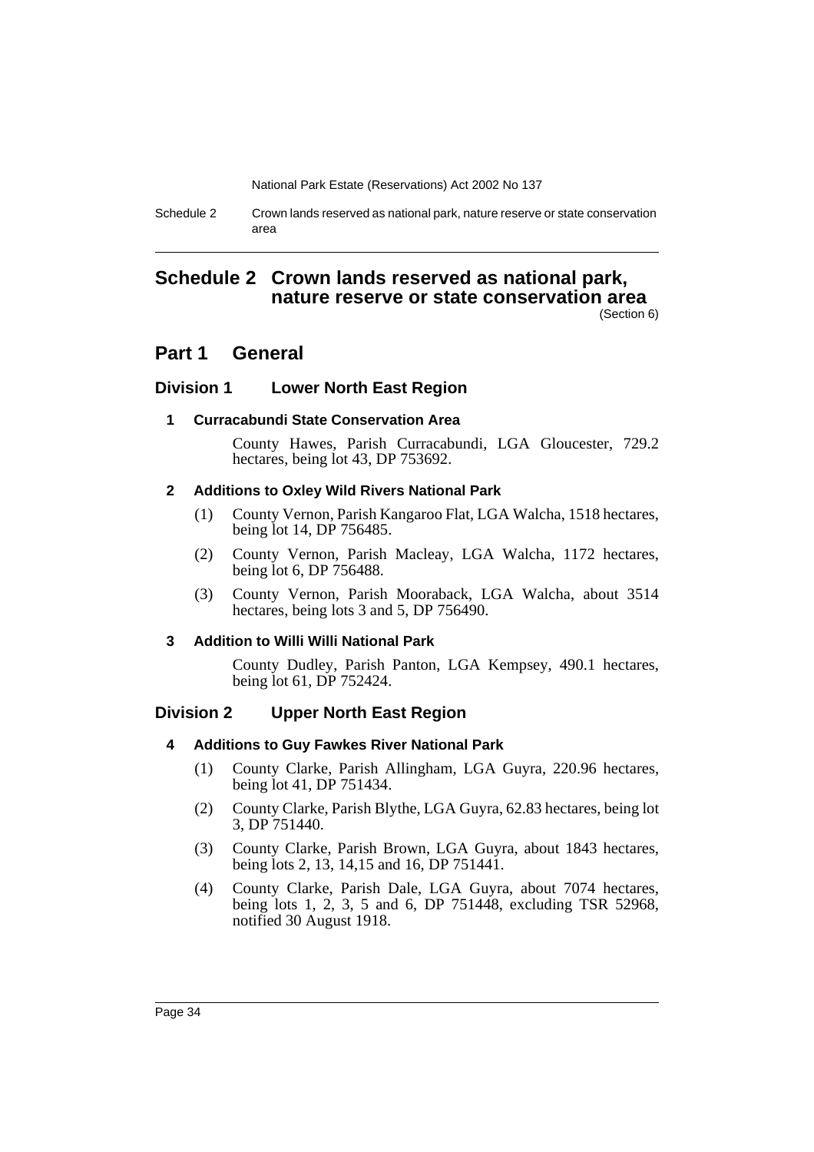Schedule 2 Crown lands reserved as national park, nature reserve or state conservation area

# **Schedule 2 Crown lands reserved as national park, nature reserve or state conservation area**

(Section 6)

# **Part 1 General**

### **Division 1 Lower North East Region**

### **1 Curracabundi State Conservation Area**

County Hawes, Parish Curracabundi, LGA Gloucester, 729.2 hectares, being lot 43, DP 753692.

### **2 Additions to Oxley Wild Rivers National Park**

- (1) County Vernon, Parish Kangaroo Flat, LGA Walcha, 1518 hectares, being lot 14, DP 756485.
- (2) County Vernon, Parish Macleay, LGA Walcha, 1172 hectares, being lot 6, DP 756488.
- (3) County Vernon, Parish Mooraback, LGA Walcha, about 3514 hectares, being lots 3 and 5, DP 756490.

### **3 Addition to Willi Willi National Park**

County Dudley, Parish Panton, LGA Kempsey, 490.1 hectares, being lot 61, DP 752424.

### **Division 2 Upper North East Region**

### **4 Additions to Guy Fawkes River National Park**

- (1) County Clarke, Parish Allingham, LGA Guyra, 220.96 hectares, being lot 41, DP 751434.
- (2) County Clarke, Parish Blythe, LGA Guyra, 62.83 hectares, being lot 3, DP 751440.
- (3) County Clarke, Parish Brown, LGA Guyra, about 1843 hectares, being lots 2, 13, 14,15 and 16, DP 751441.
- (4) County Clarke, Parish Dale, LGA Guyra, about 7074 hectares, being lots 1, 2, 3, 5 and 6, DP 751448, excluding TSR 52968, notified 30 August 1918.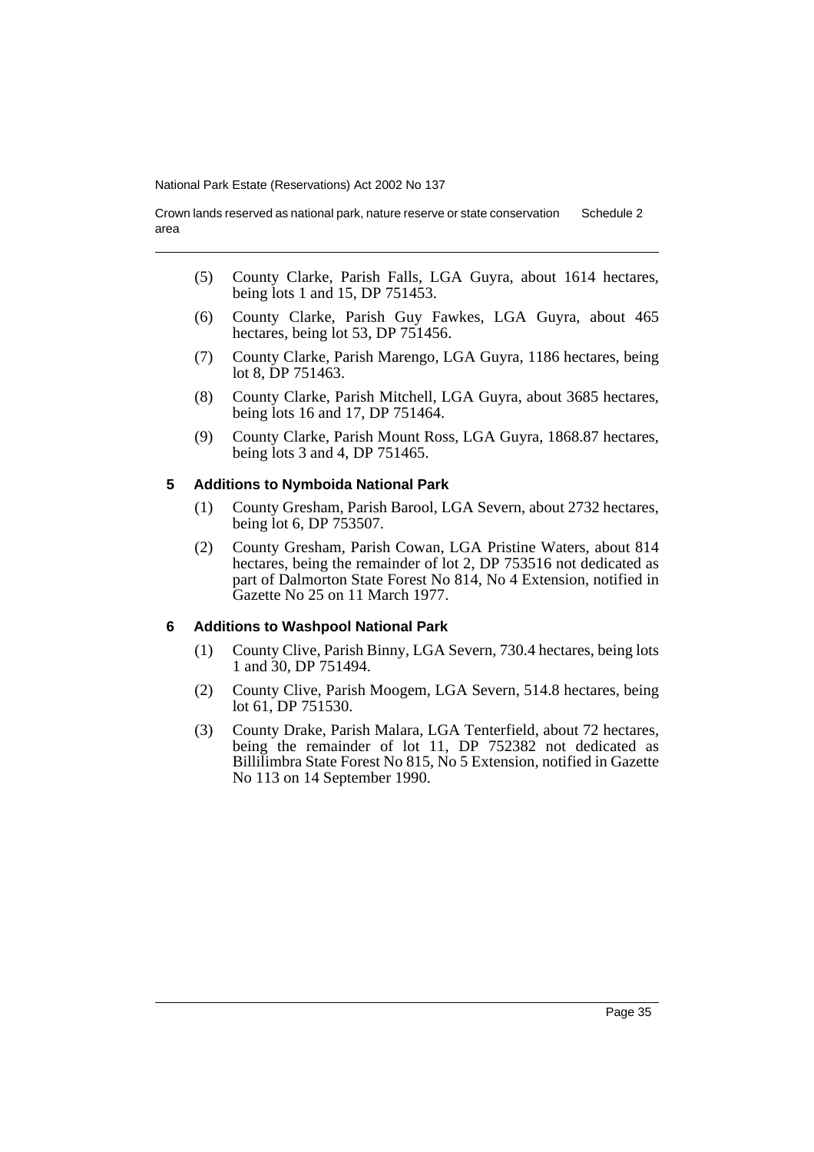Crown lands reserved as national park, nature reserve or state conservation area Schedule 2

- (5) County Clarke, Parish Falls, LGA Guyra, about 1614 hectares, being lots 1 and 15, DP 751453.
- (6) County Clarke, Parish Guy Fawkes, LGA Guyra, about 465 hectares, being lot 53, DP 751456.
- (7) County Clarke, Parish Marengo, LGA Guyra, 1186 hectares, being lot 8, DP 751463.
- (8) County Clarke, Parish Mitchell, LGA Guyra, about 3685 hectares, being lots 16 and 17, DP 751464.
- (9) County Clarke, Parish Mount Ross, LGA Guyra, 1868.87 hectares, being lots 3 and 4, DP 751465.

#### **5 Additions to Nymboida National Park**

- (1) County Gresham, Parish Barool, LGA Severn, about 2732 hectares, being lot 6, DP 753507.
- (2) County Gresham, Parish Cowan, LGA Pristine Waters, about 814 hectares, being the remainder of lot 2, DP 753516 not dedicated as part of Dalmorton State Forest No 814, No 4 Extension, notified in Gazette No 25 on 11 March 1977.

### **6 Additions to Washpool National Park**

- (1) County Clive, Parish Binny, LGA Severn, 730.4 hectares, being lots 1 and 30, DP 751494.
- (2) County Clive, Parish Moogem, LGA Severn, 514.8 hectares, being lot 61, DP 751530.
- (3) County Drake, Parish Malara, LGA Tenterfield, about 72 hectares, being the remainder of lot 11, DP 752382 not dedicated as Billilimbra State Forest No 815, No 5 Extension, notified in Gazette No 113 on 14 September 1990.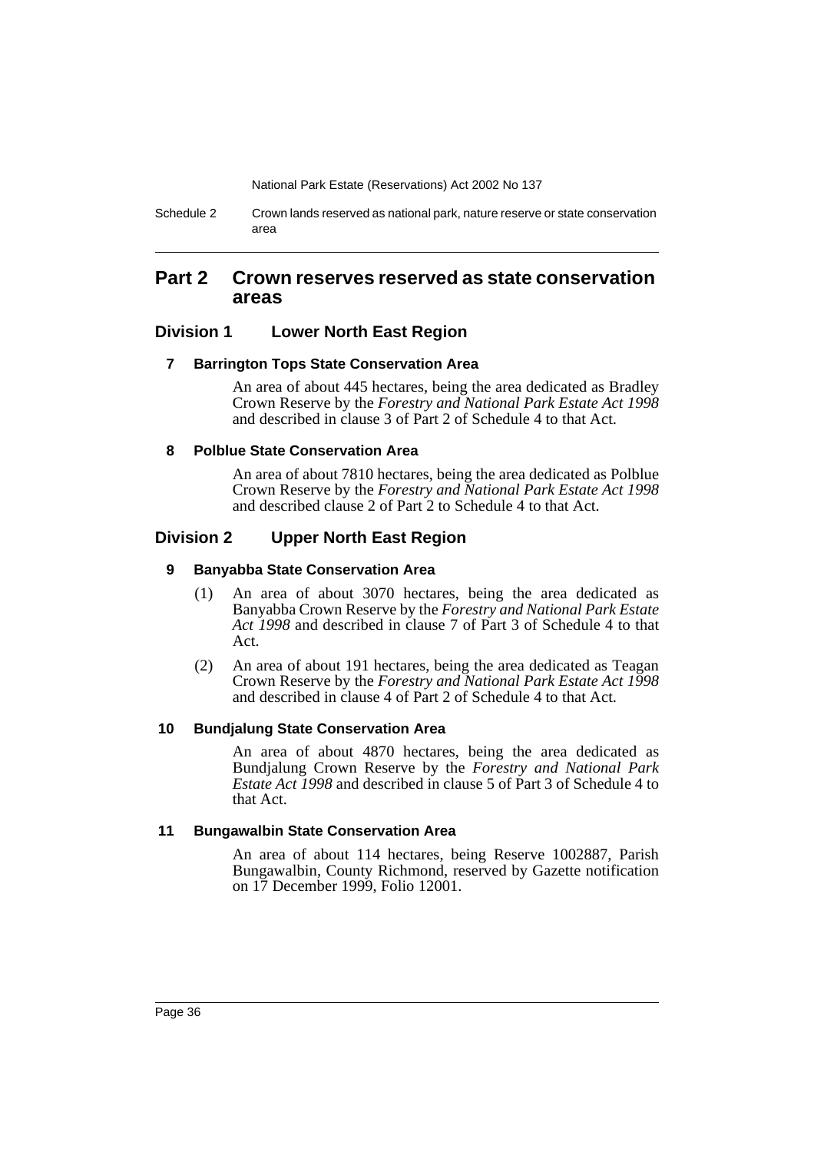Schedule 2 Crown lands reserved as national park, nature reserve or state conservation area

### **Part 2 Crown reserves reserved as state conservation areas**

### **Division 1 Lower North East Region**

### **7 Barrington Tops State Conservation Area**

An area of about 445 hectares, being the area dedicated as Bradley Crown Reserve by the *Forestry and National Park Estate Act 1998* and described in clause 3 of Part 2 of Schedule 4 to that Act.

### **8 Polblue State Conservation Area**

An area of about 7810 hectares, being the area dedicated as Polblue Crown Reserve by the *Forestry and National Park Estate Act 1998* and described clause 2 of Part 2 to Schedule 4 to that Act.

### **Division 2 Upper North East Region**

### **9 Banyabba State Conservation Area**

- (1) An area of about 3070 hectares, being the area dedicated as Banyabba Crown Reserve by the *Forestry and National Park Estate Act 1998* and described in clause 7 of Part 3 of Schedule 4 to that Act.
- (2) An area of about 191 hectares, being the area dedicated as Teagan Crown Reserve by the *Forestry and National Park Estate Act 1998* and described in clause 4 of Part 2 of Schedule 4 to that Act.

### **10 Bundjalung State Conservation Area**

An area of about 4870 hectares, being the area dedicated as Bundjalung Crown Reserve by the *Forestry and National Park Estate Act 1998* and described in clause 5 of Part 3 of Schedule 4 to that Act.

#### **11 Bungawalbin State Conservation Area**

An area of about 114 hectares, being Reserve 1002887, Parish Bungawalbin, County Richmond, reserved by Gazette notification on 17 December 1999, Folio 12001.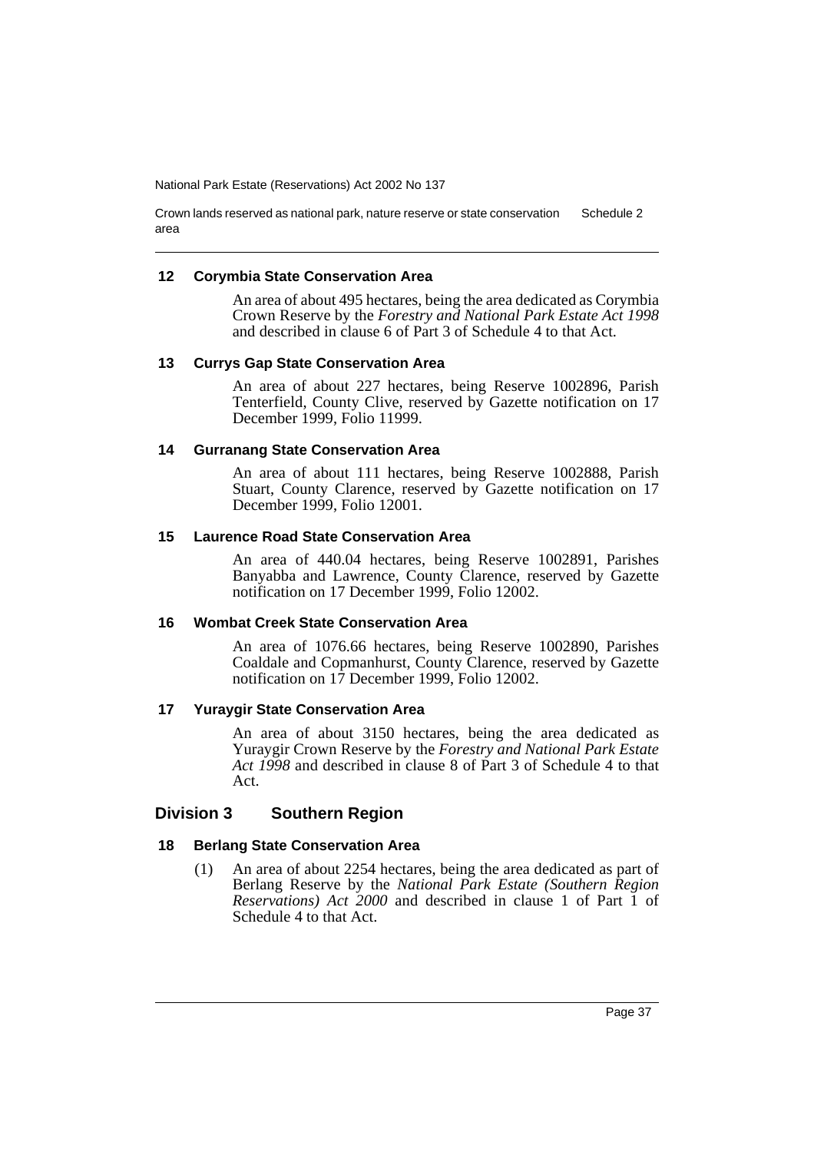Crown lands reserved as national park, nature reserve or state conservation area Schedule 2

### **12 Corymbia State Conservation Area**

An area of about 495 hectares, being the area dedicated as Corymbia Crown Reserve by the *Forestry and National Park Estate Act 1998* and described in clause 6 of Part 3 of Schedule 4 to that Act.

### **13 Currys Gap State Conservation Area**

An area of about 227 hectares, being Reserve 1002896, Parish Tenterfield, County Clive, reserved by Gazette notification on 17 December 1999, Folio 11999.

### **14 Gurranang State Conservation Area**

An area of about 111 hectares, being Reserve 1002888, Parish Stuart, County Clarence, reserved by Gazette notification on 17 December 1999, Folio 12001.

### **15 Laurence Road State Conservation Area**

An area of 440.04 hectares, being Reserve 1002891, Parishes Banyabba and Lawrence, County Clarence, reserved by Gazette notification on 17 December 1999, Folio 12002.

### **16 Wombat Creek State Conservation Area**

An area of 1076.66 hectares, being Reserve 1002890, Parishes Coaldale and Copmanhurst, County Clarence, reserved by Gazette notification on 17 December 1999, Folio 12002.

### **17 Yuraygir State Conservation Area**

An area of about 3150 hectares, being the area dedicated as Yuraygir Crown Reserve by the *Forestry and National Park Estate Act 1998* and described in clause 8 of Part 3 of Schedule 4 to that Act.

### **Division 3 Southern Region**

### **18 Berlang State Conservation Area**

(1) An area of about 2254 hectares, being the area dedicated as part of Berlang Reserve by the *National Park Estate (Southern Region Reservations) Act 2000* and described in clause 1 of Part 1 of Schedule 4 to that Act.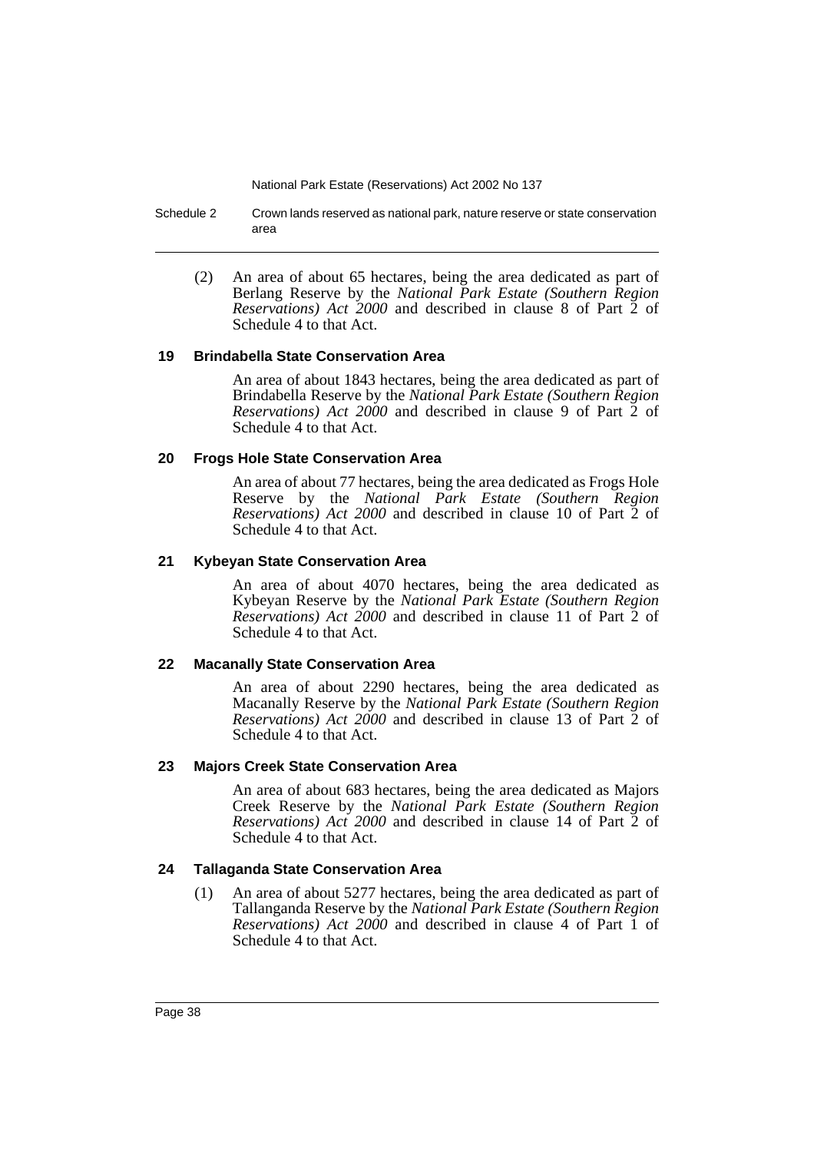Schedule 2 Crown lands reserved as national park, nature reserve or state conservation area

(2) An area of about 65 hectares, being the area dedicated as part of Berlang Reserve by the *National Park Estate (Southern Region Reservations) Act 2000* and described in clause 8 of Part 2 of Schedule 4 to that Act.

### **19 Brindabella State Conservation Area**

An area of about 1843 hectares, being the area dedicated as part of Brindabella Reserve by the *National Park Estate (Southern Region Reservations) Act 2000* and described in clause 9 of Part 2 of Schedule 4 to that Act.

### **20 Frogs Hole State Conservation Area**

An area of about 77 hectares, being the area dedicated as Frogs Hole Reserve by the *National Park Estate (Southern Region Reservations)* Act 2000 and described in clause 10 of Part 2 of Schedule 4 to that Act.

### **21 Kybeyan State Conservation Area**

An area of about 4070 hectares, being the area dedicated as Kybeyan Reserve by the *National Park Estate (Southern Region Reservations) Act 2000* and described in clause 11 of Part 2 of Schedule 4 to that Act.

### **22 Macanally State Conservation Area**

An area of about 2290 hectares, being the area dedicated as Macanally Reserve by the *National Park Estate (Southern Region Reservations) Act 2000* and described in clause 13 of Part 2 of Schedule 4 to that Act.

### **23 Majors Creek State Conservation Area**

An area of about 683 hectares, being the area dedicated as Majors Creek Reserve by the *National Park Estate (Southern Region Reservations) Act 2000* and described in clause 14 of Part 2 of Schedule 4 to that Act.

### **24 Tallaganda State Conservation Area**

(1) An area of about 5277 hectares, being the area dedicated as part of Tallanganda Reserve by the *National Park Estate (Southern Region Reservations) Act 2000* and described in clause 4 of Part 1 of Schedule 4 to that Act.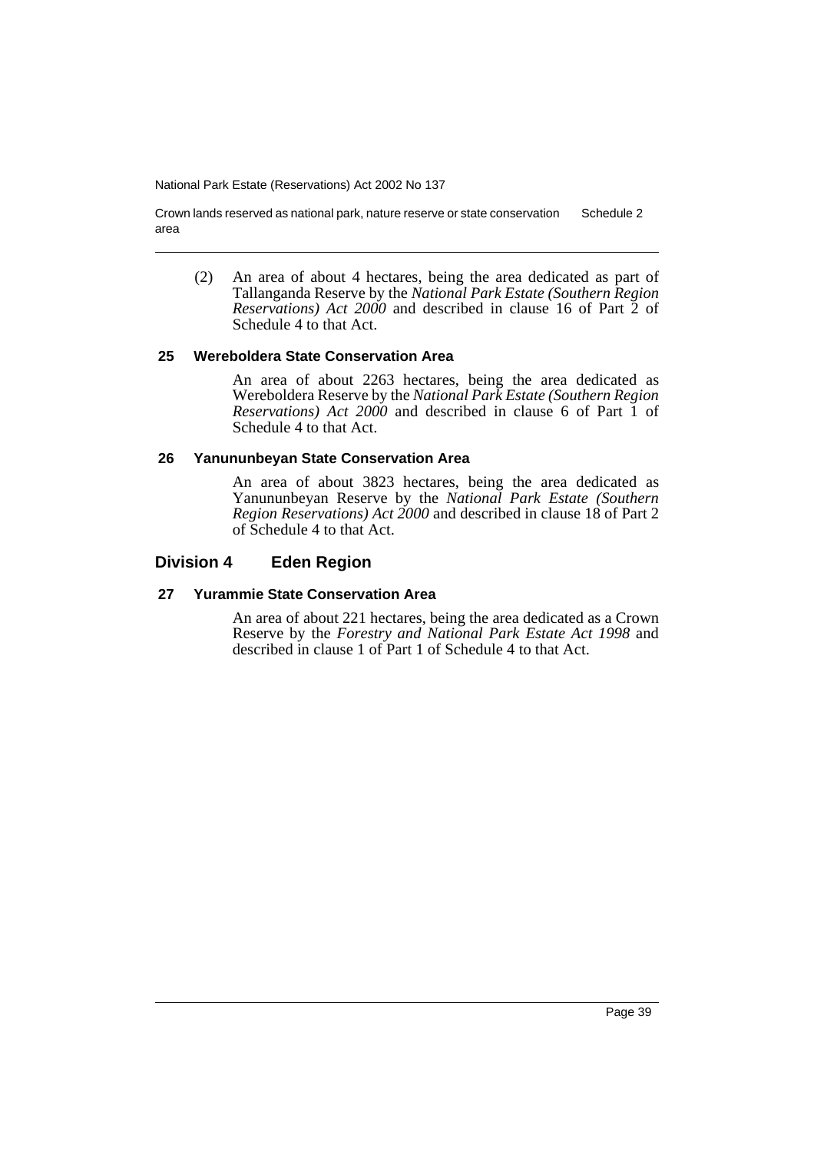Crown lands reserved as national park, nature reserve or state conservation area Schedule 2

(2) An area of about 4 hectares, being the area dedicated as part of Tallanganda Reserve by the *National Park Estate (Southern Region Reservations) Act 2000* and described in clause 16 of Part 2 of Schedule 4 to that Act.

### **25 Wereboldera State Conservation Area**

An area of about 2263 hectares, being the area dedicated as Wereboldera Reserve by the *National Park Estate (Southern Region Reservations) Act 2000* and described in clause 6 of Part 1 of Schedule 4 to that Act.

### **26 Yanununbeyan State Conservation Area**

An area of about 3823 hectares, being the area dedicated as Yanununbeyan Reserve by the *National Park Estate (Southern Region Reservations) Act 2000* and described in clause 18 of Part 2 of Schedule 4 to that Act.

### **Division 4 Eden Region**

### **27 Yurammie State Conservation Area**

An area of about 221 hectares, being the area dedicated as a Crown Reserve by the *Forestry and National Park Estate Act 1998* and described in clause 1 of Part 1 of Schedule 4 to that Act.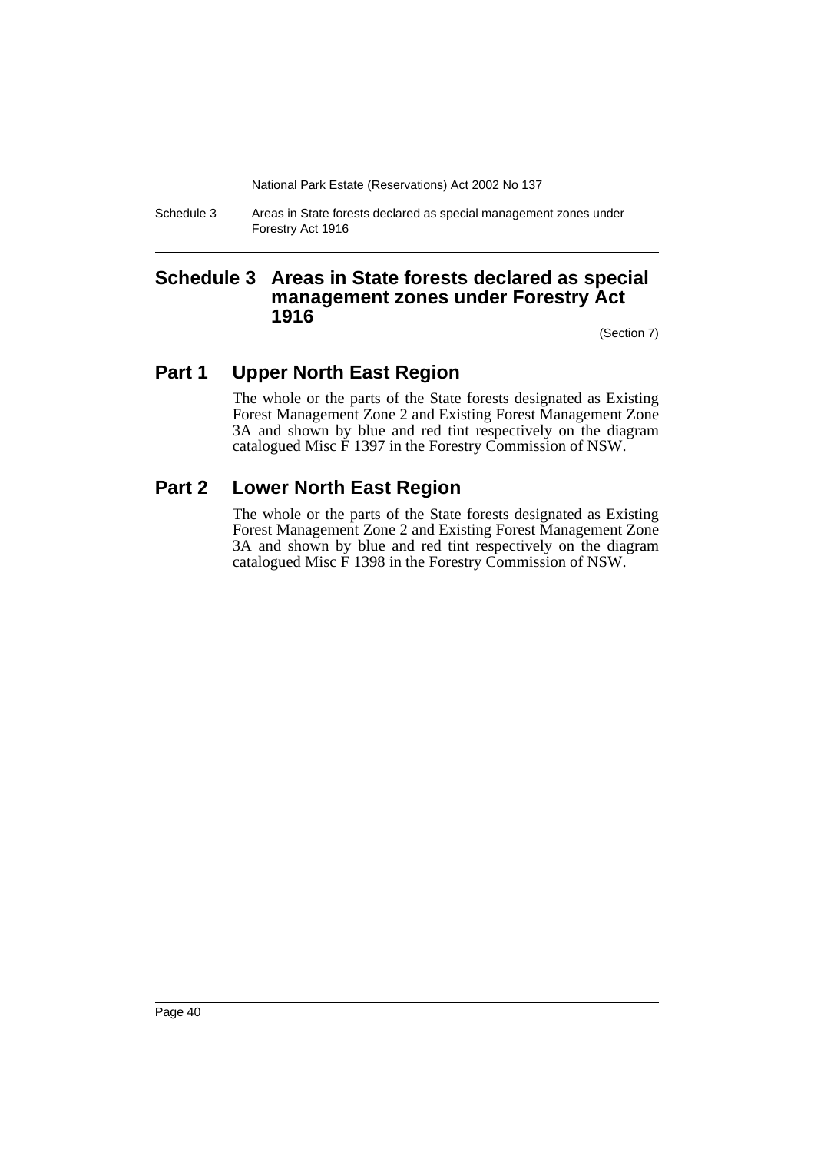Schedule 3 Areas in State forests declared as special management zones under Forestry Act 1916

# **Schedule 3 Areas in State forests declared as special management zones under Forestry Act 1916**

(Section 7)

# **Part 1 Upper North East Region**

The whole or the parts of the State forests designated as Existing Forest Management Zone 2 and Existing Forest Management Zone 3A and shown by blue and red tint respectively on the diagram catalogued Misc F 1397 in the Forestry Commission of NSW.

# **Part 2 Lower North East Region**

The whole or the parts of the State forests designated as Existing Forest Management Zone 2 and Existing Forest Management Zone 3A and shown by blue and red tint respectively on the diagram catalogued Misc F 1398 in the Forestry Commission of NSW.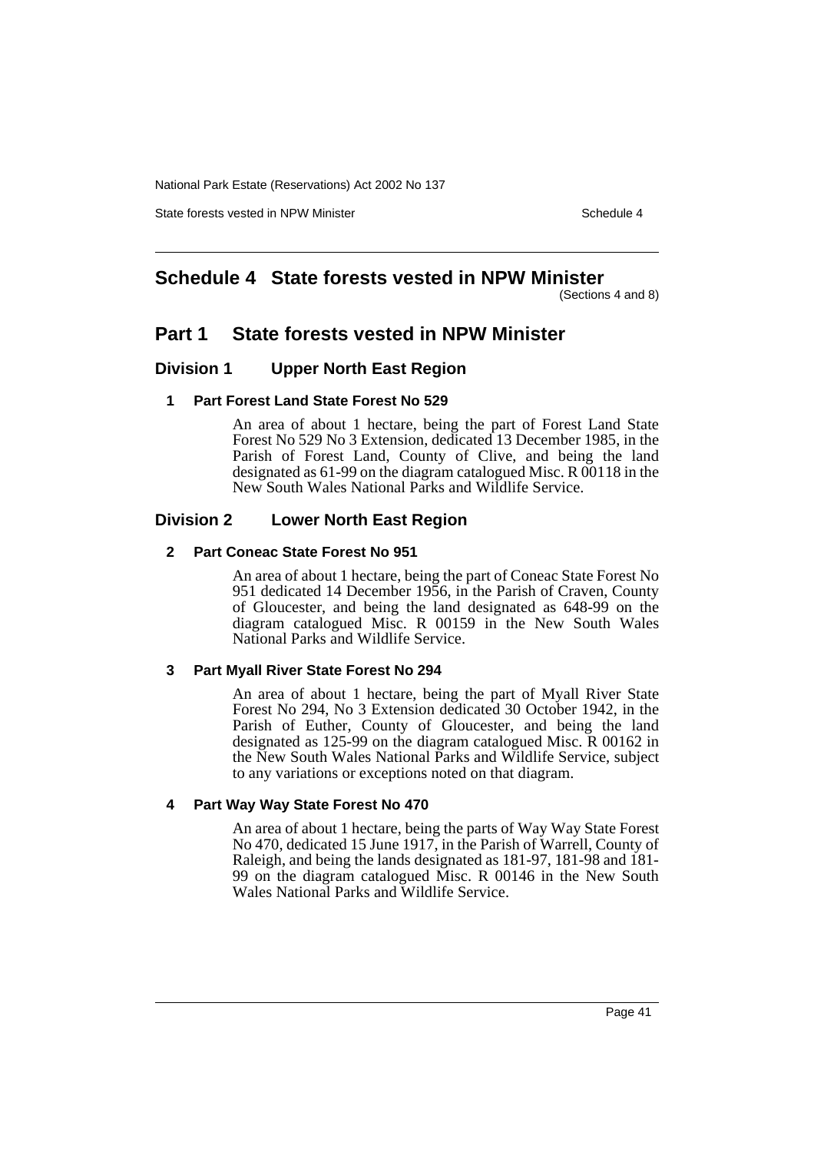State forests vested in NPW Minister Schedule 4

# **Schedule 4 State forests vested in NPW Minister**

(Sections 4 and 8)

# **Part 1 State forests vested in NPW Minister**

### **Division 1 Upper North East Region**

### **1 Part Forest Land State Forest No 529**

An area of about 1 hectare, being the part of Forest Land State Forest No 529 No 3 Extension, dedicated 13 December 1985, in the Parish of Forest Land, County of Clive, and being the land designated as 61-99 on the diagram catalogued Misc. R 00118 in the New South Wales National Parks and Wildlife Service.

### **Division 2 Lower North East Region**

### **2 Part Coneac State Forest No 951**

An area of about 1 hectare, being the part of Coneac State Forest No 951 dedicated 14 December 1956, in the Parish of Craven, County of Gloucester, and being the land designated as 648-99 on the diagram catalogued Misc. R 00159 in the New South Wales National Parks and Wildlife Service.

### **3 Part Myall River State Forest No 294**

An area of about 1 hectare, being the part of Myall River State Forest No 294, No 3 Extension dedicated 30 October 1942, in the Parish of Euther, County of Gloucester, and being the land designated as 125-99 on the diagram catalogued Misc. R 00162 in the New South Wales National Parks and Wildlife Service, subject to any variations or exceptions noted on that diagram.

### **4 Part Way Way State Forest No 470**

An area of about 1 hectare, being the parts of Way Way State Forest No 470, dedicated 15 June 1917, in the Parish of Warrell, County of Raleigh, and being the lands designated as 181-97, 181-98 and 181- 99 on the diagram catalogued Misc. R 00146 in the New South Wales National Parks and Wildlife Service.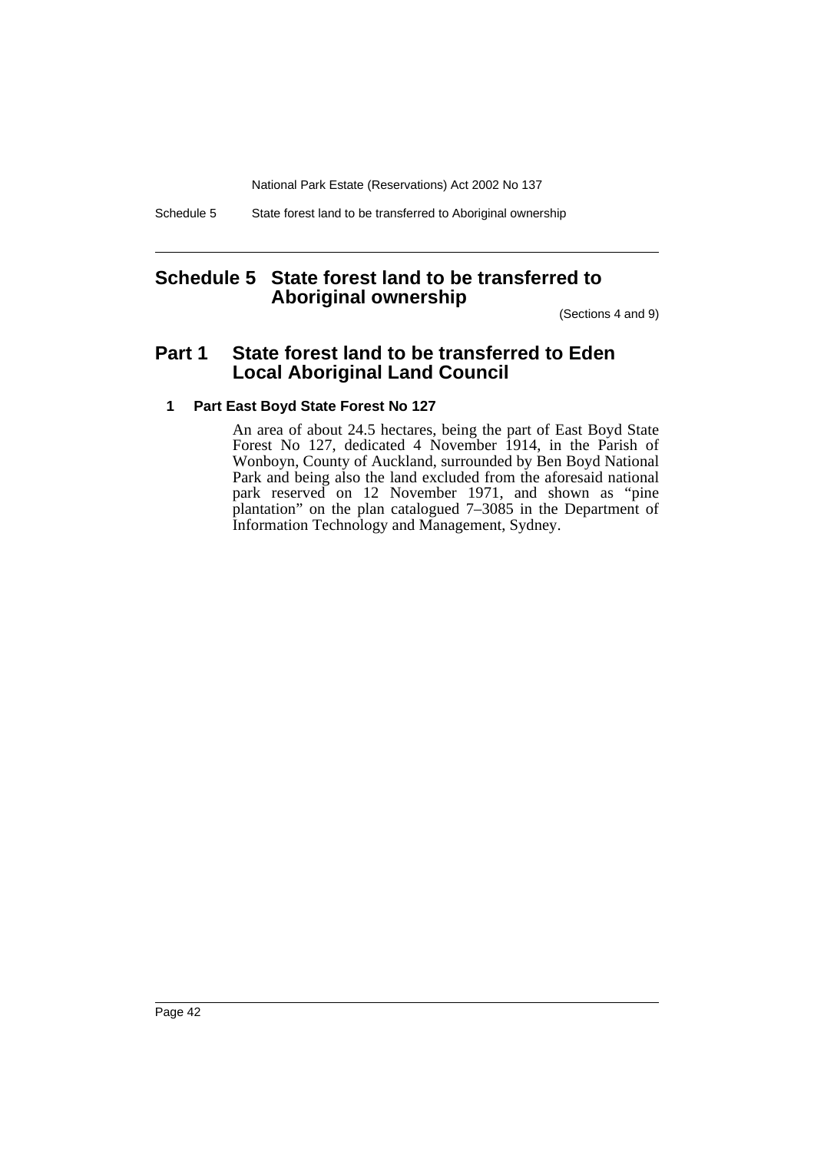Schedule 5 State forest land to be transferred to Aboriginal ownership

# **Schedule 5 State forest land to be transferred to Aboriginal ownership**

(Sections 4 and 9)

# **Part 1 State forest land to be transferred to Eden Local Aboriginal Land Council**

### **1 Part East Boyd State Forest No 127**

An area of about 24.5 hectares, being the part of East Boyd State Forest No 127, dedicated 4 November 1914, in the Parish of Wonboyn, County of Auckland, surrounded by Ben Boyd National Park and being also the land excluded from the aforesaid national park reserved on 12 November 1971, and shown as "pine plantation" on the plan catalogued 7–3085 in the Department of Information Technology and Management, Sydney.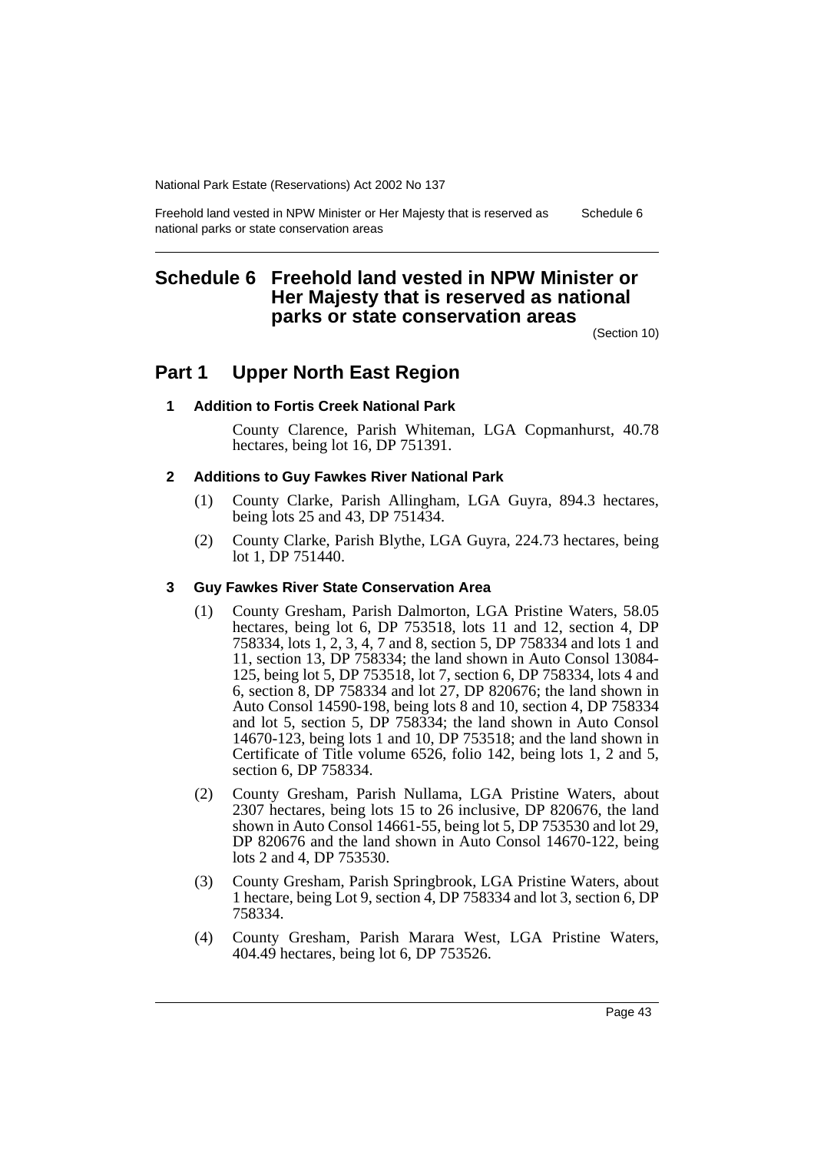Freehold land vested in NPW Minister or Her Majesty that is reserved as national parks or state conservation areas Schedule 6

# **Schedule 6 Freehold land vested in NPW Minister or Her Majesty that is reserved as national parks or state conservation areas**

(Section 10)

# **Part 1 Upper North East Region**

### **1 Addition to Fortis Creek National Park**

County Clarence, Parish Whiteman, LGA Copmanhurst, 40.78 hectares, being lot 16, DP 751391.

### **2 Additions to Guy Fawkes River National Park**

- (1) County Clarke, Parish Allingham, LGA Guyra, 894.3 hectares, being lots 25 and 43, DP 751434.
- (2) County Clarke, Parish Blythe, LGA Guyra, 224.73 hectares, being lot 1, DP 751440.

### **3 Guy Fawkes River State Conservation Area**

- (1) County Gresham, Parish Dalmorton, LGA Pristine Waters, 58.05 hectares, being lot 6, DP 753518, lots 11 and 12, section 4, DP 758334, lots 1, 2, 3, 4, 7 and 8, section 5, DP 758334 and lots 1 and 11, section 13, DP 758334; the land shown in Auto Consol 13084- 125, being lot 5, DP 753518, lot 7, section 6, DP 758334, lots 4 and 6, section 8, DP 758334 and lot 27, DP 820676; the land shown in Auto Consol 14590-198, being lots 8 and 10, section 4, DP 758334 and lot 5, section 5, DP 758334; the land shown in Auto Consol 14670-123, being lots 1 and 10, DP 753518; and the land shown in Certificate of Title volume 6526, folio 142, being lots 1, 2 and 5, section 6, DP 758334.
- (2) County Gresham, Parish Nullama, LGA Pristine Waters, about 2307 hectares, being lots 15 to 26 inclusive, DP 820676, the land shown in Auto Consol 14661-55, being lot 5, DP 753530 and lot 29, DP 820676 and the land shown in Auto Consol 14670-122, being lots 2 and 4, DP 753530.
- (3) County Gresham, Parish Springbrook, LGA Pristine Waters, about 1 hectare, being Lot 9, section 4, DP 758334 and lot 3, section 6, DP 758334.
- (4) County Gresham, Parish Marara West, LGA Pristine Waters, 404.49 hectares, being lot 6, DP 753526.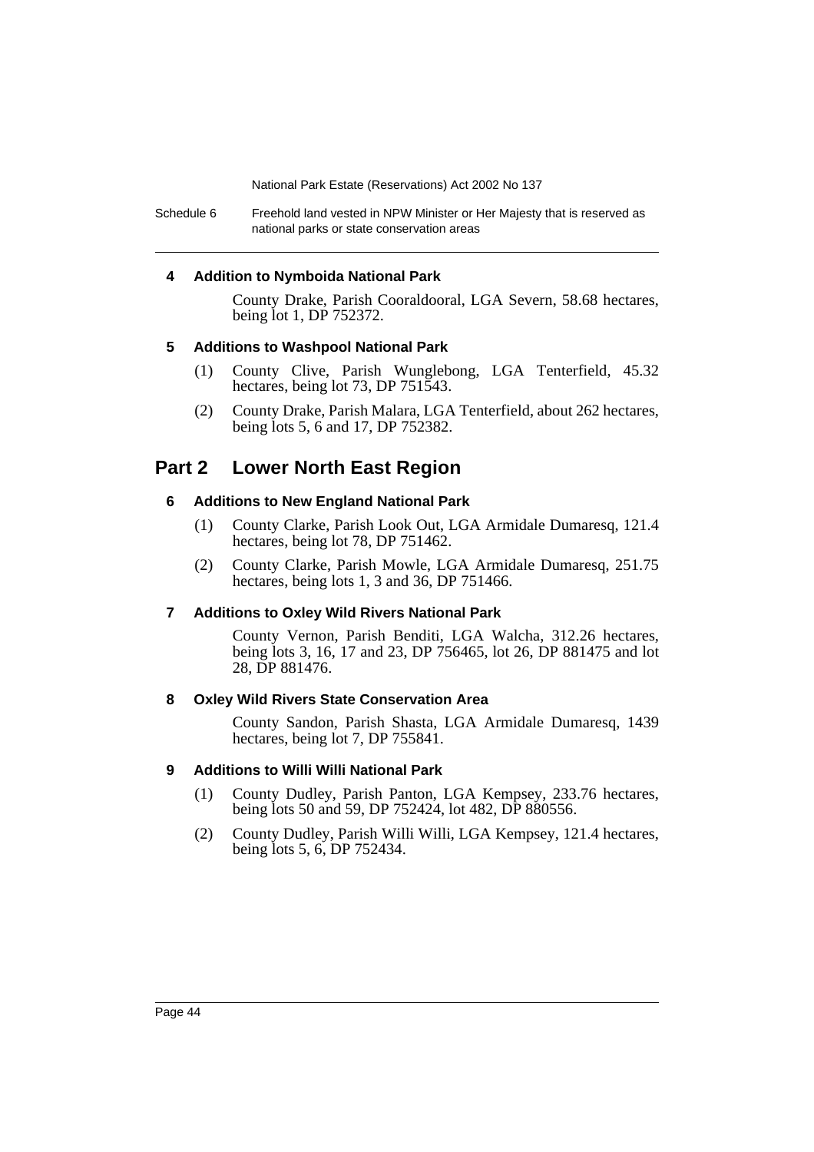Schedule 6 Freehold land vested in NPW Minister or Her Majesty that is reserved as national parks or state conservation areas

### **4 Addition to Nymboida National Park**

County Drake, Parish Cooraldooral, LGA Severn, 58.68 hectares, being lot 1, DP 752372.

### **5 Additions to Washpool National Park**

- (1) County Clive, Parish Wunglebong, LGA Tenterfield, 45.32 hectares, being lot 73, DP 751543.
- (2) County Drake, Parish Malara, LGA Tenterfield, about 262 hectares, being lots 5, 6 and 17, DP 752382.

# **Part 2 Lower North East Region**

### **6 Additions to New England National Park**

- (1) County Clarke, Parish Look Out, LGA Armidale Dumaresq, 121.4 hectares, being lot 78, DP 751462.
- (2) County Clarke, Parish Mowle, LGA Armidale Dumaresq, 251.75 hectares, being lots 1, 3 and 36, DP 751466.

### **7 Additions to Oxley Wild Rivers National Park**

County Vernon, Parish Benditi, LGA Walcha, 312.26 hectares, being lots 3, 16, 17 and 23, DP 756465, lot 26, DP 881475 and lot 28, DP 881476.

### **8 Oxley Wild Rivers State Conservation Area**

County Sandon, Parish Shasta, LGA Armidale Dumaresq, 1439 hectares, being lot 7, DP 755841.

### **9 Additions to Willi Willi National Park**

- (1) County Dudley, Parish Panton, LGA Kempsey, 233.76 hectares, being lots 50 and 59, DP 752424, lot 482, DP 880556.
- (2) County Dudley, Parish Willi Willi, LGA Kempsey, 121.4 hectares, being lots 5, 6, DP 752434.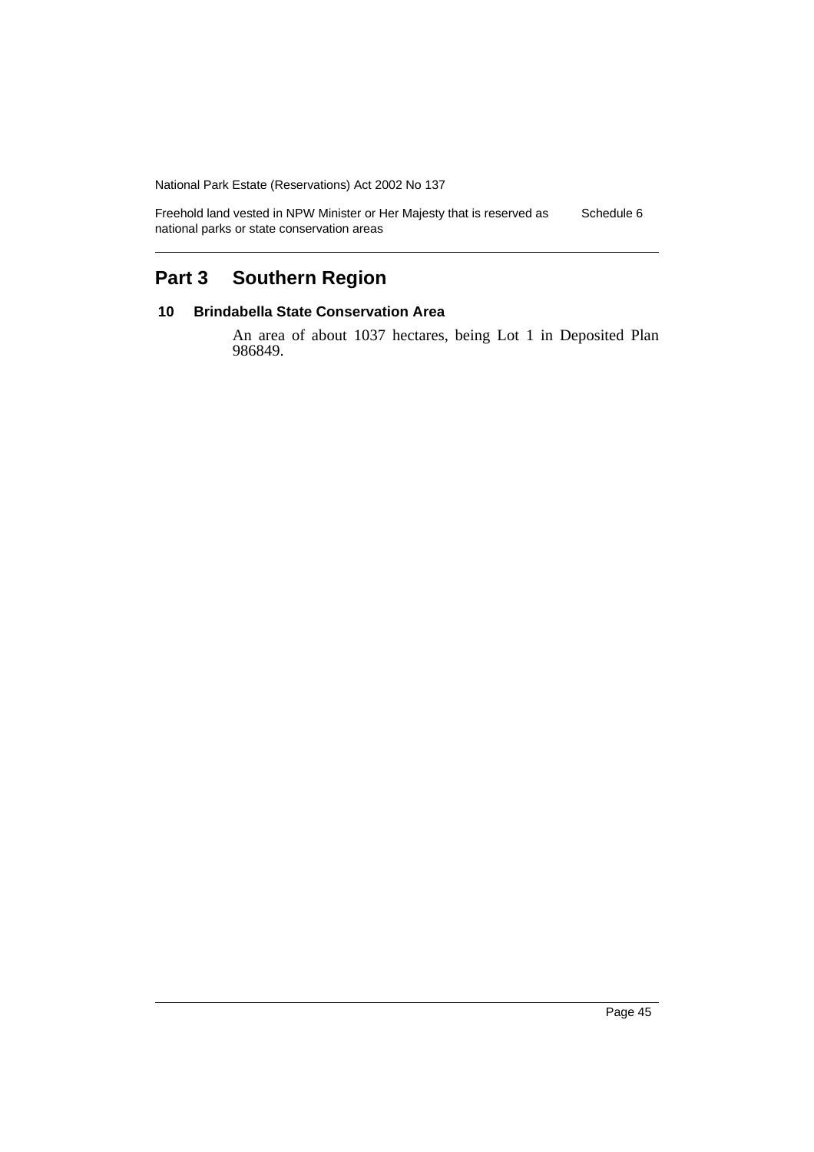Freehold land vested in NPW Minister or Her Majesty that is reserved as national parks or state conservation areas Schedule 6

# **Part 3 Southern Region**

### **10 Brindabella State Conservation Area**

An area of about 1037 hectares, being Lot 1 in Deposited Plan 986849.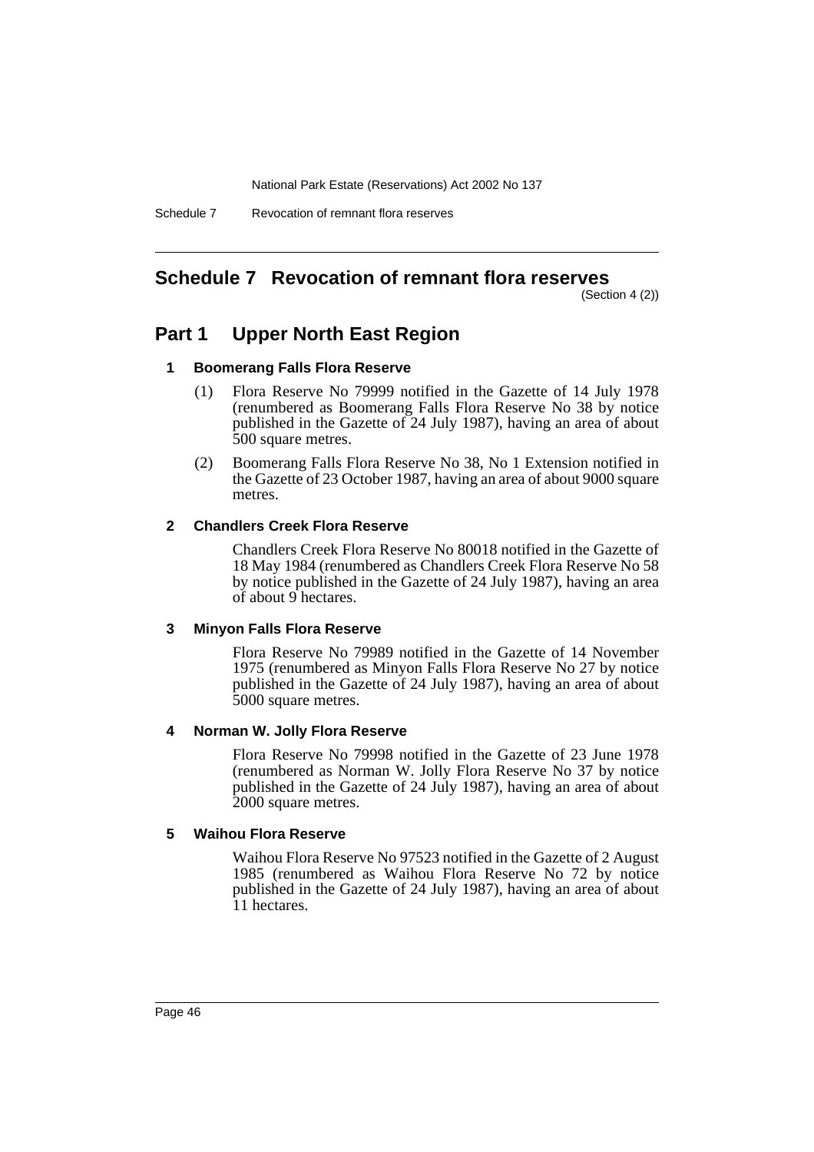Schedule 7 Revocation of remnant flora reserves

# **Schedule 7 Revocation of remnant flora reserves**

(Section 4 (2))

# **Part 1 Upper North East Region**

### **1 Boomerang Falls Flora Reserve**

- (1) Flora Reserve No 79999 notified in the Gazette of 14 July 1978 (renumbered as Boomerang Falls Flora Reserve No 38 by notice published in the Gazette of 24 July 1987), having an area of about 500 square metres.
- (2) Boomerang Falls Flora Reserve No 38, No 1 Extension notified in the Gazette of 23 October 1987, having an area of about 9000 square metres.

### **2 Chandlers Creek Flora Reserve**

Chandlers Creek Flora Reserve No 80018 notified in the Gazette of 18 May 1984 (renumbered as Chandlers Creek Flora Reserve No 58 by notice published in the Gazette of 24 July 1987), having an area of about 9 hectares.

### **3 Minyon Falls Flora Reserve**

Flora Reserve No 79989 notified in the Gazette of 14 November 1975 (renumbered as Minyon Falls Flora Reserve No 27 by notice published in the Gazette of 24 July 1987), having an area of about 5000 square metres.

### **4 Norman W. Jolly Flora Reserve**

Flora Reserve No 79998 notified in the Gazette of 23 June 1978 (renumbered as Norman W. Jolly Flora Reserve No 37 by notice published in the Gazette of 24 July 1987), having an area of about 2000 square metres.

### **5 Waihou Flora Reserve**

Waihou Flora Reserve No 97523 notified in the Gazette of 2 August 1985 (renumbered as Waihou Flora Reserve No 72 by notice published in the Gazette of 24 July 1987), having an area of about 11 hectares.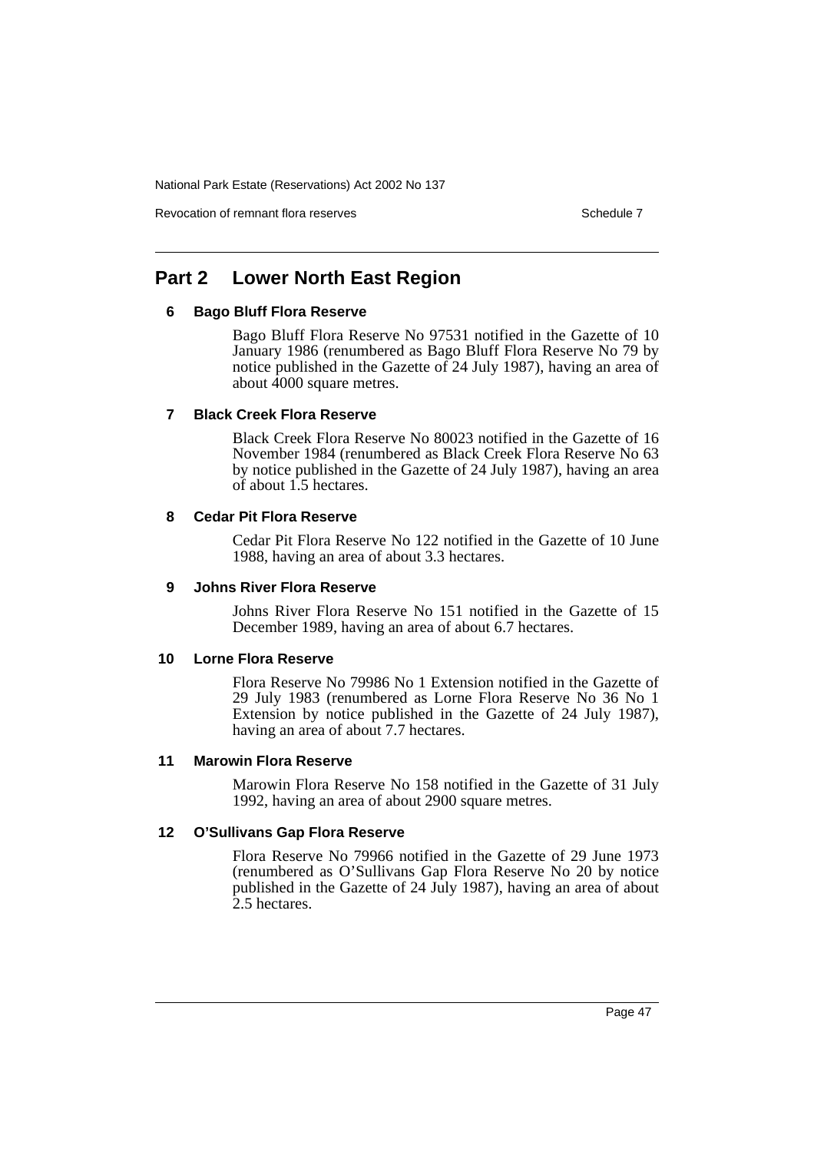Revocation of remnant flora reserves Schedule 7 Schedule 7

# **Part 2 Lower North East Region**

### **6 Bago Bluff Flora Reserve**

Bago Bluff Flora Reserve No 97531 notified in the Gazette of 10 January 1986 (renumbered as Bago Bluff Flora Reserve No 79 by notice published in the Gazette of 24 July 1987), having an area of about  $4000$  square metres.

### **7 Black Creek Flora Reserve**

Black Creek Flora Reserve No 80023 notified in the Gazette of 16 November 1984 (renumbered as Black Creek Flora Reserve No 63 by notice published in the Gazette of 24 July 1987), having an area of about 1.5 hectares.

### **8 Cedar Pit Flora Reserve**

Cedar Pit Flora Reserve No 122 notified in the Gazette of 10 June 1988, having an area of about 3.3 hectares.

### **9 Johns River Flora Reserve**

Johns River Flora Reserve No 151 notified in the Gazette of 15 December 1989, having an area of about 6.7 hectares.

### **10 Lorne Flora Reserve**

Flora Reserve No 79986 No 1 Extension notified in the Gazette of 29 July 1983 (renumbered as Lorne Flora Reserve No 36 No 1 Extension by notice published in the Gazette of 24 July 1987), having an area of about 7.7 hectares.

### **11 Marowin Flora Reserve**

Marowin Flora Reserve No 158 notified in the Gazette of 31 July 1992, having an area of about 2900 square metres.

### **12 O'Sullivans Gap Flora Reserve**

Flora Reserve No 79966 notified in the Gazette of 29 June 1973 (renumbered as O'Sullivans Gap Flora Reserve No 20 by notice published in the Gazette of 24 July 1987), having an area of about 2.5 hectares.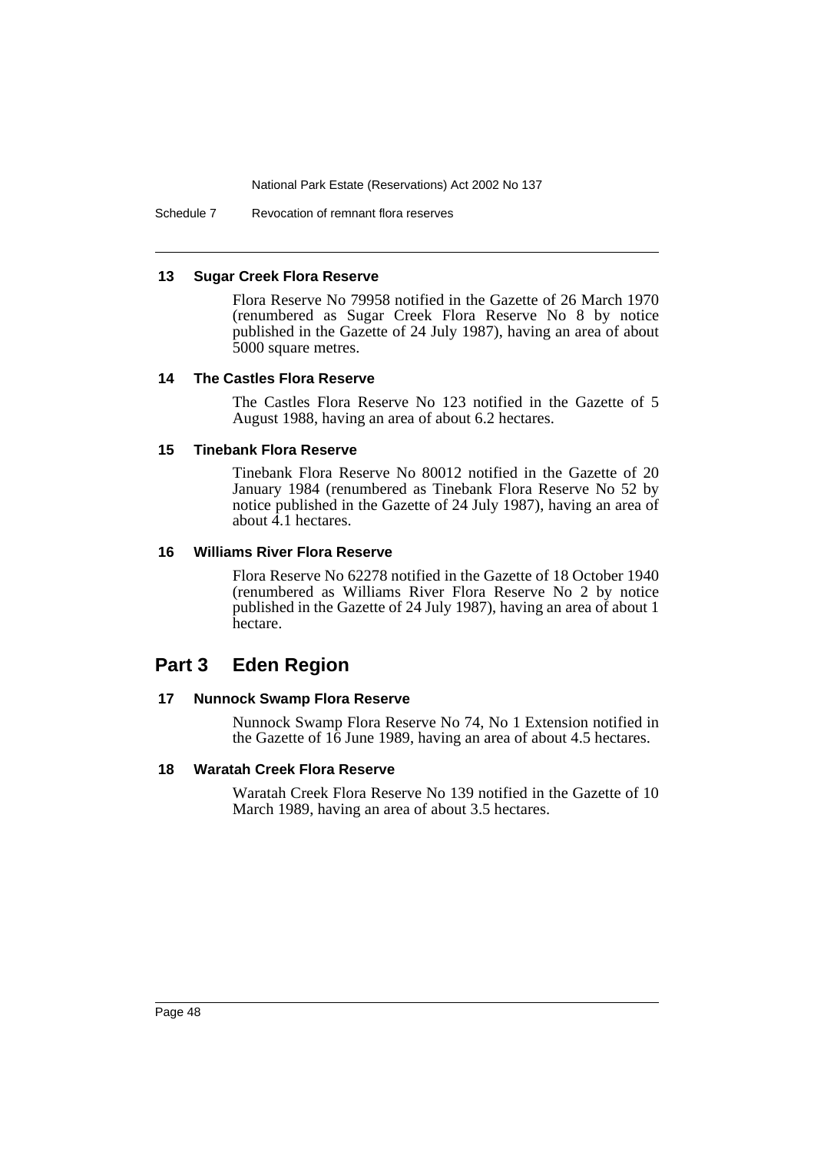Schedule 7 Revocation of remnant flora reserves

#### **13 Sugar Creek Flora Reserve**

Flora Reserve No 79958 notified in the Gazette of 26 March 1970 (renumbered as Sugar Creek Flora Reserve No 8 by notice published in the Gazette of 24 July 1987), having an area of about 5000 square metres.

### **14 The Castles Flora Reserve**

The Castles Flora Reserve No 123 notified in the Gazette of 5 August 1988, having an area of about 6.2 hectares.

#### **15 Tinebank Flora Reserve**

Tinebank Flora Reserve No 80012 notified in the Gazette of 20 January 1984 (renumbered as Tinebank Flora Reserve No 52 by notice published in the Gazette of 24 July 1987), having an area of about 4.1 hectares.

#### **16 Williams River Flora Reserve**

Flora Reserve No 62278 notified in the Gazette of 18 October 1940 (renumbered as Williams River Flora Reserve No 2 by notice published in the Gazette of 24 July 1987), having an area of about 1 hectare.

## **Part 3 Eden Region**

### **17 Nunnock Swamp Flora Reserve**

Nunnock Swamp Flora Reserve No 74, No 1 Extension notified in the Gazette of 16 June 1989, having an area of about 4.5 hectares.

### **18 Waratah Creek Flora Reserve**

Waratah Creek Flora Reserve No 139 notified in the Gazette of 10 March 1989, having an area of about 3.5 hectares.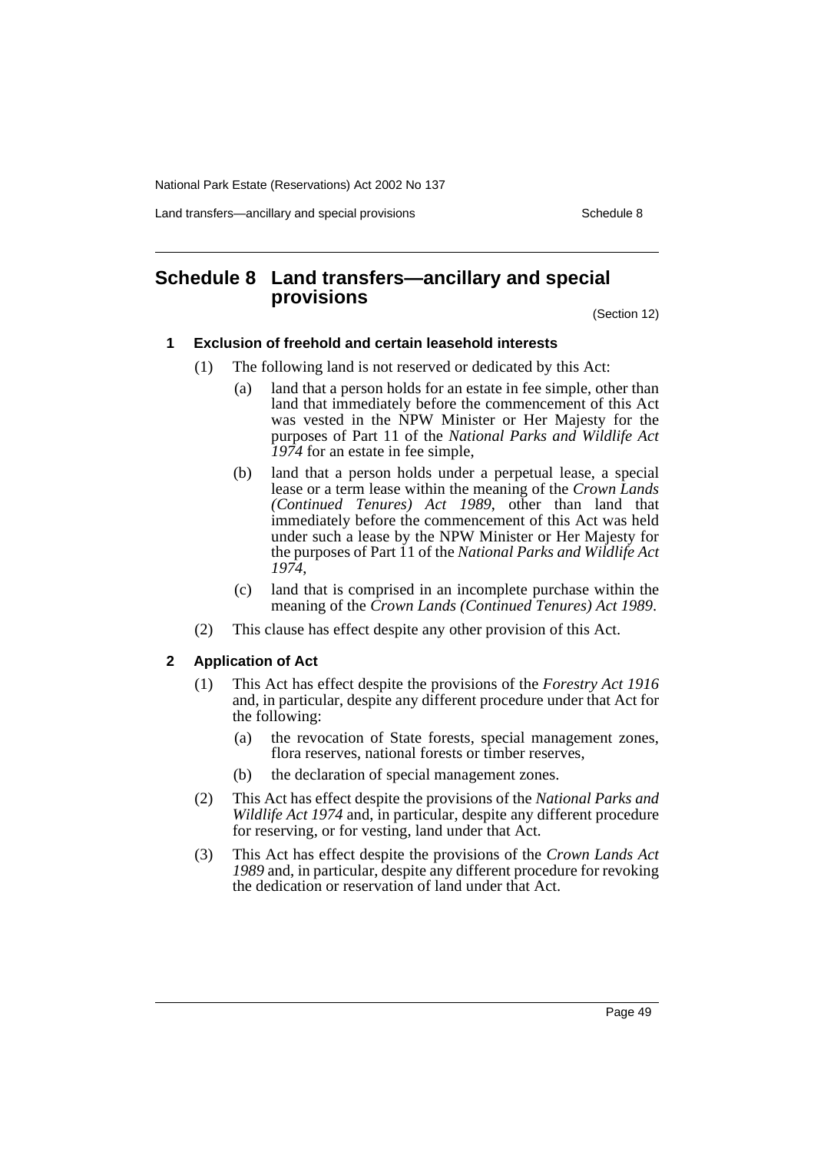Land transfers—ancillary and special provisions Schedule 8 Schedule 8

# **Schedule 8 Land transfers—ancillary and special provisions**

(Section 12)

### **1 Exclusion of freehold and certain leasehold interests**

- (1) The following land is not reserved or dedicated by this Act:
	- (a) land that a person holds for an estate in fee simple, other than land that immediately before the commencement of this Act was vested in the NPW Minister or Her Majesty for the purposes of Part 11 of the *National Parks and Wildlife Act 1974* for an estate in fee simple,
	- (b) land that a person holds under a perpetual lease, a special lease or a term lease within the meaning of the *Crown Lands (Continued Tenures) Act 1989*, other than land that immediately before the commencement of this Act was held under such a lease by the NPW Minister or Her Majesty for the purposes of Part 11 of the *National Parks and Wildlife Act 1974*,
	- (c) land that is comprised in an incomplete purchase within the meaning of the *Crown Lands (Continued Tenures) Act 1989*.
- (2) This clause has effect despite any other provision of this Act.

### **2 Application of Act**

- (1) This Act has effect despite the provisions of the *Forestry Act 1916* and, in particular, despite any different procedure under that Act for the following:
	- (a) the revocation of State forests, special management zones, flora reserves, national forests or timber reserves,
	- (b) the declaration of special management zones.
- (2) This Act has effect despite the provisions of the *National Parks and Wildlife Act 1974* and, in particular, despite any different procedure for reserving, or for vesting, land under that Act.
- (3) This Act has effect despite the provisions of the *Crown Lands Act 1989* and, in particular, despite any different procedure for revoking the dedication or reservation of land under that Act.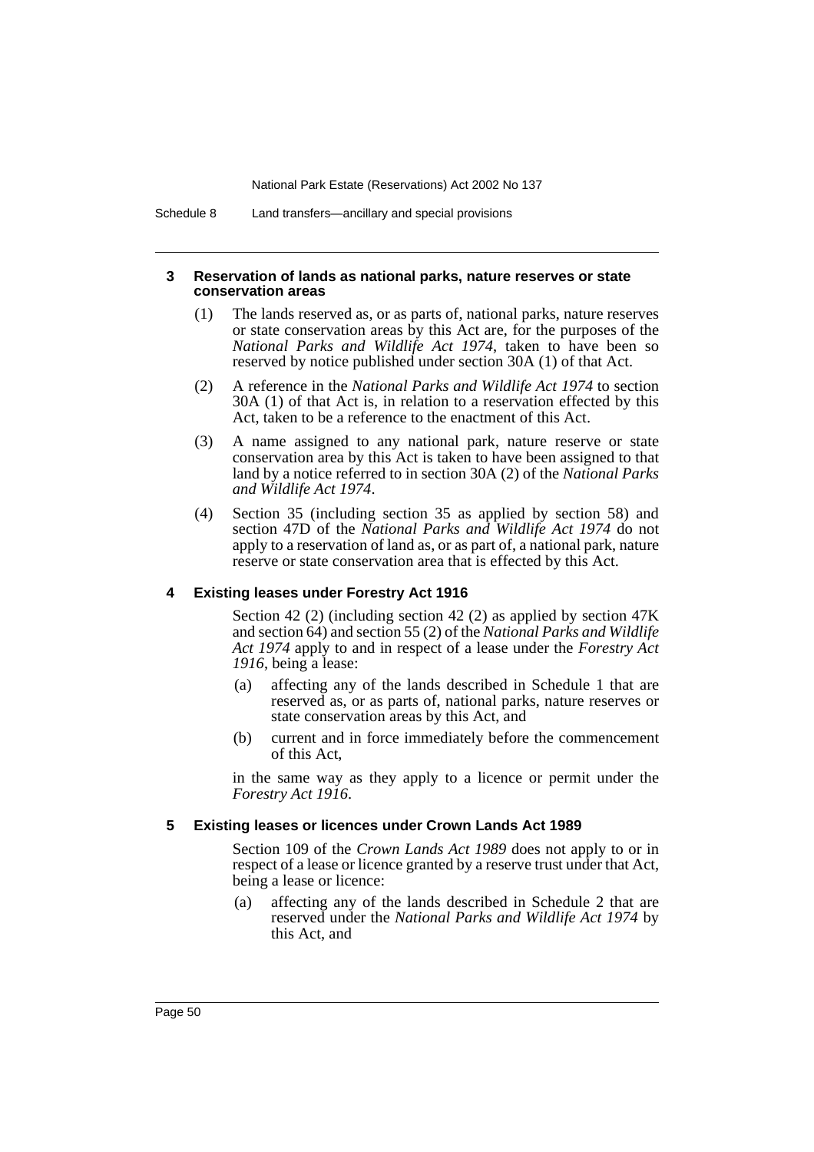Schedule 8 Land transfers—ancillary and special provisions

### **3 Reservation of lands as national parks, nature reserves or state conservation areas**

- (1) The lands reserved as, or as parts of, national parks, nature reserves or state conservation areas by this Act are, for the purposes of the *National Parks and Wildlife Act 1974*, taken to have been so reserved by notice published under section 30A (1) of that Act.
- (2) A reference in the *National Parks and Wildlife Act 1974* to section 30A (1) of that Act is, in relation to a reservation effected by this Act, taken to be a reference to the enactment of this Act.
- (3) A name assigned to any national park, nature reserve or state conservation area by this Act is taken to have been assigned to that land by a notice referred to in section 30A (2) of the *National Parks and Wildlife Act 1974*.
- (4) Section 35 (including section 35 as applied by section 58) and section 47D of the *National Parks and Wildlife Act 1974* do not apply to a reservation of land as, or as part of, a national park, nature reserve or state conservation area that is effected by this Act.

### **4 Existing leases under Forestry Act 1916**

Section 42 (2) (including section 42 (2) as applied by section 47K and section 64) and section 55 (2) of the *National Parks and Wildlife Act 1974* apply to and in respect of a lease under the *Forestry Act 1916*, being a lease:

- (a) affecting any of the lands described in Schedule 1 that are reserved as, or as parts of, national parks, nature reserves or state conservation areas by this Act, and
- (b) current and in force immediately before the commencement of this Act,

in the same way as they apply to a licence or permit under the *Forestry Act 1916*.

### **5 Existing leases or licences under Crown Lands Act 1989**

Section 109 of the *Crown Lands Act 1989* does not apply to or in respect of a lease or licence granted by a reserve trust under that Act, being a lease or licence:

(a) affecting any of the lands described in Schedule 2 that are reserved under the *National Parks and Wildlife Act 1974* by this Act, and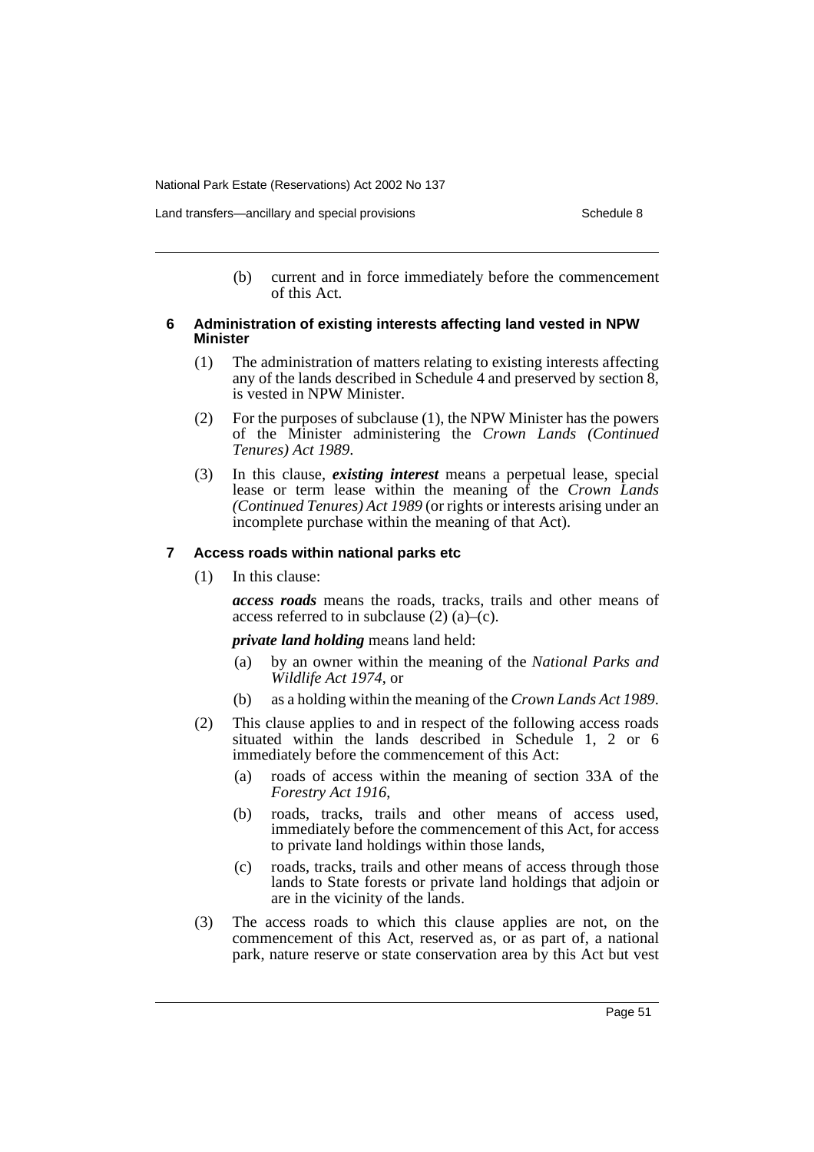Land transfers—ancillary and special provisions Schedule 8 Schedule 8

(b) current and in force immediately before the commencement of this Act.

### **6 Administration of existing interests affecting land vested in NPW Minister**

- (1) The administration of matters relating to existing interests affecting any of the lands described in Schedule 4 and preserved by section  $\delta$ , is vested in NPW Minister.
- (2) For the purposes of subclause (1), the NPW Minister has the powers of the Minister administering the *Crown Lands (Continued Tenures) Act 1989*.
- (3) In this clause, *existing interest* means a perpetual lease, special lease or term lease within the meaning of the *Crown Lands (Continued Tenures) Act 1989* (or rights or interests arising under an incomplete purchase within the meaning of that Act).

### **7 Access roads within national parks etc**

(1) In this clause:

*access roads* means the roads, tracks, trails and other means of access referred to in subclause  $(2)$   $(a)$ – $(c)$ .

### *private land holding* means land held:

- (a) by an owner within the meaning of the *National Parks and Wildlife Act 1974*, or
- (b) as a holding within the meaning of the *Crown Lands Act 1989*.
- (2) This clause applies to and in respect of the following access roads situated within the lands described in Schedule 1, 2 or 6 immediately before the commencement of this Act:
	- (a) roads of access within the meaning of section 33A of the *Forestry Act 1916*,
	- (b) roads, tracks, trails and other means of access used, immediately before the commencement of this Act, for access to private land holdings within those lands,
	- (c) roads, tracks, trails and other means of access through those lands to State forests or private land holdings that adjoin or are in the vicinity of the lands.
- (3) The access roads to which this clause applies are not, on the commencement of this Act, reserved as, or as part of, a national park, nature reserve or state conservation area by this Act but vest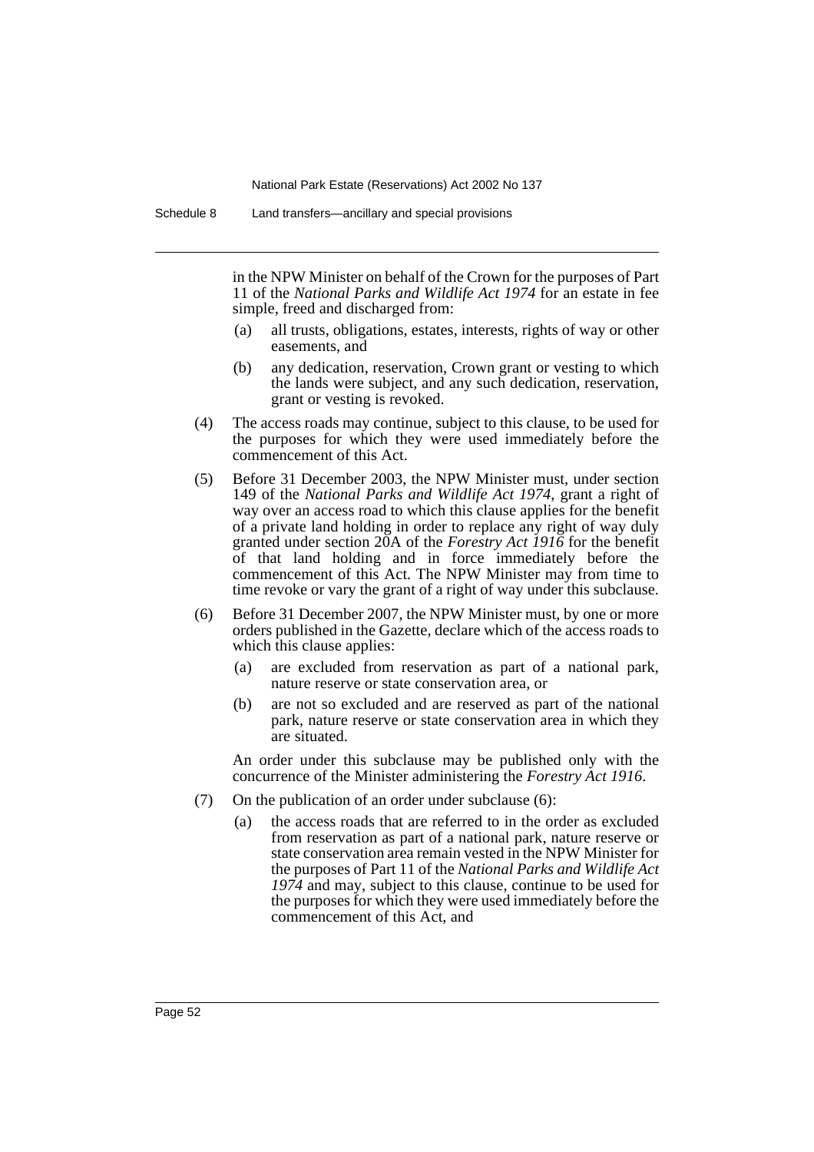Schedule 8 Land transfers—ancillary and special provisions

in the NPW Minister on behalf of the Crown for the purposes of Part 11 of the *National Parks and Wildlife Act 1974* for an estate in fee simple, freed and discharged from:

- (a) all trusts, obligations, estates, interests, rights of way or other easements, and
- (b) any dedication, reservation, Crown grant or vesting to which the lands were subject, and any such dedication, reservation, grant or vesting is revoked.
- (4) The access roads may continue, subject to this clause, to be used for the purposes for which they were used immediately before the commencement of this Act.
- (5) Before 31 December 2003, the NPW Minister must, under section 149 of the *National Parks and Wildlife Act 1974*, grant a right of way over an access road to which this clause applies for the benefit of a private land holding in order to replace any right of way duly granted under section 20A of the *Forestry Act 1916* for the benefit of that land holding and in force immediately before the commencement of this Act. The NPW Minister may from time to time revoke or vary the grant of a right of way under this subclause.
- (6) Before 31 December 2007, the NPW Minister must, by one or more orders published in the Gazette, declare which of the access roads to which this clause applies:
	- (a) are excluded from reservation as part of a national park, nature reserve or state conservation area, or
	- (b) are not so excluded and are reserved as part of the national park, nature reserve or state conservation area in which they are situated.

An order under this subclause may be published only with the concurrence of the Minister administering the *Forestry Act 1916*.

- (7) On the publication of an order under subclause (6):
	- (a) the access roads that are referred to in the order as excluded from reservation as part of a national park, nature reserve or state conservation area remain vested in the NPW Minister for the purposes of Part 11 of the *National Parks and Wildlife Act 1974* and may, subject to this clause, continue to be used for the purposes for which they were used immediately before the commencement of this Act, and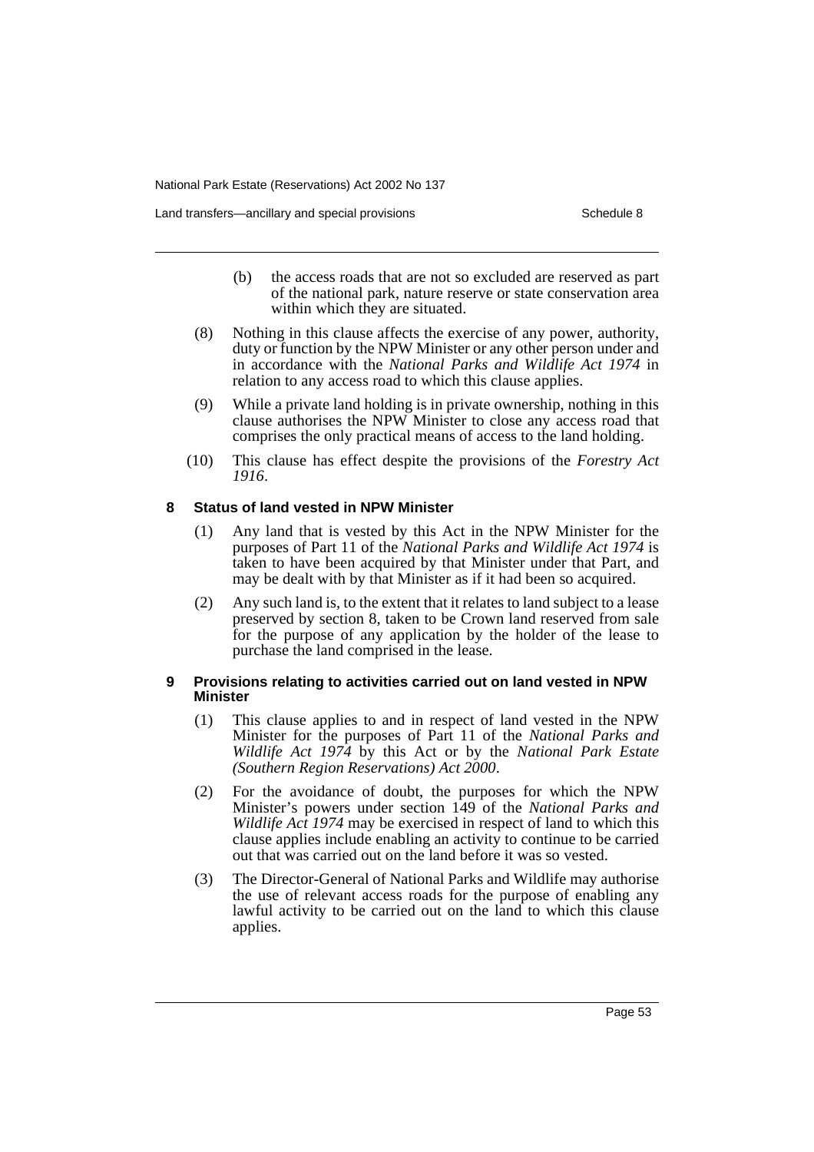Land transfers—ancillary and special provisions Schedule 8 Schedule 8

- (b) the access roads that are not so excluded are reserved as part of the national park, nature reserve or state conservation area within which they are situated.
- (8) Nothing in this clause affects the exercise of any power, authority, duty or function by the NPW Minister or any other person under and in accordance with the *National Parks and Wildlife Act 1974* in relation to any access road to which this clause applies.
- (9) While a private land holding is in private ownership, nothing in this clause authorises the NPW Minister to close any access road that comprises the only practical means of access to the land holding.
- (10) This clause has effect despite the provisions of the *Forestry Act 1916*.

### **8 Status of land vested in NPW Minister**

- (1) Any land that is vested by this Act in the NPW Minister for the purposes of Part 11 of the *National Parks and Wildlife Act 1974* is taken to have been acquired by that Minister under that Part, and may be dealt with by that Minister as if it had been so acquired.
- (2) Any such land is, to the extent that it relates to land subject to a lease preserved by section 8, taken to be Crown land reserved from sale for the purpose of any application by the holder of the lease to purchase the land comprised in the lease.

### **9 Provisions relating to activities carried out on land vested in NPW Minister**

- (1) This clause applies to and in respect of land vested in the NPW Minister for the purposes of Part 11 of the *National Parks and Wildlife Act 1974* by this Act or by the *National Park Estate (Southern Region Reservations) Act 2000*.
- (2) For the avoidance of doubt, the purposes for which the NPW Minister's powers under section 149 of the *National Parks and Wildlife Act 1974* may be exercised in respect of land to which this clause applies include enabling an activity to continue to be carried out that was carried out on the land before it was so vested.
- (3) The Director-General of National Parks and Wildlife may authorise the use of relevant access roads for the purpose of enabling any lawful activity to be carried out on the land to which this clause applies.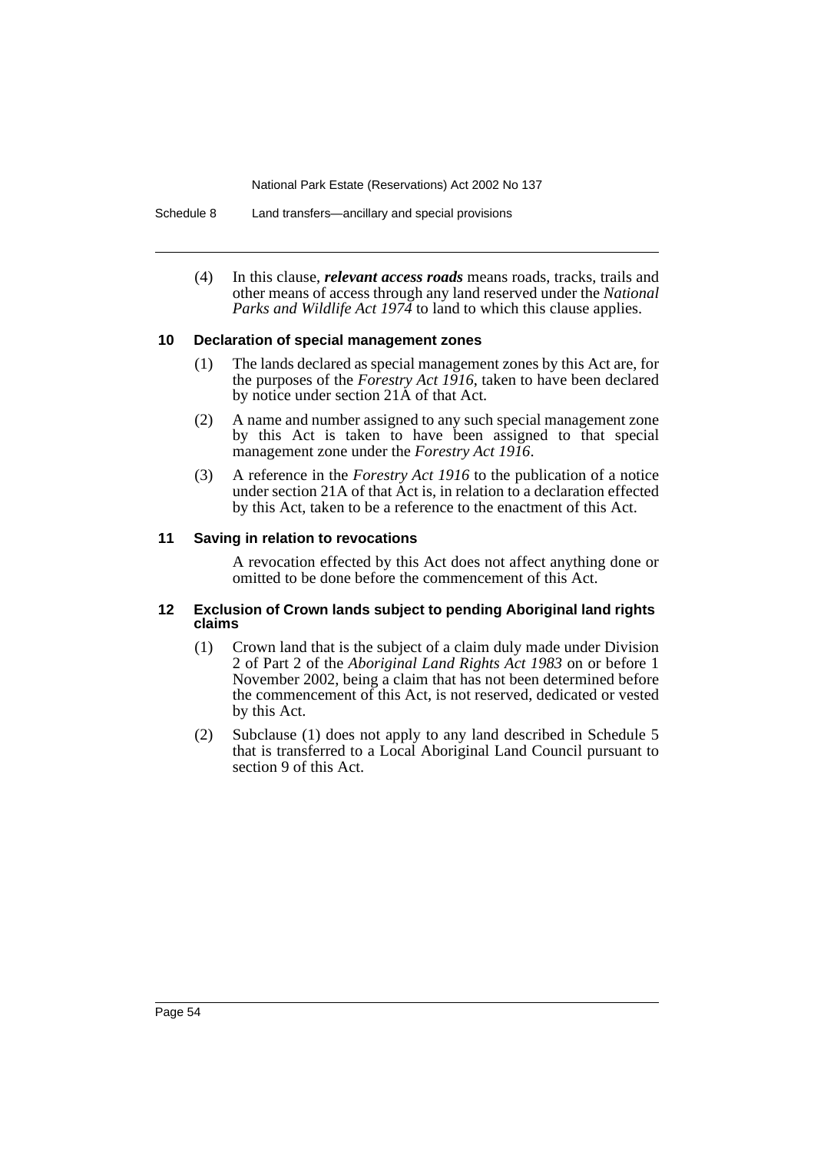Schedule 8 Land transfers—ancillary and special provisions

(4) In this clause, *relevant access roads* means roads, tracks, trails and other means of access through any land reserved under the *National Parks and Wildlife Act 1974* to land to which this clause applies.

### **10 Declaration of special management zones**

- (1) The lands declared as special management zones by this Act are, for the purposes of the *Forestry Act 1916*, taken to have been declared by notice under section 21A of that Act.
- (2) A name and number assigned to any such special management zone by this Act is taken to have been assigned to that special management zone under the *Forestry Act 1916*.
- (3) A reference in the *Forestry Act 1916* to the publication of a notice under section 21A of that Act is, in relation to a declaration effected by this Act, taken to be a reference to the enactment of this Act.

### **11 Saving in relation to revocations**

A revocation effected by this Act does not affect anything done or omitted to be done before the commencement of this Act.

### **12 Exclusion of Crown lands subject to pending Aboriginal land rights claims**

- (1) Crown land that is the subject of a claim duly made under Division 2 of Part 2 of the *Aboriginal Land Rights Act 1983* on or before 1 November 2002, being a claim that has not been determined before the commencement of this Act, is not reserved, dedicated or vested by this Act.
- (2) Subclause (1) does not apply to any land described in Schedule 5 that is transferred to a Local Aboriginal Land Council pursuant to section 9 of this Act.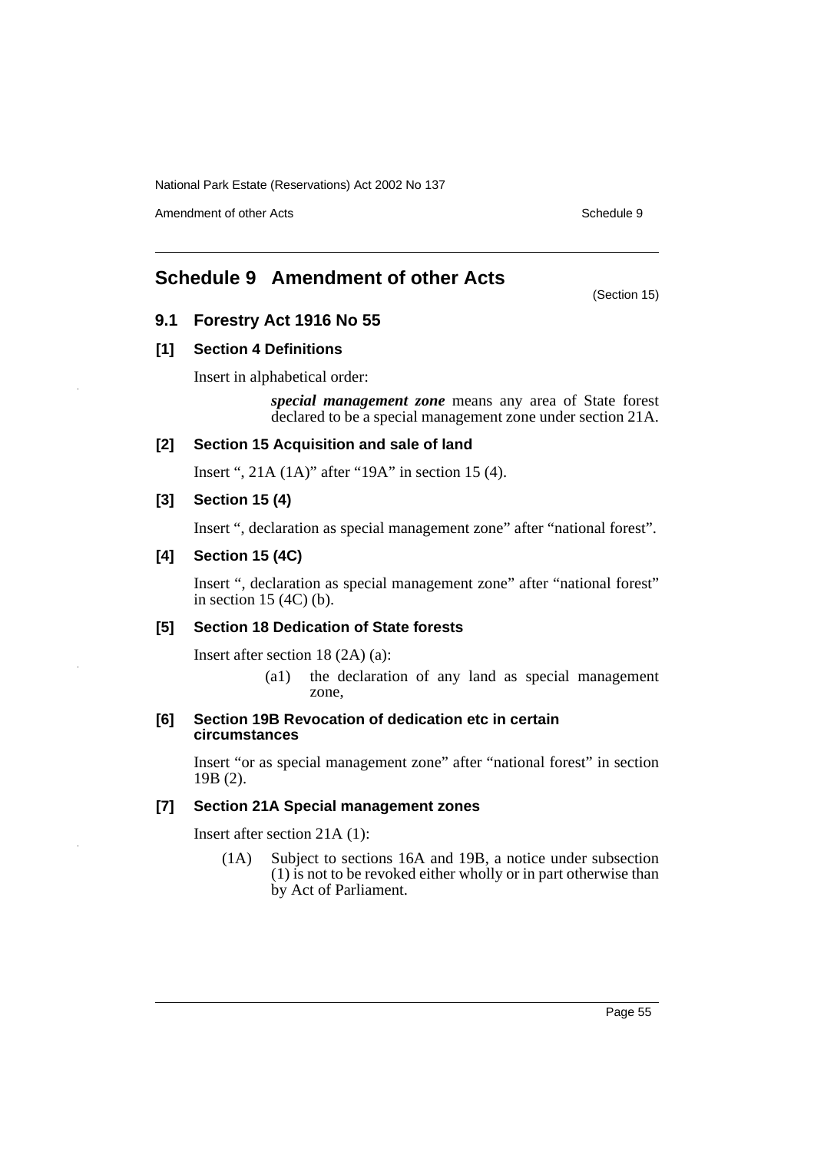Amendment of other Acts **Schedule 9** and the Acts Schedule 9 and the Schedule 9 and the Schedule 9 and the Schedule 9 and the Schedule 9 and the Schedule 9 and the Schedule 9 and the Schedule 9 and the Schedule 9 and the S

# **Schedule 9 Amendment of other Acts**

(Section 15)

### **9.1 Forestry Act 1916 No 55**

### **[1] Section 4 Definitions**

Insert in alphabetical order:

*special management zone* means any area of State forest declared to be a special management zone under section 21A.

### **[2] Section 15 Acquisition and sale of land**

Insert ", 21A (1A)" after "19A" in section 15 (4).

### **[3] Section 15 (4)**

Insert ", declaration as special management zone" after "national forest".

### **[4] Section 15 (4C)**

Insert ", declaration as special management zone" after "national forest" in section 15 (4C) (b).

### **[5] Section 18 Dedication of State forests**

Insert after section 18 (2A) (a):

(a1) the declaration of any land as special management zone,

### **[6] Section 19B Revocation of dedication etc in certain circumstances**

Insert "or as special management zone" after "national forest" in section 19B (2).

### **[7] Section 21A Special management zones**

Insert after section 21A (1):

(1A) Subject to sections 16A and 19B, a notice under subsection (1) is not to be revoked either wholly or in part otherwise than by Act of Parliament.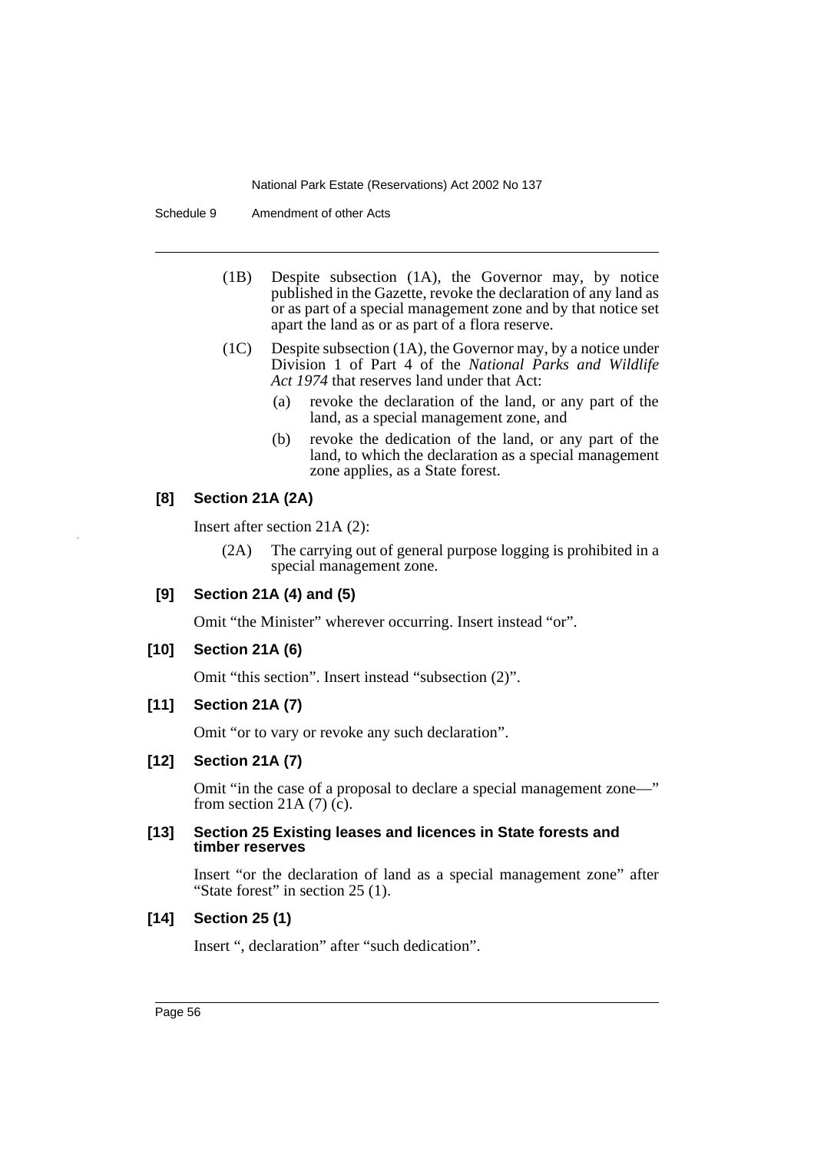Schedule 9 Amendment of other Acts

- (1B) Despite subsection (1A), the Governor may, by notice published in the Gazette, revoke the declaration of any land as or as part of a special management zone and by that notice set apart the land as or as part of a flora reserve.
- (1C) Despite subsection (1A), the Governor may, by a notice under Division 1 of Part 4 of the *National Parks and Wildlife Act 1974* that reserves land under that Act:
	- (a) revoke the declaration of the land, or any part of the land, as a special management zone, and
	- (b) revoke the dedication of the land, or any part of the land, to which the declaration as a special management zone applies, as a State forest.

### **[8] Section 21A (2A)**

Insert after section 21A (2):

- (2A) The carrying out of general purpose logging is prohibited in a special management zone.
- **[9] Section 21A (4) and (5)**

Omit "the Minister" wherever occurring. Insert instead "or".

**[10] Section 21A (6)**

Omit "this section". Insert instead "subsection (2)".

### **[11] Section 21A (7)**

Omit "or to vary or revoke any such declaration".

### **[12] Section 21A (7)**

Omit "in the case of a proposal to declare a special management zone—" from section 21A  $(7)$   $(c)$ .

### **[13] Section 25 Existing leases and licences in State forests and timber reserves**

Insert "or the declaration of land as a special management zone" after "State forest" in section 25 (1).

### **[14] Section 25 (1)**

Insert ", declaration" after "such dedication".